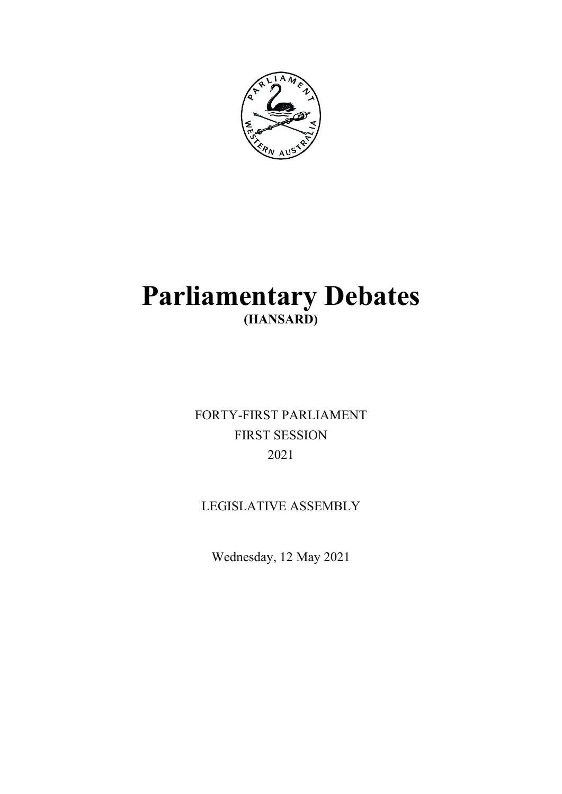

# **Parliamentary Debates (HANSARD)**

FORTY-FIRST PARLIAMENT FIRST SESSION 2021

LEGISLATIVE ASSEMBLY

Wednesday, 12 May 2021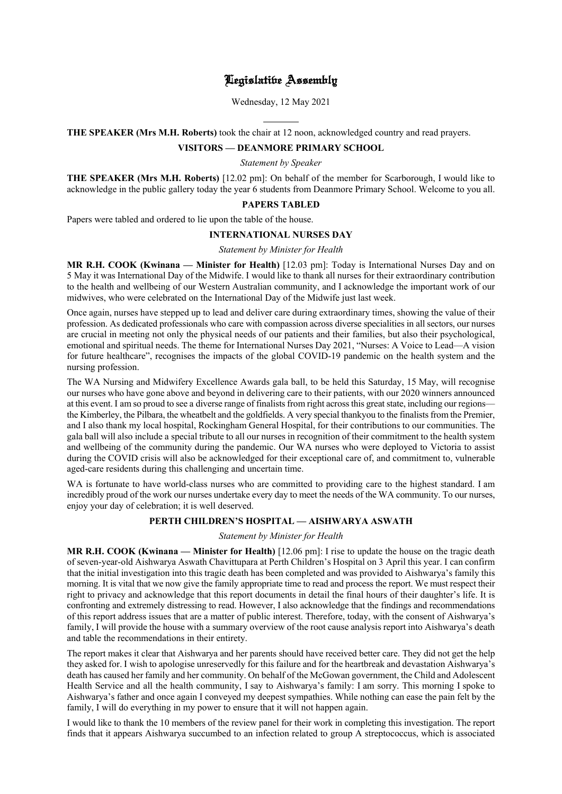# Legislative Assembly

Wednesday, 12 May 2021

l **THE SPEAKER (Mrs M.H. Roberts)** took the chair at 12 noon, acknowledged country and read prayers.

# **VISITORS — DEANMORE PRIMARY SCHOOL**

*Statement by Speaker*

**THE SPEAKER (Mrs M.H. Roberts)** [12.02 pm]: On behalf of the member for Scarborough, I would like to acknowledge in the public gallery today the year 6 students from Deanmore Primary School. Welcome to you all.

# **PAPERS TABLED**

Papers were tabled and ordered to lie upon the table of the house.

# **INTERNATIONAL NURSES DAY**

*Statement by Minister for Health*

**MR R.H. COOK (Kwinana — Minister for Health)** [12.03 pm]: Today is International Nurses Day and on 5 May it was International Day of the Midwife. I would like to thank all nurses for their extraordinary contribution to the health and wellbeing of our Western Australian community, and I acknowledge the important work of our midwives, who were celebrated on the International Day of the Midwife just last week.

Once again, nurses have stepped up to lead and deliver care during extraordinary times, showing the value of their profession. As dedicated professionals who care with compassion across diverse specialities in all sectors, our nurses are crucial in meeting not only the physical needs of our patients and their families, but also their psychological, emotional and spiritual needs. The theme for International Nurses Day 2021, "Nurses: A Voice to Lead—A vision for future healthcare", recognises the impacts of the global COVID-19 pandemic on the health system and the nursing profession.

The WA Nursing and Midwifery Excellence Awards gala ball, to be held this Saturday, 15 May, will recognise our nurses who have gone above and beyond in delivering care to their patients, with our 2020 winners announced at this event. I am so proud to see a diverse range of finalists from right across this great state, including our regions the Kimberley, the Pilbara, the wheatbelt and the goldfields. A very special thankyou to the finalists from the Premier, and I also thank my local hospital, Rockingham General Hospital, for their contributions to our communities. The gala ball will also include a special tribute to all our nurses in recognition of their commitment to the health system and wellbeing of the community during the pandemic. Our WA nurses who were deployed to Victoria to assist during the COVID crisis will also be acknowledged for their exceptional care of, and commitment to, vulnerable aged-care residents during this challenging and uncertain time.

WA is fortunate to have world-class nurses who are committed to providing care to the highest standard. I am incredibly proud of the work our nurses undertake every day to meet the needs of the WA community. To our nurses, enjoy your day of celebration; it is well deserved.

# **PERTH CHILDREN'S HOSPITAL — AISHWARYA ASWATH**

## *Statement by Minister for Health*

**MR R.H. COOK (Kwinana — Minister for Health)** [12.06 pm]: I rise to update the house on the tragic death of seven-year-old Aishwarya Aswath Chavittupara at Perth Children's Hospital on 3 April this year. I can confirm that the initial investigation into this tragic death has been completed and was provided to Aishwarya's family this morning. It is vital that we now give the family appropriate time to read and process the report. We must respect their right to privacy and acknowledge that this report documents in detail the final hours of their daughter's life. It is confronting and extremely distressing to read. However, I also acknowledge that the findings and recommendations of this report address issues that are a matter of public interest. Therefore, today, with the consent of Aishwarya's family, I will provide the house with a summary overview of the root cause analysis report into Aishwarya's death and table the recommendations in their entirety.

The report makes it clear that Aishwarya and her parents should have received better care. They did not get the help they asked for. I wish to apologise unreservedly for this failure and for the heartbreak and devastation Aishwarya's death has caused her family and her community. On behalf of the McGowan government, the Child and Adolescent Health Service and all the health community, I say to Aishwarya's family: I am sorry. This morning I spoke to Aishwarya's father and once again I conveyed my deepest sympathies. While nothing can ease the pain felt by the family, I will do everything in my power to ensure that it will not happen again.

I would like to thank the 10 members of the review panel for their work in completing this investigation. The report finds that it appears Aishwarya succumbed to an infection related to group A streptococcus, which is associated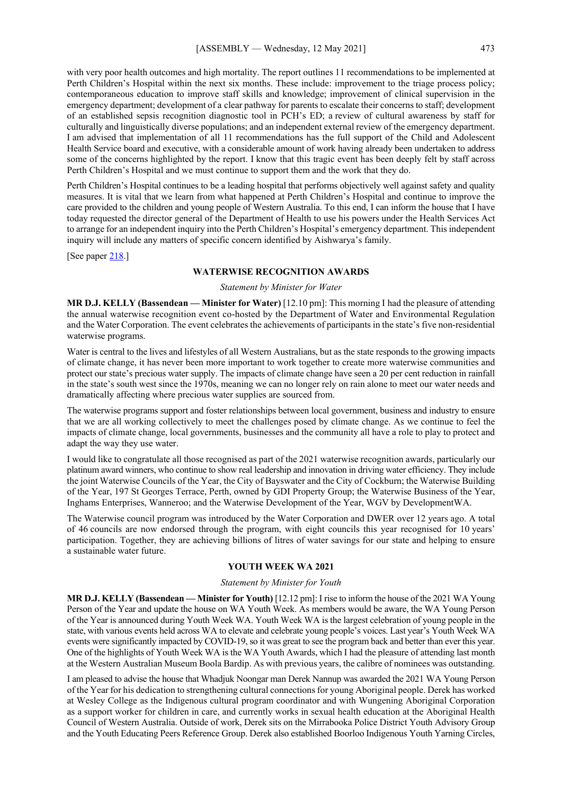with very poor health outcomes and high mortality. The report outlines 11 recommendations to be implemented at Perth Children's Hospital within the next six months. These include: improvement to the triage process policy; contemporaneous education to improve staff skills and knowledge; improvement of clinical supervision in the emergency department; development of a clear pathway for parents to escalate their concerns to staff; development of an established sepsis recognition diagnostic tool in PCH's ED; a review of cultural awareness by staff for culturally and linguistically diverse populations; and an independent external review of the emergency department. I am advised that implementation of all 11 recommendations has the full support of the Child and Adolescent Health Service board and executive, with a considerable amount of work having already been undertaken to address some of the concerns highlighted by the report. I know that this tragic event has been deeply felt by staff across Perth Children's Hospital and we must continue to support them and the work that they do.

Perth Children's Hospital continues to be a leading hospital that performs objectively well against safety and quality measures. It is vital that we learn from what happened at Perth Children's Hospital and continue to improve the care provided to the children and young people of Western Australia. To this end, I can inform the house that I have today requested the director general of the Department of Health to use his powers under the Health Services Act to arrange for an independent inquiry into the Perth Children's Hospital's emergency department. This independent inquiry will include any matters of specific concern identified by Aishwarya's family.

[See paper [218.](https://www.parliament.wa.gov.au/publications/tabledpapers.nsf/displaypaper/4110218a4090b8ce9b23a0c1482586d4000a3563/$file/tp+218+(2021).pdf)]

#### **WATERWISE RECOGNITION AWARDS**

#### *Statement by Minister for Water*

**MR D.J. KELLY (Bassendean — Minister for Water)** [12.10 pm]: This morning I had the pleasure of attending the annual waterwise recognition event co-hosted by the Department of Water and Environmental Regulation and the Water Corporation. The event celebrates the achievements of participants in the state's five non-residential waterwise programs.

Water is central to the lives and lifestyles of all Western Australians, but as the state responds to the growing impacts of climate change, it has never been more important to work together to create more waterwise communities and protect our state's precious water supply. The impacts of climate change have seen a 20 per cent reduction in rainfall in the state's south west since the 1970s, meaning we can no longer rely on rain alone to meet our water needs and dramatically affecting where precious water supplies are sourced from.

The waterwise programs support and foster relationships between local government, business and industry to ensure that we are all working collectively to meet the challenges posed by climate change. As we continue to feel the impacts of climate change, local governments, businesses and the community all have a role to play to protect and adapt the way they use water.

I would like to congratulate all those recognised as part of the 2021 waterwise recognition awards, particularly our platinum award winners, who continue to show real leadership and innovation in driving water efficiency. They include the joint Waterwise Councils of the Year, the City of Bayswater and the City of Cockburn; the Waterwise Building of the Year, 197 St Georges Terrace, Perth, owned by GDI Property Group; the Waterwise Business of the Year, Inghams Enterprises, Wanneroo; and the Waterwise Development of the Year, WGV by DevelopmentWA.

The Waterwise council program was introduced by the Water Corporation and DWER over 12 years ago. A total of 46 councils are now endorsed through the program, with eight councils this year recognised for 10 years' participation. Together, they are achieving billions of litres of water savings for our state and helping to ensure a sustainable water future.

## **YOUTH WEEK WA 2021**

## *Statement by Minister for Youth*

**MR D.J. KELLY (Bassendean — Minister for Youth)** [12.12 pm]: I rise to inform the house of the 2021 WA Young Person of the Year and update the house on WA Youth Week. As members would be aware, the WA Young Person of the Year is announced during Youth Week WA. Youth Week WA is the largest celebration of young people in the state, with various events held across WA to elevate and celebrate young people's voices. Last year's Youth Week WA events were significantly impacted by COVID-19, so it was great to see the program back and better than ever this year. One of the highlights of Youth Week WA is the WA Youth Awards, which I had the pleasure of attending last month at the Western Australian Museum Boola Bardip. As with previous years, the calibre of nominees was outstanding.

I am pleased to advise the house that Whadjuk Noongar man Derek Nannup was awarded the 2021 WA Young Person of the Year for his dedication to strengthening cultural connections for young Aboriginal people. Derek has worked at Wesley College as the Indigenous cultural program coordinator and with Wungening Aboriginal Corporation as a support worker for children in care, and currently works in sexual health education at the Aboriginal Health Council of Western Australia. Outside of work, Derek sits on the Mirrabooka Police District Youth Advisory Group and the Youth Educating Peers Reference Group. Derek also established Boorloo Indigenous Youth Yarning Circles,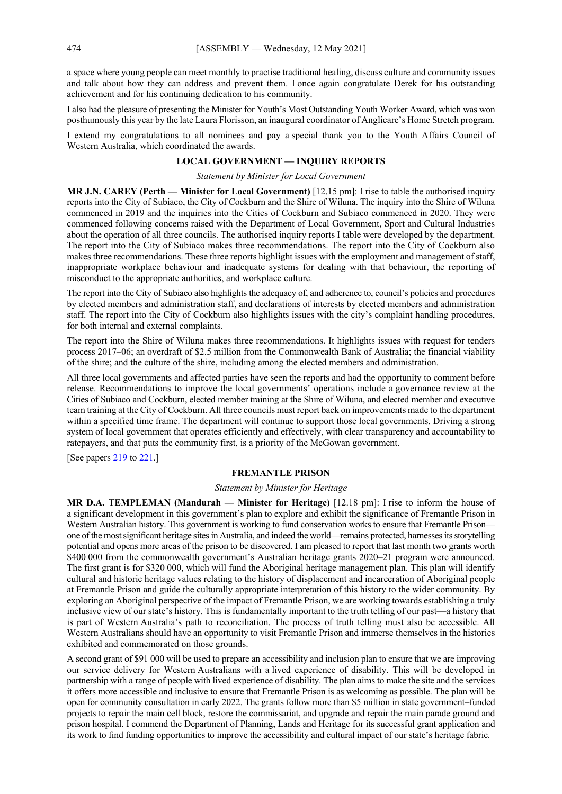a space where young people can meet monthly to practise traditional healing, discuss culture and community issues and talk about how they can address and prevent them. I once again congratulate Derek for his outstanding achievement and for his continuing dedication to his community.

I also had the pleasure of presenting the Minister for Youth's Most Outstanding Youth Worker Award, which was won posthumously this year by the late Laura Florisson, an inaugural coordinator of Anglicare's Home Stretch program.

I extend my congratulations to all nominees and pay a special thank you to the Youth Affairs Council of Western Australia, which coordinated the awards.

# **LOCAL GOVERNMENT — INQUIRY REPORTS**

#### *Statement by Minister for Local Government*

**MR J.N. CAREY (Perth — Minister for Local Government)** [12.15 pm]: I rise to table the authorised inquiry reports into the City of Subiaco, the City of Cockburn and the Shire of Wiluna. The inquiry into the Shire of Wiluna commenced in 2019 and the inquiries into the Cities of Cockburn and Subiaco commenced in 2020. They were commenced following concerns raised with the Department of Local Government, Sport and Cultural Industries about the operation of all three councils. The authorised inquiry reports I table were developed by the department. The report into the City of Subiaco makes three recommendations. The report into the City of Cockburn also makes three recommendations. These three reports highlight issues with the employment and management of staff, inappropriate workplace behaviour and inadequate systems for dealing with that behaviour, the reporting of misconduct to the appropriate authorities, and workplace culture.

The report into the City of Subiaco also highlights the adequacy of, and adherence to, council's policies and procedures by elected members and administration staff, and declarations of interests by elected members and administration staff. The report into the City of Cockburn also highlights issues with the city's complaint handling procedures, for both internal and external complaints.

The report into the Shire of Wiluna makes three recommendations. It highlights issues with request for tenders process 2017–06; an overdraft of \$2.5 million from the Commonwealth Bank of Australia; the financial viability of the shire; and the culture of the shire, including among the elected members and administration.

All three local governments and affected parties have seen the reports and had the opportunity to comment before release. Recommendations to improve the local governments' operations include a governance review at the Cities of Subiaco and Cockburn, elected member training at the Shire of Wiluna, and elected member and executive team training at the City of Cockburn. All three councils must report back on improvements made to the department within a specified time frame. The department will continue to support those local governments. Driving a strong system of local government that operates efficiently and effectively, with clear transparency and accountability to ratepayers, and that puts the community first, is a priority of the McGowan government.

[See papers  $219$  to  $221$ .]

## **FREMANTLE PRISON**

#### *Statement by Minister for Heritage*

**MR D.A. TEMPLEMAN (Mandurah — Minister for Heritage)** [12.18 pm]: I rise to inform the house of a significant development in this government's plan to explore and exhibit the significance of Fremantle Prison in Western Australian history. This government is working to fund conservation works to ensure that Fremantle Prison one of the most significant heritage sites in Australia, and indeed the world—remains protected, harnesses its storytelling potential and opens more areas of the prison to be discovered. I am pleased to report that last month two grants worth \$400 000 from the commonwealth government's Australian heritage grants 2020–21 program were announced. The first grant is for \$320 000, which will fund the Aboriginal heritage management plan. This plan will identify cultural and historic heritage values relating to the history of displacement and incarceration of Aboriginal people at Fremantle Prison and guide the culturally appropriate interpretation of this history to the wider community. By exploring an Aboriginal perspective of the impact of Fremantle Prison, we are working towards establishing a truly inclusive view of our state's history. This is fundamentally important to the truth telling of our past—a history that is part of Western Australia's path to reconciliation. The process of truth telling must also be accessible. All Western Australians should have an opportunity to visit Fremantle Prison and immerse themselves in the histories exhibited and commemorated on those grounds.

A second grant of \$91 000 will be used to prepare an accessibility and inclusion plan to ensure that we are improving our service delivery for Western Australians with a lived experience of disability. This will be developed in partnership with a range of people with lived experience of disability. The plan aims to make the site and the services it offers more accessible and inclusive to ensure that Fremantle Prison is as welcoming as possible. The plan will be open for community consultation in early 2022. The grants follow more than \$5 million in state government–funded projects to repair the main cell block, restore the commissariat, and upgrade and repair the main parade ground and prison hospital. I commend the Department of Planning, Lands and Heritage for its successful grant application and its work to find funding opportunities to improve the accessibility and cultural impact of our state's heritage fabric.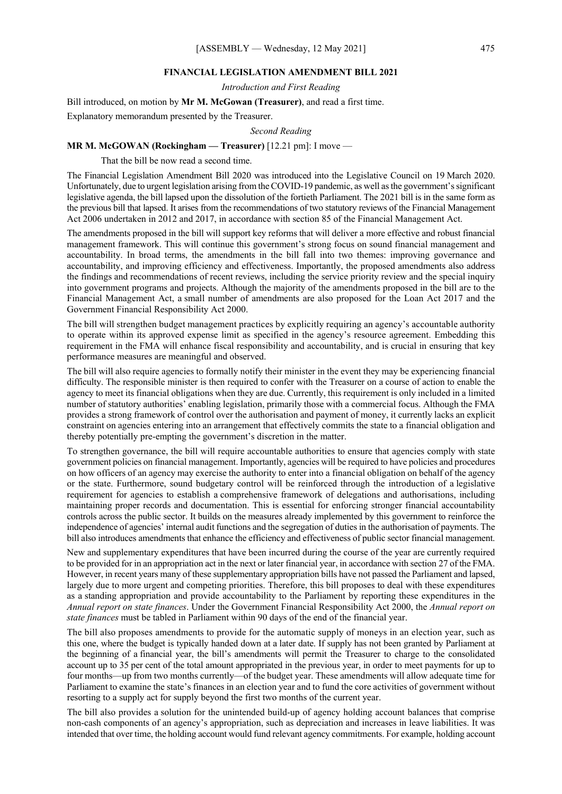### **FINANCIAL LEGISLATION AMENDMENT BILL 2021**

*Introduction and First Reading*

Bill introduced, on motion by **Mr M. McGowan (Treasurer)**, and read a first time.

Explanatory memorandum presented by the Treasurer.

*Second Reading*

#### **MR M. McGOWAN (Rockingham — Treasurer)** [12.21 pm]: I move —

That the bill be now read a second time.

The Financial Legislation Amendment Bill 2020 was introduced into the Legislative Council on 19 March 2020. Unfortunately, due to urgent legislation arising from the COVID-19 pandemic, as well as the government's significant legislative agenda, the bill lapsed upon the dissolution of the fortieth Parliament. The 2021 bill is in the same form as the previous bill that lapsed. It arises from the recommendations of two statutory reviews of the Financial Management Act 2006 undertaken in 2012 and 2017, in accordance with section 85 of the Financial Management Act.

The amendments proposed in the bill will support key reforms that will deliver a more effective and robust financial management framework. This will continue this government's strong focus on sound financial management and accountability. In broad terms, the amendments in the bill fall into two themes: improving governance and accountability, and improving efficiency and effectiveness. Importantly, the proposed amendments also address the findings and recommendations of recent reviews, including the service priority review and the special inquiry into government programs and projects. Although the majority of the amendments proposed in the bill are to the Financial Management Act, a small number of amendments are also proposed for the Loan Act 2017 and the Government Financial Responsibility Act 2000.

The bill will strengthen budget management practices by explicitly requiring an agency's accountable authority to operate within its approved expense limit as specified in the agency's resource agreement. Embedding this requirement in the FMA will enhance fiscal responsibility and accountability, and is crucial in ensuring that key performance measures are meaningful and observed.

The bill will also require agencies to formally notify their minister in the event they may be experiencing financial difficulty. The responsible minister is then required to confer with the Treasurer on a course of action to enable the agency to meet its financial obligations when they are due. Currently, this requirement is only included in a limited number of statutory authorities' enabling legislation, primarily those with a commercial focus. Although the FMA provides a strong framework of control over the authorisation and payment of money, it currently lacks an explicit constraint on agencies entering into an arrangement that effectively commits the state to a financial obligation and thereby potentially pre-empting the government's discretion in the matter.

To strengthen governance, the bill will require accountable authorities to ensure that agencies comply with state government policies on financial management. Importantly, agencies will be required to have policies and procedures on how officers of an agency may exercise the authority to enter into a financial obligation on behalf of the agency or the state. Furthermore, sound budgetary control will be reinforced through the introduction of a legislative requirement for agencies to establish a comprehensive framework of delegations and authorisations, including maintaining proper records and documentation. This is essential for enforcing stronger financial accountability controls across the public sector. It builds on the measures already implemented by this government to reinforce the independence of agencies' internal audit functions and the segregation of duties in the authorisation of payments. The bill also introduces amendments that enhance the efficiency and effectiveness of public sector financial management.

New and supplementary expenditures that have been incurred during the course of the year are currently required to be provided for in an appropriation act in the next or later financial year, in accordance with section 27 of the FMA. However, in recent years many of these supplementary appropriation bills have not passed the Parliament and lapsed, largely due to more urgent and competing priorities. Therefore, this bill proposes to deal with these expenditures as a standing appropriation and provide accountability to the Parliament by reporting these expenditures in the *Annual report on state finances*. Under the Government Financial Responsibility Act 2000, the *Annual report on state finances* must be tabled in Parliament within 90 days of the end of the financial year.

The bill also proposes amendments to provide for the automatic supply of moneys in an election year, such as this one, where the budget is typically handed down at a later date. If supply has not been granted by Parliament at the beginning of a financial year, the bill's amendments will permit the Treasurer to charge to the consolidated account up to 35 per cent of the total amount appropriated in the previous year, in order to meet payments for up to four months—up from two months currently—of the budget year. These amendments will allow adequate time for Parliament to examine the state's finances in an election year and to fund the core activities of government without resorting to a supply act for supply beyond the first two months of the current year.

The bill also provides a solution for the unintended build-up of agency holding account balances that comprise non-cash components of an agency's appropriation, such as depreciation and increases in leave liabilities. It was intended that over time, the holding account would fund relevant agency commitments. For example, holding account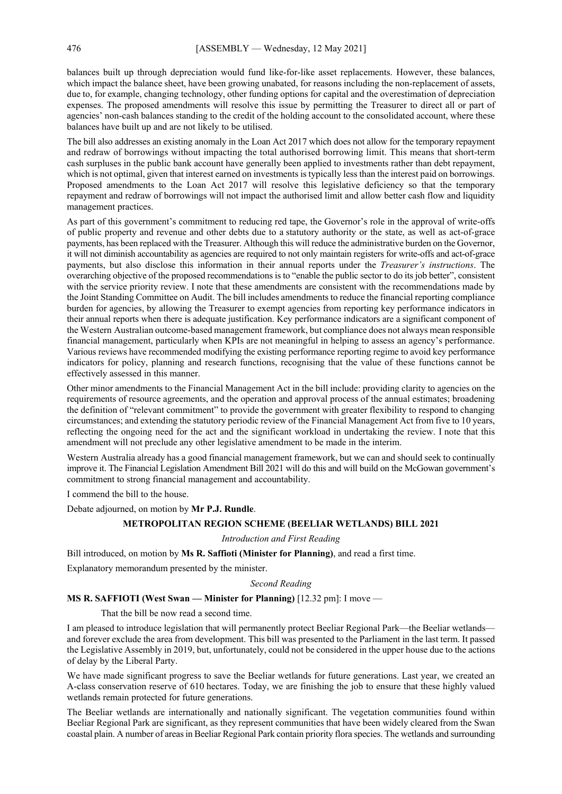balances built up through depreciation would fund like-for-like asset replacements. However, these balances, which impact the balance sheet, have been growing unabated, for reasons including the non-replacement of assets, due to, for example, changing technology, other funding options for capital and the overestimation of depreciation expenses. The proposed amendments will resolve this issue by permitting the Treasurer to direct all or part of agencies' non-cash balances standing to the credit of the holding account to the consolidated account, where these balances have built up and are not likely to be utilised.

The bill also addresses an existing anomaly in the Loan Act 2017 which does not allow for the temporary repayment and redraw of borrowings without impacting the total authorised borrowing limit. This means that short-term cash surpluses in the public bank account have generally been applied to investments rather than debt repayment, which is not optimal, given that interest earned on investments is typically less than the interest paid on borrowings. Proposed amendments to the Loan Act 2017 will resolve this legislative deficiency so that the temporary repayment and redraw of borrowings will not impact the authorised limit and allow better cash flow and liquidity management practices.

As part of this government's commitment to reducing red tape, the Governor's role in the approval of write-offs of public property and revenue and other debts due to a statutory authority or the state, as well as act-of-grace payments, has been replaced with the Treasurer. Although this will reduce the administrative burden on the Governor, it will not diminish accountability as agencies are required to not only maintain registers for write-offs and act-of-grace payments, but also disclose this information in their annual reports under the *Treasurer's instructions*. The overarching objective of the proposed recommendations is to "enable the public sector to do its job better", consistent with the service priority review. I note that these amendments are consistent with the recommendations made by the Joint Standing Committee on Audit. The bill includes amendments to reduce the financial reporting compliance burden for agencies, by allowing the Treasurer to exempt agencies from reporting key performance indicators in their annual reports when there is adequate justification. Key performance indicators are a significant component of the Western Australian outcome-based management framework, but compliance does not always mean responsible financial management, particularly when KPIs are not meaningful in helping to assess an agency's performance. Various reviews have recommended modifying the existing performance reporting regime to avoid key performance indicators for policy, planning and research functions, recognising that the value of these functions cannot be effectively assessed in this manner.

Other minor amendments to the Financial Management Act in the bill include: providing clarity to agencies on the requirements of resource agreements, and the operation and approval process of the annual estimates; broadening the definition of "relevant commitment" to provide the government with greater flexibility to respond to changing circumstances; and extending the statutory periodic review of the Financial Management Act from five to 10 years, reflecting the ongoing need for the act and the significant workload in undertaking the review. I note that this amendment will not preclude any other legislative amendment to be made in the interim.

Western Australia already has a good financial management framework, but we can and should seek to continually improve it. The Financial Legislation Amendment Bill 2021 will do this and will build on the McGowan government's commitment to strong financial management and accountability.

I commend the bill to the house.

Debate adjourned, on motion by **Mr P.J. Rundle**.

## **METROPOLITAN REGION SCHEME (BEELIAR WETLANDS) BILL 2021**

## *Introduction and First Reading*

Bill introduced, on motion by **Ms R. Saffioti (Minister for Planning)**, and read a first time.

Explanatory memorandum presented by the minister.

#### *Second Reading*

## **MS R. SAFFIOTI (West Swan — Minister for Planning)** [12.32 pm]: I move —

That the bill be now read a second time.

I am pleased to introduce legislation that will permanently protect Beeliar Regional Park—the Beeliar wetlands and forever exclude the area from development. This bill was presented to the Parliament in the last term. It passed the Legislative Assembly in 2019, but, unfortunately, could not be considered in the upper house due to the actions of delay by the Liberal Party.

We have made significant progress to save the Beeliar wetlands for future generations. Last year, we created an A-class conservation reserve of 610 hectares. Today, we are finishing the job to ensure that these highly valued wetlands remain protected for future generations.

The Beeliar wetlands are internationally and nationally significant. The vegetation communities found within Beeliar Regional Park are significant, as they represent communities that have been widely cleared from the Swan coastal plain. A number of areas in Beeliar Regional Park contain priority flora species. The wetlands and surrounding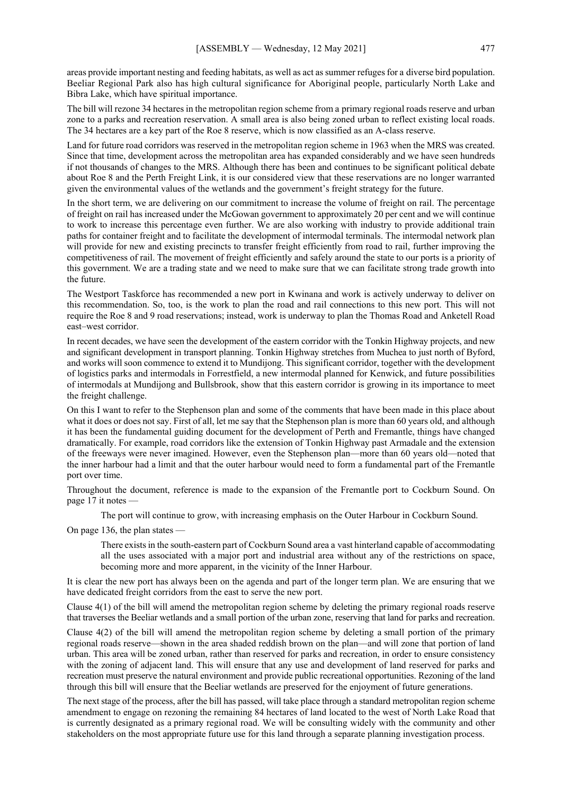areas provide important nesting and feeding habitats, as well as act as summer refuges for a diverse bird population. Beeliar Regional Park also has high cultural significance for Aboriginal people, particularly North Lake and Bibra Lake, which have spiritual importance.

The bill will rezone 34 hectares in the metropolitan region scheme from a primary regional roads reserve and urban zone to a parks and recreation reservation. A small area is also being zoned urban to reflect existing local roads. The 34 hectares are a key part of the Roe 8 reserve, which is now classified as an A-class reserve.

Land for future road corridors was reserved in the metropolitan region scheme in 1963 when the MRS was created. Since that time, development across the metropolitan area has expanded considerably and we have seen hundreds if not thousands of changes to the MRS. Although there has been and continues to be significant political debate about Roe 8 and the Perth Freight Link, it is our considered view that these reservations are no longer warranted given the environmental values of the wetlands and the government's freight strategy for the future.

In the short term, we are delivering on our commitment to increase the volume of freight on rail. The percentage of freight on rail has increased under the McGowan government to approximately 20 per cent and we will continue to work to increase this percentage even further. We are also working with industry to provide additional train paths for container freight and to facilitate the development of intermodal terminals. The intermodal network plan will provide for new and existing precincts to transfer freight efficiently from road to rail, further improving the competitiveness of rail. The movement of freight efficiently and safely around the state to our ports is a priority of this government. We are a trading state and we need to make sure that we can facilitate strong trade growth into the future.

The Westport Taskforce has recommended a new port in Kwinana and work is actively underway to deliver on this recommendation. So, too, is the work to plan the road and rail connections to this new port. This will not require the Roe 8 and 9 road reservations; instead, work is underway to plan the Thomas Road and Anketell Road east–west corridor.

In recent decades, we have seen the development of the eastern corridor with the Tonkin Highway projects, and new and significant development in transport planning. Tonkin Highway stretches from Muchea to just north of Byford, and works will soon commence to extend it to Mundijong. This significant corridor, together with the development of logistics parks and intermodals in Forrestfield, a new intermodal planned for Kenwick, and future possibilities of intermodals at Mundijong and Bullsbrook, show that this eastern corridor is growing in its importance to meet the freight challenge.

On this I want to refer to the Stephenson plan and some of the comments that have been made in this place about what it does or does not say. First of all, let me say that the Stephenson plan is more than 60 years old, and although it has been the fundamental guiding document for the development of Perth and Fremantle, things have changed dramatically. For example, road corridors like the extension of Tonkin Highway past Armadale and the extension of the freeways were never imagined. However, even the Stephenson plan—more than 60 years old—noted that the inner harbour had a limit and that the outer harbour would need to form a fundamental part of the Fremantle port over time.

Throughout the document, reference is made to the expansion of the Fremantle port to Cockburn Sound. On page 17 it notes —

The port will continue to grow, with increasing emphasis on the Outer Harbour in Cockburn Sound.

On page 136, the plan states —

There exists in the south-eastern part of Cockburn Sound area a vast hinterland capable of accommodating all the uses associated with a major port and industrial area without any of the restrictions on space, becoming more and more apparent, in the vicinity of the Inner Harbour.

It is clear the new port has always been on the agenda and part of the longer term plan. We are ensuring that we have dedicated freight corridors from the east to serve the new port.

Clause 4(1) of the bill will amend the metropolitan region scheme by deleting the primary regional roads reserve that traverses the Beeliar wetlands and a small portion of the urban zone, reserving that land for parks and recreation.

Clause 4(2) of the bill will amend the metropolitan region scheme by deleting a small portion of the primary regional roads reserve—shown in the area shaded reddish brown on the plan—and will zone that portion of land urban. This area will be zoned urban, rather than reserved for parks and recreation, in order to ensure consistency with the zoning of adjacent land. This will ensure that any use and development of land reserved for parks and recreation must preserve the natural environment and provide public recreational opportunities. Rezoning of the land through this bill will ensure that the Beeliar wetlands are preserved for the enjoyment of future generations.

The next stage of the process, after the bill has passed, will take place through a standard metropolitan region scheme amendment to engage on rezoning the remaining 84 hectares of land located to the west of North Lake Road that is currently designated as a primary regional road. We will be consulting widely with the community and other stakeholders on the most appropriate future use for this land through a separate planning investigation process.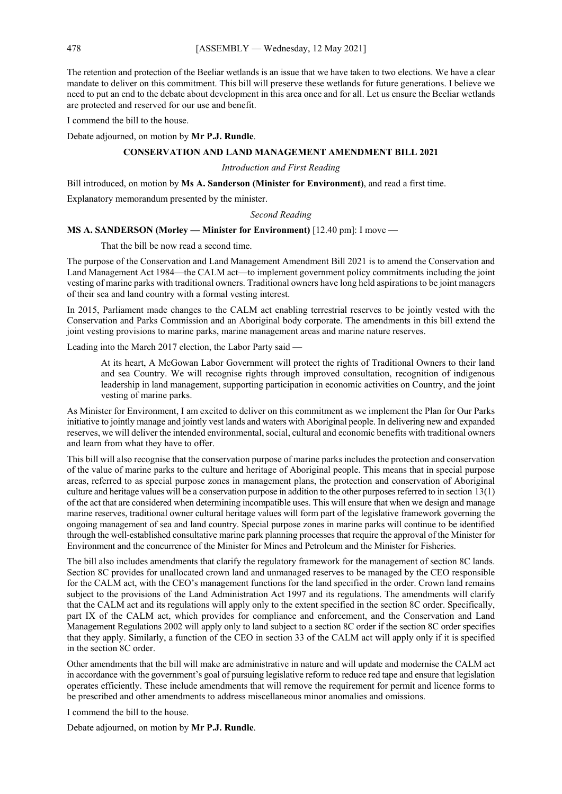The retention and protection of the Beeliar wetlands is an issue that we have taken to two elections. We have a clear mandate to deliver on this commitment. This bill will preserve these wetlands for future generations. I believe we need to put an end to the debate about development in this area once and for all. Let us ensure the Beeliar wetlands are protected and reserved for our use and benefit.

I commend the bill to the house.

Debate adjourned, on motion by **Mr P.J. Rundle**.

# **CONSERVATION AND LAND MANAGEMENT AMENDMENT BILL 2021**

*Introduction and First Reading*

Bill introduced, on motion by **Ms A. Sanderson (Minister for Environment)**, and read a first time.

Explanatory memorandum presented by the minister.

*Second Reading*

#### **MS A. SANDERSON (Morley — Minister for Environment)** [12.40 pm]: I move —

That the bill be now read a second time.

The purpose of the Conservation and Land Management Amendment Bill 2021 is to amend the Conservation and Land Management Act 1984—the CALM act—to implement government policy commitments including the joint vesting of marine parks with traditional owners. Traditional owners have long held aspirations to be joint managers of their sea and land country with a formal vesting interest.

In 2015, Parliament made changes to the CALM act enabling terrestrial reserves to be jointly vested with the Conservation and Parks Commission and an Aboriginal body corporate. The amendments in this bill extend the joint vesting provisions to marine parks, marine management areas and marine nature reserves.

Leading into the March 2017 election, the Labor Party said —

At its heart, A McGowan Labor Government will protect the rights of Traditional Owners to their land and sea Country. We will recognise rights through improved consultation, recognition of indigenous leadership in land management, supporting participation in economic activities on Country, and the joint vesting of marine parks.

As Minister for Environment, I am excited to deliver on this commitment as we implement the Plan for Our Parks initiative to jointly manage and jointly vest lands and waters with Aboriginal people. In delivering new and expanded reserves, we will deliver the intended environmental, social, cultural and economic benefits with traditional owners and learn from what they have to offer.

This bill will also recognise that the conservation purpose of marine parks includes the protection and conservation of the value of marine parks to the culture and heritage of Aboriginal people. This means that in special purpose areas, referred to as special purpose zones in management plans, the protection and conservation of Aboriginal culture and heritage values will be a conservation purpose in addition to the other purposes referred to in section 13(1) of the act that are considered when determining incompatible uses. This will ensure that when we design and manage marine reserves, traditional owner cultural heritage values will form part of the legislative framework governing the ongoing management of sea and land country. Special purpose zones in marine parks will continue to be identified through the well-established consultative marine park planning processes that require the approval of the Minister for Environment and the concurrence of the Minister for Mines and Petroleum and the Minister for Fisheries.

The bill also includes amendments that clarify the regulatory framework for the management of section 8C lands. Section 8C provides for unallocated crown land and unmanaged reserves to be managed by the CEO responsible for the CALM act, with the CEO's management functions for the land specified in the order. Crown land remains subject to the provisions of the Land Administration Act 1997 and its regulations. The amendments will clarify that the CALM act and its regulations will apply only to the extent specified in the section 8C order. Specifically, part IX of the CALM act, which provides for compliance and enforcement, and the Conservation and Land Management Regulations 2002 will apply only to land subject to a section 8C order if the section 8C order specifies that they apply. Similarly, a function of the CEO in section 33 of the CALM act will apply only if it is specified in the section 8C order.

Other amendments that the bill will make are administrative in nature and will update and modernise the CALM act in accordance with the government's goal of pursuing legislative reform to reduce red tape and ensure that legislation operates efficiently. These include amendments that will remove the requirement for permit and licence forms to be prescribed and other amendments to address miscellaneous minor anomalies and omissions.

I commend the bill to the house.

Debate adjourned, on motion by **Mr P.J. Rundle**.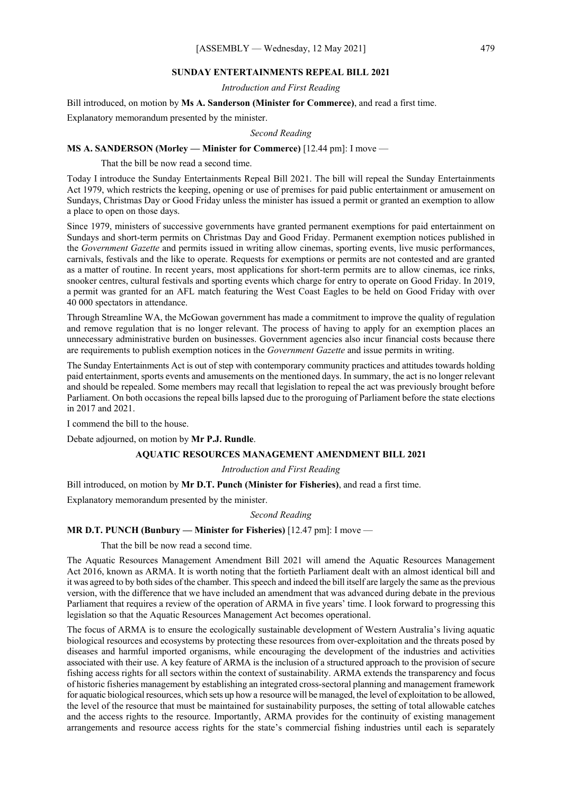## **SUNDAY ENTERTAINMENTS REPEAL BILL 2021**

*Introduction and First Reading*

Bill introduced, on motion by **Ms A. Sanderson (Minister for Commerce)**, and read a first time.

Explanatory memorandum presented by the minister.

*Second Reading*

#### **MS A. SANDERSON (Morley — Minister for Commerce)** [12.44 pm]: I move —

That the bill be now read a second time.

Today I introduce the Sunday Entertainments Repeal Bill 2021. The bill will repeal the Sunday Entertainments Act 1979, which restricts the keeping, opening or use of premises for paid public entertainment or amusement on Sundays, Christmas Day or Good Friday unless the minister has issued a permit or granted an exemption to allow a place to open on those days.

Since 1979, ministers of successive governments have granted permanent exemptions for paid entertainment on Sundays and short-term permits on Christmas Day and Good Friday. Permanent exemption notices published in the *Government Gazette* and permits issued in writing allow cinemas, sporting events, live music performances, carnivals, festivals and the like to operate. Requests for exemptions or permits are not contested and are granted as a matter of routine. In recent years, most applications for short-term permits are to allow cinemas, ice rinks, snooker centres, cultural festivals and sporting events which charge for entry to operate on Good Friday. In 2019, a permit was granted for an AFL match featuring the West Coast Eagles to be held on Good Friday with over 40 000 spectators in attendance.

Through Streamline WA, the McGowan government has made a commitment to improve the quality of regulation and remove regulation that is no longer relevant. The process of having to apply for an exemption places an unnecessary administrative burden on businesses. Government agencies also incur financial costs because there are requirements to publish exemption notices in the *Government Gazette* and issue permits in writing.

The Sunday Entertainments Act is out of step with contemporary community practices and attitudes towards holding paid entertainment, sports events and amusements on the mentioned days. In summary, the act is no longer relevant and should be repealed. Some members may recall that legislation to repeal the act was previously brought before Parliament. On both occasions the repeal bills lapsed due to the proroguing of Parliament before the state elections in 2017 and 2021.

I commend the bill to the house.

Debate adjourned, on motion by **Mr P.J. Rundle**.

## **AQUATIC RESOURCES MANAGEMENT AMENDMENT BILL 2021**

# *Introduction and First Reading*

Bill introduced, on motion by **Mr D.T. Punch (Minister for Fisheries)**, and read a first time.

Explanatory memorandum presented by the minister.

#### *Second Reading*

## **MR D.T. PUNCH (Bunbury — Minister for Fisheries)** [12.47 pm]: I move —

That the bill be now read a second time.

The Aquatic Resources Management Amendment Bill 2021 will amend the Aquatic Resources Management Act 2016, known as ARMA. It is worth noting that the fortieth Parliament dealt with an almost identical bill and it was agreed to by both sides of the chamber. This speech and indeed the bill itself are largely the same as the previous version, with the difference that we have included an amendment that was advanced during debate in the previous Parliament that requires a review of the operation of ARMA in five years' time. I look forward to progressing this legislation so that the Aquatic Resources Management Act becomes operational.

The focus of ARMA is to ensure the ecologically sustainable development of Western Australia's living aquatic biological resources and ecosystems by protecting these resources from over-exploitation and the threats posed by diseases and harmful imported organisms, while encouraging the development of the industries and activities associated with their use. A key feature of ARMA is the inclusion of a structured approach to the provision of secure fishing access rights for all sectors within the context of sustainability. ARMA extends the transparency and focus of historic fisheries management by establishing an integrated cross-sectoral planning and management framework for aquatic biological resources, which sets up how a resource will be managed, the level of exploitation to be allowed, the level of the resource that must be maintained for sustainability purposes, the setting of total allowable catches and the access rights to the resource. Importantly, ARMA provides for the continuity of existing management arrangements and resource access rights for the state's commercial fishing industries until each is separately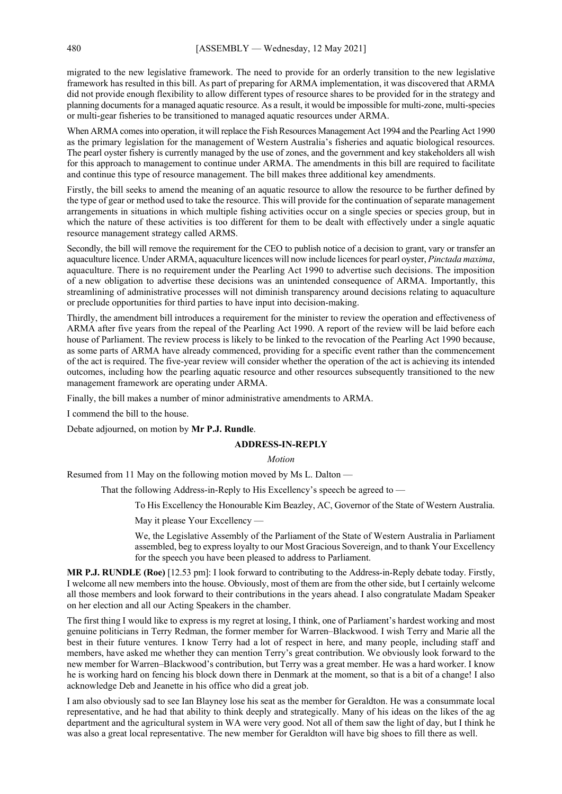migrated to the new legislative framework. The need to provide for an orderly transition to the new legislative framework has resulted in this bill. As part of preparing for ARMA implementation, it was discovered that ARMA did not provide enough flexibility to allow different types of resource shares to be provided for in the strategy and planning documents for a managed aquatic resource. As a result, it would be impossible for multi-zone, multi-species or multi-gear fisheries to be transitioned to managed aquatic resources under ARMA.

When ARMA comes into operation, it will replace the Fish Resources Management Act 1994 and the Pearling Act 1990 as the primary legislation for the management of Western Australia's fisheries and aquatic biological resources. The pearl oyster fishery is currently managed by the use of zones, and the government and key stakeholders all wish for this approach to management to continue under ARMA. The amendments in this bill are required to facilitate and continue this type of resource management. The bill makes three additional key amendments.

Firstly, the bill seeks to amend the meaning of an aquatic resource to allow the resource to be further defined by the type of gear or method used to take the resource. This will provide for the continuation of separate management arrangements in situations in which multiple fishing activities occur on a single species or species group, but in which the nature of these activities is too different for them to be dealt with effectively under a single aquatic resource management strategy called ARMS.

Secondly, the bill will remove the requirement for the CEO to publish notice of a decision to grant, vary or transfer an aquaculture licence. Under ARMA, aquaculture licences will now include licences for pearl oyster, *Pinctada maxima*, aquaculture. There is no requirement under the Pearling Act 1990 to advertise such decisions. The imposition of a new obligation to advertise these decisions was an unintended consequence of ARMA. Importantly, this streamlining of administrative processes will not diminish transparency around decisions relating to aquaculture or preclude opportunities for third parties to have input into decision-making.

Thirdly, the amendment bill introduces a requirement for the minister to review the operation and effectiveness of ARMA after five years from the repeal of the Pearling Act 1990. A report of the review will be laid before each house of Parliament. The review process is likely to be linked to the revocation of the Pearling Act 1990 because, as some parts of ARMA have already commenced, providing for a specific event rather than the commencement of the act is required. The five-year review will consider whether the operation of the act is achieving its intended outcomes, including how the pearling aquatic resource and other resources subsequently transitioned to the new management framework are operating under ARMA.

Finally, the bill makes a number of minor administrative amendments to ARMA.

I commend the bill to the house.

Debate adjourned, on motion by **Mr P.J. Rundle**.

#### **ADDRESS-IN-REPLY**

*Motion*

Resumed from 11 May on the following motion moved by Ms L. Dalton —

That the following Address-in-Reply to His Excellency's speech be agreed to —

To His Excellency the Honourable Kim Beazley, AC, Governor of the State of Western Australia.

May it please Your Excellency —

We, the Legislative Assembly of the Parliament of the State of Western Australia in Parliament assembled, beg to express loyalty to our Most Gracious Sovereign, and to thank Your Excellency for the speech you have been pleased to address to Parliament.

**MR P.J. RUNDLE (Roe)** [12.53 pm]: I look forward to contributing to the Address-in-Reply debate today. Firstly, I welcome all new members into the house. Obviously, most of them are from the other side, but I certainly welcome all those members and look forward to their contributions in the years ahead. I also congratulate Madam Speaker on her election and all our Acting Speakers in the chamber.

The first thing I would like to express is my regret at losing, I think, one of Parliament's hardest working and most genuine politicians in Terry Redman, the former member for Warren–Blackwood. I wish Terry and Marie all the best in their future ventures. I know Terry had a lot of respect in here, and many people, including staff and members, have asked me whether they can mention Terry's great contribution. We obviously look forward to the new member for Warren–Blackwood's contribution, but Terry was a great member. He was a hard worker. I know he is working hard on fencing his block down there in Denmark at the moment, so that is a bit of a change! I also acknowledge Deb and Jeanette in his office who did a great job.

I am also obviously sad to see Ian Blayney lose his seat as the member for Geraldton. He was a consummate local representative, and he had that ability to think deeply and strategically. Many of his ideas on the likes of the ag department and the agricultural system in WA were very good. Not all of them saw the light of day, but I think he was also a great local representative. The new member for Geraldton will have big shoes to fill there as well.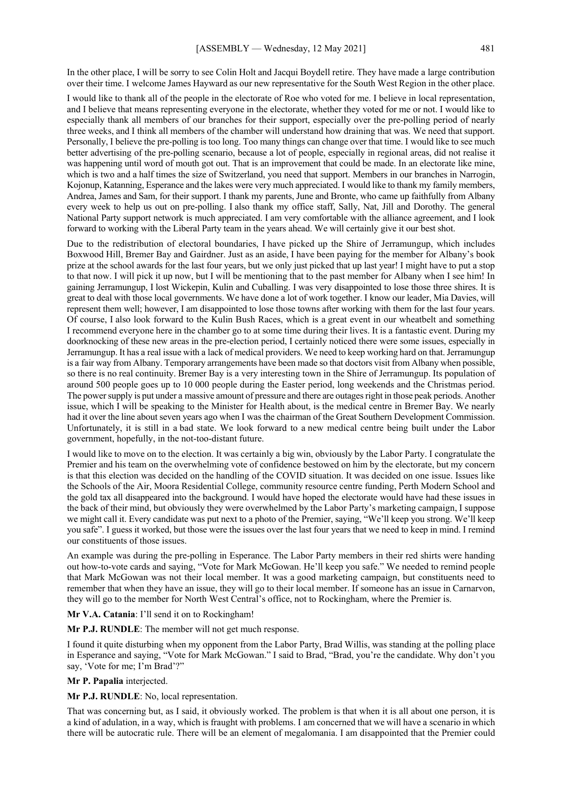In the other place, I will be sorry to see Colin Holt and Jacqui Boydell retire. They have made a large contribution over their time. I welcome James Hayward as our new representative for the South West Region in the other place.

I would like to thank all of the people in the electorate of Roe who voted for me. I believe in local representation, and I believe that means representing everyone in the electorate, whether they voted for me or not. I would like to especially thank all members of our branches for their support, especially over the pre-polling period of nearly three weeks, and I think all members of the chamber will understand how draining that was. We need that support. Personally, I believe the pre-polling is too long. Too many things can change over that time. I would like to see much better advertising of the pre-polling scenario, because a lot of people, especially in regional areas, did not realise it was happening until word of mouth got out. That is an improvement that could be made. In an electorate like mine, which is two and a half times the size of Switzerland, you need that support. Members in our branches in Narrogin, Kojonup, Katanning, Esperance and the lakes were very much appreciated. I would like to thank my family members, Andrea, James and Sam, for their support. I thank my parents, June and Bronte, who came up faithfully from Albany every week to help us out on pre-polling. I also thank my office staff, Sally, Nat, Jill and Dorothy. The general National Party support network is much appreciated. I am very comfortable with the alliance agreement, and I look forward to working with the Liberal Party team in the years ahead. We will certainly give it our best shot.

Due to the redistribution of electoral boundaries, I have picked up the Shire of Jerramungup, which includes Boxwood Hill, Bremer Bay and Gairdner. Just as an aside, I have been paying for the member for Albany's book prize at the school awards for the last four years, but we only just picked that up last year! I might have to put a stop to that now. I will pick it up now, but I will be mentioning that to the past member for Albany when I see him! In gaining Jerramungup, I lost Wickepin, Kulin and Cuballing. I was very disappointed to lose those three shires. It is great to deal with those local governments. We have done a lot of work together. I know our leader, Mia Davies, will represent them well; however, I am disappointed to lose those towns after working with them for the last four years. Of course, I also look forward to the Kulin Bush Races, which is a great event in our wheatbelt and something I recommend everyone here in the chamber go to at some time during their lives. It is a fantastic event. During my doorknocking of these new areas in the pre-election period, I certainly noticed there were some issues, especially in Jerramungup. It has a real issue with a lack of medical providers. We need to keep working hard on that. Jerramungup is a fair way from Albany. Temporary arrangements have been made so that doctors visit from Albany when possible, so there is no real continuity. Bremer Bay is a very interesting town in the Shire of Jerramungup. Its population of around 500 people goes up to 10 000 people during the Easter period, long weekends and the Christmas period. The power supply is put under a massive amount of pressure and there are outages right in those peak periods. Another issue, which I will be speaking to the Minister for Health about, is the medical centre in Bremer Bay. We nearly had it over the line about seven years ago when I was the chairman of the Great Southern Development Commission. Unfortunately, it is still in a bad state. We look forward to a new medical centre being built under the Labor government, hopefully, in the not-too-distant future.

I would like to move on to the election. It was certainly a big win, obviously by the Labor Party. I congratulate the Premier and his team on the overwhelming vote of confidence bestowed on him by the electorate, but my concern is that this election was decided on the handling of the COVID situation. It was decided on one issue. Issues like the Schools of the Air, Moora Residential College, community resource centre funding, Perth Modern School and the gold tax all disappeared into the background. I would have hoped the electorate would have had these issues in the back of their mind, but obviously they were overwhelmed by the Labor Party's marketing campaign, I suppose we might call it. Every candidate was put next to a photo of the Premier, saying, "We'll keep you strong. We'll keep you safe". I guess it worked, but those were the issues over the last four years that we need to keep in mind. I remind our constituents of those issues.

An example was during the pre-polling in Esperance. The Labor Party members in their red shirts were handing out how-to-vote cards and saying, "Vote for Mark McGowan. He'll keep you safe." We needed to remind people that Mark McGowan was not their local member. It was a good marketing campaign, but constituents need to remember that when they have an issue, they will go to their local member. If someone has an issue in Carnarvon, they will go to the member for North West Central's office, not to Rockingham, where the Premier is.

**Mr V.A. Catania**: I'll send it on to Rockingham!

**Mr P.J. RUNDLE**: The member will not get much response.

I found it quite disturbing when my opponent from the Labor Party, Brad Willis, was standing at the polling place in Esperance and saying, "Vote for Mark McGowan." I said to Brad, "Brad, you're the candidate. Why don't you say, 'Vote for me; I'm Brad'?"

#### **Mr P. Papalia** interjected.

**Mr P.J. RUNDLE**: No, local representation.

That was concerning but, as I said, it obviously worked. The problem is that when it is all about one person, it is a kind of adulation, in a way, which is fraught with problems. I am concerned that we will have a scenario in which there will be autocratic rule. There will be an element of megalomania. I am disappointed that the Premier could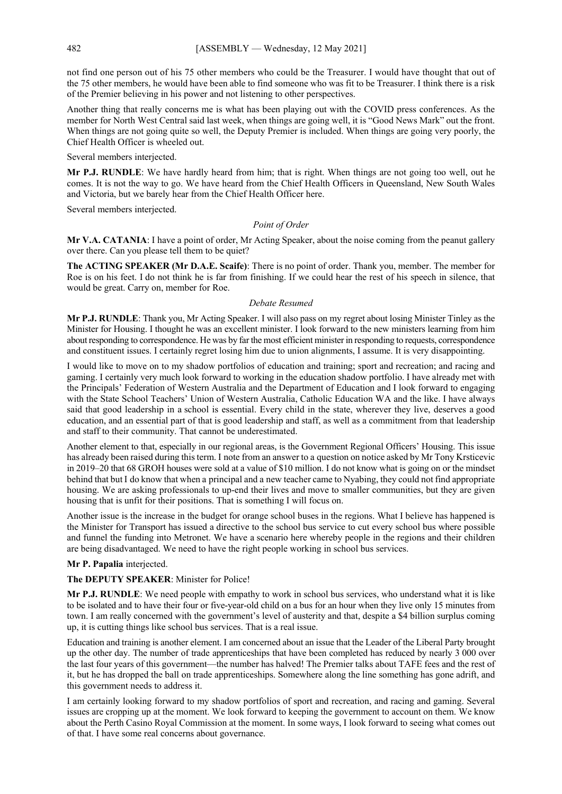not find one person out of his 75 other members who could be the Treasurer. I would have thought that out of the 75 other members, he would have been able to find someone who was fit to be Treasurer. I think there is a risk of the Premier believing in his power and not listening to other perspectives.

Another thing that really concerns me is what has been playing out with the COVID press conferences. As the member for North West Central said last week, when things are going well, it is "Good News Mark" out the front. When things are not going quite so well, the Deputy Premier is included. When things are going very poorly, the Chief Health Officer is wheeled out.

Several members interjected.

**Mr P.J. RUNDLE**: We have hardly heard from him; that is right. When things are not going too well, out he comes. It is not the way to go. We have heard from the Chief Health Officers in Queensland, New South Wales and Victoria, but we barely hear from the Chief Health Officer here.

Several members interjected.

#### *Point of Order*

**Mr V.A. CATANIA**: I have a point of order, Mr Acting Speaker, about the noise coming from the peanut gallery over there. Can you please tell them to be quiet?

**The ACTING SPEAKER (Mr D.A.E. Scaife)**: There is no point of order. Thank you, member. The member for Roe is on his feet. I do not think he is far from finishing. If we could hear the rest of his speech in silence, that would be great. Carry on, member for Roe.

#### *Debate Resumed*

**Mr P.J. RUNDLE**: Thank you, Mr Acting Speaker. I will also pass on my regret about losing Minister Tinley as the Minister for Housing. I thought he was an excellent minister. I look forward to the new ministers learning from him about responding to correspondence. He was by far the most efficient minister in responding to requests, correspondence and constituent issues. I certainly regret losing him due to union alignments, I assume. It is very disappointing.

I would like to move on to my shadow portfolios of education and training; sport and recreation; and racing and gaming. I certainly very much look forward to working in the education shadow portfolio. I have already met with the Principals' Federation of Western Australia and the Department of Education and I look forward to engaging with the State School Teachers' Union of Western Australia, Catholic Education WA and the like. I have always said that good leadership in a school is essential. Every child in the state, wherever they live, deserves a good education, and an essential part of that is good leadership and staff, as well as a commitment from that leadership and staff to their community. That cannot be underestimated.

Another element to that, especially in our regional areas, is the Government Regional Officers' Housing. This issue has already been raised during this term. I note from an answer to a question on notice asked by Mr Tony Krsticevic in 2019–20 that 68 GROH houses were sold at a value of \$10 million. I do not know what is going on or the mindset behind that but I do know that when a principal and a new teacher came to Nyabing, they could not find appropriate housing. We are asking professionals to up-end their lives and move to smaller communities, but they are given housing that is unfit for their positions. That is something I will focus on.

Another issue is the increase in the budget for orange school buses in the regions. What I believe has happened is the Minister for Transport has issued a directive to the school bus service to cut every school bus where possible and funnel the funding into Metronet. We have a scenario here whereby people in the regions and their children are being disadvantaged. We need to have the right people working in school bus services.

## **Mr P. Papalia** interjected.

## **The DEPUTY SPEAKER**: Minister for Police!

**Mr P.J. RUNDLE**: We need people with empathy to work in school bus services, who understand what it is like to be isolated and to have their four or five-year-old child on a bus for an hour when they live only 15 minutes from town. I am really concerned with the government's level of austerity and that, despite a \$4 billion surplus coming up, it is cutting things like school bus services. That is a real issue.

Education and training is another element. I am concerned about an issue that the Leader of the Liberal Party brought up the other day. The number of trade apprenticeships that have been completed has reduced by nearly 3 000 over the last four years of this government—the number has halved! The Premier talks about TAFE fees and the rest of it, but he has dropped the ball on trade apprenticeships. Somewhere along the line something has gone adrift, and this government needs to address it.

I am certainly looking forward to my shadow portfolios of sport and recreation, and racing and gaming. Several issues are cropping up at the moment. We look forward to keeping the government to account on them. We know about the Perth Casino Royal Commission at the moment. In some ways, I look forward to seeing what comes out of that. I have some real concerns about governance.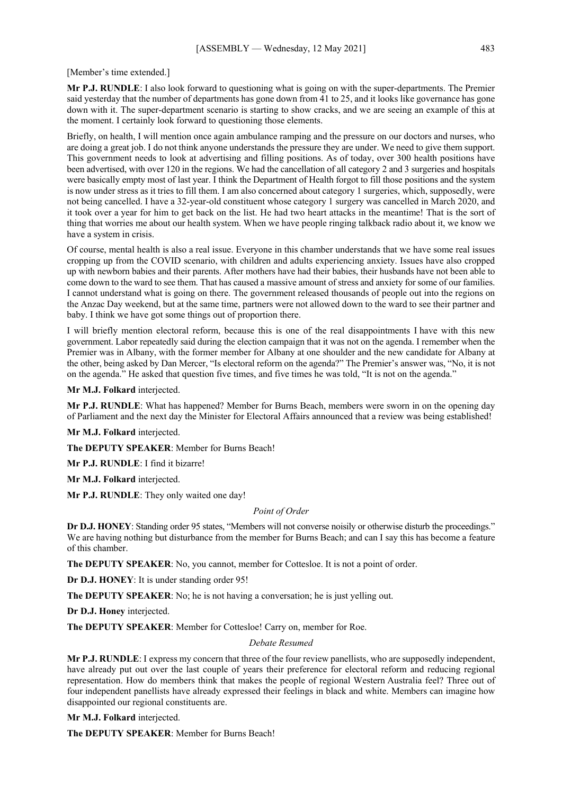#### [Member's time extended.]

**Mr P.J. RUNDLE**: I also look forward to questioning what is going on with the super-departments. The Premier said yesterday that the number of departments has gone down from 41 to 25, and it looks like governance has gone down with it. The super-department scenario is starting to show cracks, and we are seeing an example of this at the moment. I certainly look forward to questioning those elements.

Briefly, on health, I will mention once again ambulance ramping and the pressure on our doctors and nurses, who are doing a great job. I do not think anyone understands the pressure they are under. We need to give them support. This government needs to look at advertising and filling positions. As of today, over 300 health positions have been advertised, with over 120 in the regions. We had the cancellation of all category 2 and 3 surgeries and hospitals were basically empty most of last year. I think the Department of Health forgot to fill those positions and the system is now under stress as it tries to fill them. I am also concerned about category 1 surgeries, which, supposedly, were not being cancelled. I have a 32-year-old constituent whose category 1 surgery was cancelled in March 2020, and it took over a year for him to get back on the list. He had two heart attacks in the meantime! That is the sort of thing that worries me about our health system. When we have people ringing talkback radio about it, we know we have a system in crisis.

Of course, mental health is also a real issue. Everyone in this chamber understands that we have some real issues cropping up from the COVID scenario, with children and adults experiencing anxiety. Issues have also cropped up with newborn babies and their parents. After mothers have had their babies, their husbands have not been able to come down to the ward to see them. That has caused a massive amount of stress and anxiety for some of our families. I cannot understand what is going on there. The government released thousands of people out into the regions on the Anzac Day weekend, but at the same time, partners were not allowed down to the ward to see their partner and baby. I think we have got some things out of proportion there.

I will briefly mention electoral reform, because this is one of the real disappointments I have with this new government. Labor repeatedly said during the election campaign that it was not on the agenda. I remember when the Premier was in Albany, with the former member for Albany at one shoulder and the new candidate for Albany at the other, being asked by Dan Mercer, "Is electoral reform on the agenda?" The Premier's answer was, "No, it is not on the agenda." He asked that question five times, and five times he was told, "It is not on the agenda."

**Mr M.J. Folkard** interjected.

**Mr P.J. RUNDLE**: What has happened? Member for Burns Beach, members were sworn in on the opening day of Parliament and the next day the Minister for Electoral Affairs announced that a review was being established!

**Mr M.J. Folkard** interjected.

**The DEPUTY SPEAKER**: Member for Burns Beach!

**Mr P.J. RUNDLE**: I find it bizarre!

**Mr M.J. Folkard** interjected.

**Mr P.J. RUNDLE**: They only waited one day!

#### *Point of Order*

**Dr D.J. HONEY:** Standing order 95 states, "Members will not converse noisily or otherwise disturb the proceedings." We are having nothing but disturbance from the member for Burns Beach; and can I say this has become a feature of this chamber.

**The DEPUTY SPEAKER**: No, you cannot, member for Cottesloe. It is not a point of order.

**Dr D.J. HONEY**: It is under standing order 95!

**The DEPUTY SPEAKER**: No; he is not having a conversation; he is just yelling out.

**Dr D.J. Honey** interjected.

**The DEPUTY SPEAKER**: Member for Cottesloe! Carry on, member for Roe.

#### *Debate Resumed*

**Mr P.J. RUNDLE**: I express my concern that three of the four review panellists, who are supposedly independent, have already put out over the last couple of years their preference for electoral reform and reducing regional representation. How do members think that makes the people of regional Western Australia feel? Three out of four independent panellists have already expressed their feelings in black and white. Members can imagine how disappointed our regional constituents are.

**Mr M.J. Folkard** interjected.

**The DEPUTY SPEAKER**: Member for Burns Beach!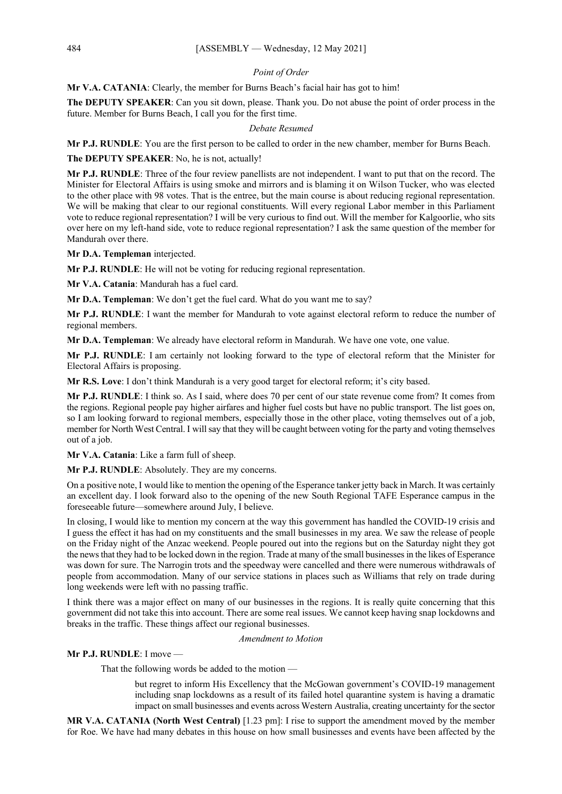#### *Point of Order*

**Mr V.A. CATANIA**: Clearly, the member for Burns Beach's facial hair has got to him!

**The DEPUTY SPEAKER**: Can you sit down, please. Thank you. Do not abuse the point of order process in the future. Member for Burns Beach, I call you for the first time.

#### *Debate Resumed*

**Mr P.J. RUNDLE**: You are the first person to be called to order in the new chamber, member for Burns Beach.

**The DEPUTY SPEAKER**: No, he is not, actually!

**Mr P.J. RUNDLE**: Three of the four review panellists are not independent. I want to put that on the record. The Minister for Electoral Affairs is using smoke and mirrors and is blaming it on Wilson Tucker, who was elected to the other place with 98 votes. That is the entree, but the main course is about reducing regional representation. We will be making that clear to our regional constituents. Will every regional Labor member in this Parliament vote to reduce regional representation? I will be very curious to find out. Will the member for Kalgoorlie, who sits over here on my left-hand side, vote to reduce regional representation? I ask the same question of the member for Mandurah over there.

**Mr D.A. Templeman** interjected.

**Mr P.J. RUNDLE**: He will not be voting for reducing regional representation.

**Mr V.A. Catania**: Mandurah has a fuel card.

**Mr D.A. Templeman**: We don't get the fuel card. What do you want me to say?

**Mr P.J. RUNDLE**: I want the member for Mandurah to vote against electoral reform to reduce the number of regional members.

**Mr D.A. Templeman**: We already have electoral reform in Mandurah. We have one vote, one value.

**Mr P.J. RUNDLE**: I am certainly not looking forward to the type of electoral reform that the Minister for Electoral Affairs is proposing.

**Mr R.S. Love**: I don't think Mandurah is a very good target for electoral reform; it's city based.

**Mr P.J. RUNDLE**: I think so. As I said, where does 70 per cent of our state revenue come from? It comes from the regions. Regional people pay higher airfares and higher fuel costs but have no public transport. The list goes on, so I am looking forward to regional members, especially those in the other place, voting themselves out of a job, member for North West Central. I will say that they will be caught between voting for the party and voting themselves out of a job.

**Mr V.A. Catania**: Like a farm full of sheep.

**Mr P.J. RUNDLE**: Absolutely. They are my concerns.

On a positive note, I would like to mention the opening of the Esperance tanker jetty back in March. It was certainly an excellent day. I look forward also to the opening of the new South Regional TAFE Esperance campus in the foreseeable future—somewhere around July, I believe.

In closing, I would like to mention my concern at the way this government has handled the COVID-19 crisis and I guess the effect it has had on my constituents and the small businesses in my area. We saw the release of people on the Friday night of the Anzac weekend. People poured out into the regions but on the Saturday night they got the news that they had to be locked down in the region. Trade at many of the small businesses in the likes of Esperance was down for sure. The Narrogin trots and the speedway were cancelled and there were numerous withdrawals of people from accommodation. Many of our service stations in places such as Williams that rely on trade during long weekends were left with no passing traffic.

I think there was a major effect on many of our businesses in the regions. It is really quite concerning that this government did not take this into account. There are some real issues. We cannot keep having snap lockdowns and breaks in the traffic. These things affect our regional businesses.

*Amendment to Motion*

# **Mr P.J. RUNDLE**: I move —

That the following words be added to the motion —

but regret to inform His Excellency that the McGowan government's COVID-19 management including snap lockdowns as a result of its failed hotel quarantine system is having a dramatic impact on small businesses and events across Western Australia, creating uncertainty for the sector

**MR V.A. CATANIA (North West Central)** [1.23 pm]: I rise to support the amendment moved by the member for Roe. We have had many debates in this house on how small businesses and events have been affected by the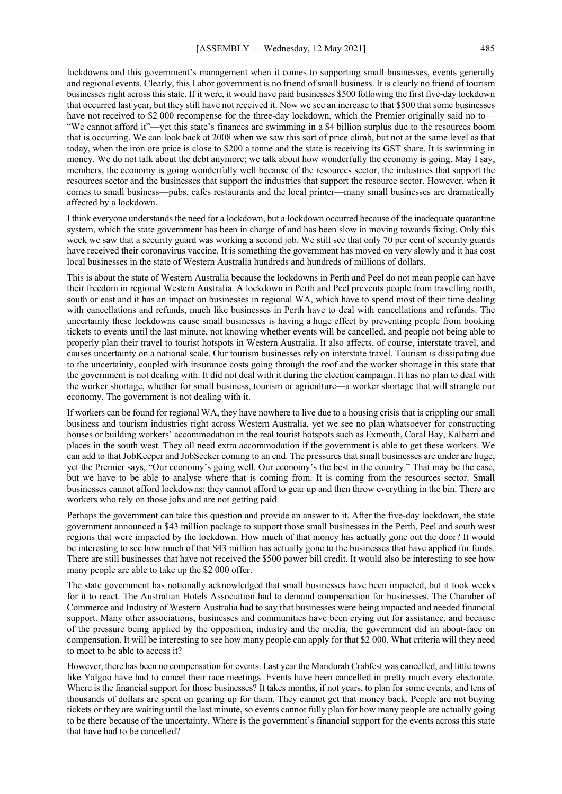lockdowns and this government's management when it comes to supporting small businesses, events generally and regional events. Clearly, this Labor government is no friend of small business. It is clearly no friend of tourism businesses right across this state. If it were, it would have paid businesses \$500 following the first five-day lockdown that occurred last year, but they still have not received it. Now we see an increase to that \$500 that some businesses have not received to \$2 000 recompense for the three-day lockdown, which the Premier originally said no to— "We cannot afford it"—yet this state's finances are swimming in a \$4 billion surplus due to the resources boom that is occurring. We can look back at 2008 when we saw this sort of price climb, but not at the same level as that today, when the iron ore price is close to \$200 a tonne and the state is receiving its GST share. It is swimming in money. We do not talk about the debt anymore; we talk about how wonderfully the economy is going. May I say, members, the economy is going wonderfully well because of the resources sector, the industries that support the resources sector and the businesses that support the industries that support the resource sector. However, when it comes to small business—pubs, cafes restaurants and the local printer—many small businesses are dramatically affected by a lockdown.

I think everyone understands the need for a lockdown, but a lockdown occurred because of the inadequate quarantine system, which the state government has been in charge of and has been slow in moving towards fixing. Only this week we saw that a security guard was working a second job. We still see that only 70 per cent of security guards have received their coronavirus vaccine. It is something the government has moved on very slowly and it has cost local businesses in the state of Western Australia hundreds and hundreds of millions of dollars.

This is about the state of Western Australia because the lockdowns in Perth and Peel do not mean people can have their freedom in regional Western Australia. A lockdown in Perth and Peel prevents people from travelling north, south or east and it has an impact on businesses in regional WA, which have to spend most of their time dealing with cancellations and refunds, much like businesses in Perth have to deal with cancellations and refunds. The uncertainty these lockdowns cause small businesses is having a huge effect by preventing people from booking tickets to events until the last minute, not knowing whether events will be cancelled, and people not being able to properly plan their travel to tourist hotspots in Western Australia. It also affects, of course, interstate travel, and causes uncertainty on a national scale. Our tourism businesses rely on interstate travel. Tourism is dissipating due to the uncertainty, coupled with insurance costs going through the roof and the worker shortage in this state that the government is not dealing with. It did not deal with it during the election campaign. It has no plan to deal with the worker shortage, whether for small business, tourism or agriculture—a worker shortage that will strangle our economy. The government is not dealing with it.

If workers can be found for regional WA, they have nowhere to live due to a housing crisis that is crippling our small business and tourism industries right across Western Australia, yet we see no plan whatsoever for constructing houses or building workers' accommodation in the real tourist hotspots such as Exmouth, Coral Bay, Kalbarri and places in the south west. They all need extra accommodation if the government is able to get these workers. We can add to that JobKeeper and JobSeeker coming to an end. The pressures that small businesses are under are huge, yet the Premier says, "Our economy's going well. Our economy's the best in the country." That may be the case, but we have to be able to analyse where that is coming from. It is coming from the resources sector. Small businesses cannot afford lockdowns; they cannot afford to gear up and then throw everything in the bin. There are workers who rely on those jobs and are not getting paid.

Perhaps the government can take this question and provide an answer to it. After the five-day lockdown, the state government announced a \$43 million package to support those small businesses in the Perth, Peel and south west regions that were impacted by the lockdown. How much of that money has actually gone out the door? It would be interesting to see how much of that \$43 million has actually gone to the businesses that have applied for funds. There are still businesses that have not received the \$500 power bill credit. It would also be interesting to see how many people are able to take up the \$2 000 offer.

The state government has notionally acknowledged that small businesses have been impacted, but it took weeks for it to react. The Australian Hotels Association had to demand compensation for businesses. The Chamber of Commerce and Industry of Western Australia had to say that businesses were being impacted and needed financial support. Many other associations, businesses and communities have been crying out for assistance, and because of the pressure being applied by the opposition, industry and the media, the government did an about-face on compensation. It will be interesting to see how many people can apply for that \$2 000. What criteria will they need to meet to be able to access it?

However, there has been no compensation for events. Last year the Mandurah Crabfest was cancelled, and little towns like Yalgoo have had to cancel their race meetings. Events have been cancelled in pretty much every electorate. Where is the financial support for those businesses? It takes months, if not years, to plan for some events, and tens of thousands of dollars are spent on gearing up for them. They cannot get that money back. People are not buying tickets or they are waiting until the last minute, so events cannot fully plan for how many people are actually going to be there because of the uncertainty. Where is the government's financial support for the events across this state that have had to be cancelled?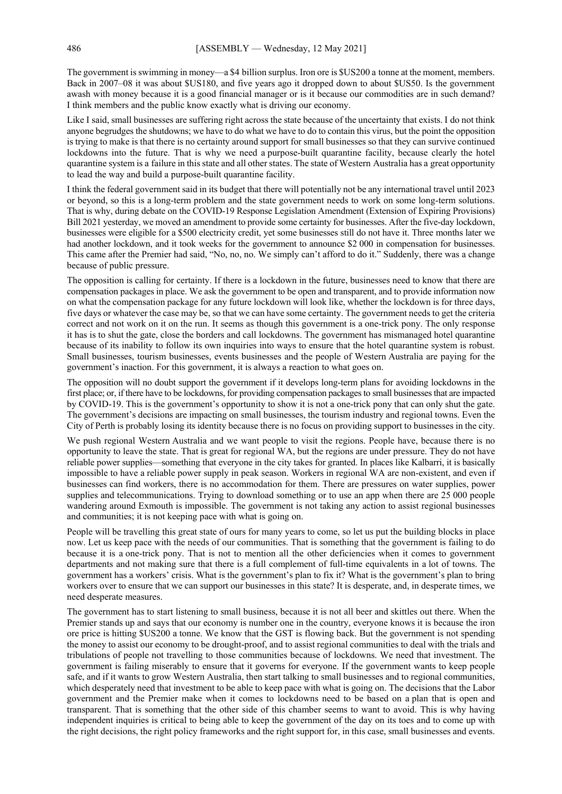The government is swimming in money—a \$4 billion surplus. Iron ore is \$US200 a tonne at the moment, members. Back in 2007–08 it was about \$US180, and five years ago it dropped down to about \$US50. Is the government awash with money because it is a good financial manager or is it because our commodities are in such demand? I think members and the public know exactly what is driving our economy.

Like I said, small businesses are suffering right across the state because of the uncertainty that exists. I do not think anyone begrudges the shutdowns; we have to do what we have to do to contain this virus, but the point the opposition is trying to make is that there is no certainty around support for small businesses so that they can survive continued lockdowns into the future. That is why we need a purpose-built quarantine facility, because clearly the hotel quarantine system is a failure in this state and all other states. The state of Western Australia has a great opportunity to lead the way and build a purpose-built quarantine facility.

I think the federal government said in its budget that there will potentially not be any international travel until 2023 or beyond, so this is a long-term problem and the state government needs to work on some long-term solutions. That is why, during debate on the COVID-19 Response Legislation Amendment (Extension of Expiring Provisions) Bill 2021 yesterday, we moved an amendment to provide some certainty for businesses. After the five-day lockdown, businesses were eligible for a \$500 electricity credit, yet some businesses still do not have it. Three months later we had another lockdown, and it took weeks for the government to announce \$2 000 in compensation for businesses. This came after the Premier had said, "No, no, no. We simply can't afford to do it." Suddenly, there was a change because of public pressure.

The opposition is calling for certainty. If there is a lockdown in the future, businesses need to know that there are compensation packages in place. We ask the government to be open and transparent, and to provide information now on what the compensation package for any future lockdown will look like, whether the lockdown is for three days, five days or whatever the case may be, so that we can have some certainty. The government needs to get the criteria correct and not work on it on the run. It seems as though this government is a one-trick pony. The only response it has is to shut the gate, close the borders and call lockdowns. The government has mismanaged hotel quarantine because of its inability to follow its own inquiries into ways to ensure that the hotel quarantine system is robust. Small businesses, tourism businesses, events businesses and the people of Western Australia are paying for the government's inaction. For this government, it is always a reaction to what goes on.

The opposition will no doubt support the government if it develops long-term plans for avoiding lockdowns in the first place; or, if there have to be lockdowns, for providing compensation packages to small businesses that are impacted by COVID-19. This is the government's opportunity to show it is not a one-trick pony that can only shut the gate. The government's decisions are impacting on small businesses, the tourism industry and regional towns. Even the City of Perth is probably losing its identity because there is no focus on providing support to businesses in the city.

We push regional Western Australia and we want people to visit the regions. People have, because there is no opportunity to leave the state. That is great for regional WA, but the regions are under pressure. They do not have reliable power supplies—something that everyone in the city takes for granted. In places like Kalbarri, it is basically impossible to have a reliable power supply in peak season. Workers in regional WA are non-existent, and even if businesses can find workers, there is no accommodation for them. There are pressures on water supplies, power supplies and telecommunications. Trying to download something or to use an app when there are 25 000 people wandering around Exmouth is impossible. The government is not taking any action to assist regional businesses and communities; it is not keeping pace with what is going on.

People will be travelling this great state of ours for many years to come, so let us put the building blocks in place now. Let us keep pace with the needs of our communities. That is something that the government is failing to do because it is a one-trick pony. That is not to mention all the other deficiencies when it comes to government departments and not making sure that there is a full complement of full-time equivalents in a lot of towns. The government has a workers' crisis. What is the government's plan to fix it? What is the government's plan to bring workers over to ensure that we can support our businesses in this state? It is desperate, and, in desperate times, we need desperate measures.

The government has to start listening to small business, because it is not all beer and skittles out there. When the Premier stands up and says that our economy is number one in the country, everyone knows it is because the iron ore price is hitting \$US200 a tonne. We know that the GST is flowing back. But the government is not spending the money to assist our economy to be drought-proof, and to assist regional communities to deal with the trials and tribulations of people not travelling to those communities because of lockdowns. We need that investment. The government is failing miserably to ensure that it governs for everyone. If the government wants to keep people safe, and if it wants to grow Western Australia, then start talking to small businesses and to regional communities, which desperately need that investment to be able to keep pace with what is going on. The decisions that the Labor government and the Premier make when it comes to lockdowns need to be based on a plan that is open and transparent. That is something that the other side of this chamber seems to want to avoid. This is why having independent inquiries is critical to being able to keep the government of the day on its toes and to come up with the right decisions, the right policy frameworks and the right support for, in this case, small businesses and events.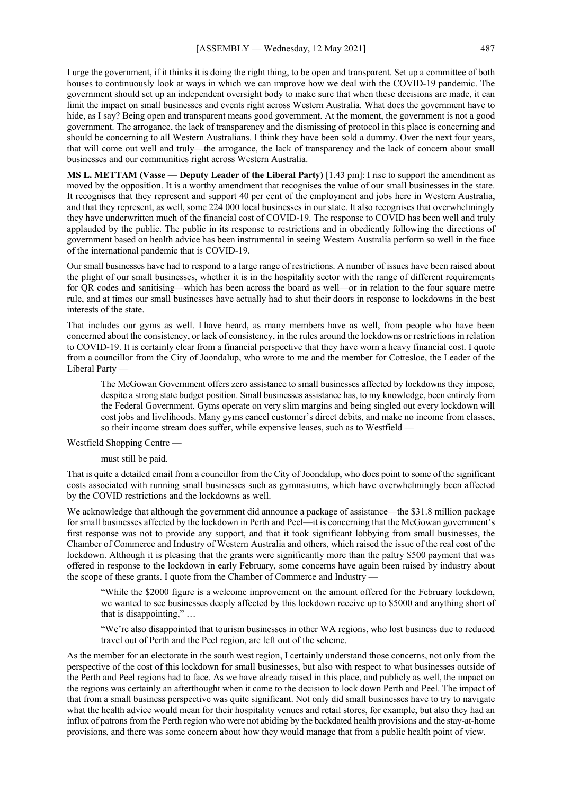I urge the government, if it thinks it is doing the right thing, to be open and transparent. Set up a committee of both houses to continuously look at ways in which we can improve how we deal with the COVID-19 pandemic. The government should set up an independent oversight body to make sure that when these decisions are made, it can limit the impact on small businesses and events right across Western Australia. What does the government have to hide, as I say? Being open and transparent means good government. At the moment, the government is not a good government. The arrogance, the lack of transparency and the dismissing of protocol in this place is concerning and should be concerning to all Western Australians. I think they have been sold a dummy. Over the next four years, that will come out well and truly—the arrogance, the lack of transparency and the lack of concern about small businesses and our communities right across Western Australia.

**MS L. METTAM (Vasse — Deputy Leader of the Liberal Party)** [1.43 pm]: I rise to support the amendment as moved by the opposition. It is a worthy amendment that recognises the value of our small businesses in the state. It recognises that they represent and support 40 per cent of the employment and jobs here in Western Australia, and that they represent, as well, some 224 000 local businesses in our state. It also recognises that overwhelmingly they have underwritten much of the financial cost of COVID-19. The response to COVID has been well and truly applauded by the public. The public in its response to restrictions and in obediently following the directions of government based on health advice has been instrumental in seeing Western Australia perform so well in the face of the international pandemic that is COVID-19.

Our small businesses have had to respond to a large range of restrictions. A number of issues have been raised about the plight of our small businesses, whether it is in the hospitality sector with the range of different requirements for QR codes and sanitising—which has been across the board as well—or in relation to the four square metre rule, and at times our small businesses have actually had to shut their doors in response to lockdowns in the best interests of the state.

That includes our gyms as well. I have heard, as many members have as well, from people who have been concerned about the consistency, or lack of consistency, in the rules around the lockdowns or restrictions in relation to COVID-19. It is certainly clear from a financial perspective that they have worn a heavy financial cost. I quote from a councillor from the City of Joondalup, who wrote to me and the member for Cottesloe, the Leader of the Liberal Party —

The McGowan Government offers zero assistance to small businesses affected by lockdowns they impose, despite a strong state budget position. Small businesses assistance has, to my knowledge, been entirely from the Federal Government. Gyms operate on very slim margins and being singled out every lockdown will cost jobs and livelihoods. Many gyms cancel customer's direct debits, and make no income from classes, so their income stream does suffer, while expensive leases, such as to Westfield —

Westfield Shopping Centre —

must still be paid.

That is quite a detailed email from a councillor from the City of Joondalup, who does point to some of the significant costs associated with running small businesses such as gymnasiums, which have overwhelmingly been affected by the COVID restrictions and the lockdowns as well.

We acknowledge that although the government did announce a package of assistance—the \$31.8 million package for small businesses affected by the lockdown in Perth and Peel—it is concerning that the McGowan government's first response was not to provide any support, and that it took significant lobbying from small businesses, the Chamber of Commerce and Industry of Western Australia and others, which raised the issue of the real cost of the lockdown. Although it is pleasing that the grants were significantly more than the paltry \$500 payment that was offered in response to the lockdown in early February, some concerns have again been raised by industry about the scope of these grants. I quote from the Chamber of Commerce and Industry —

"While the \$2000 figure is a welcome improvement on the amount offered for the February lockdown, we wanted to see businesses deeply affected by this lockdown receive up to \$5000 and anything short of that is disappointing," …

"We're also disappointed that tourism businesses in other WA regions, who lost business due to reduced travel out of Perth and the Peel region, are left out of the scheme.

As the member for an electorate in the south west region, I certainly understand those concerns, not only from the perspective of the cost of this lockdown for small businesses, but also with respect to what businesses outside of the Perth and Peel regions had to face. As we have already raised in this place, and publicly as well, the impact on the regions was certainly an afterthought when it came to the decision to lock down Perth and Peel. The impact of that from a small business perspective was quite significant. Not only did small businesses have to try to navigate what the health advice would mean for their hospitality venues and retail stores, for example, but also they had an influx of patrons from the Perth region who were not abiding by the backdated health provisions and the stay-at-home provisions, and there was some concern about how they would manage that from a public health point of view.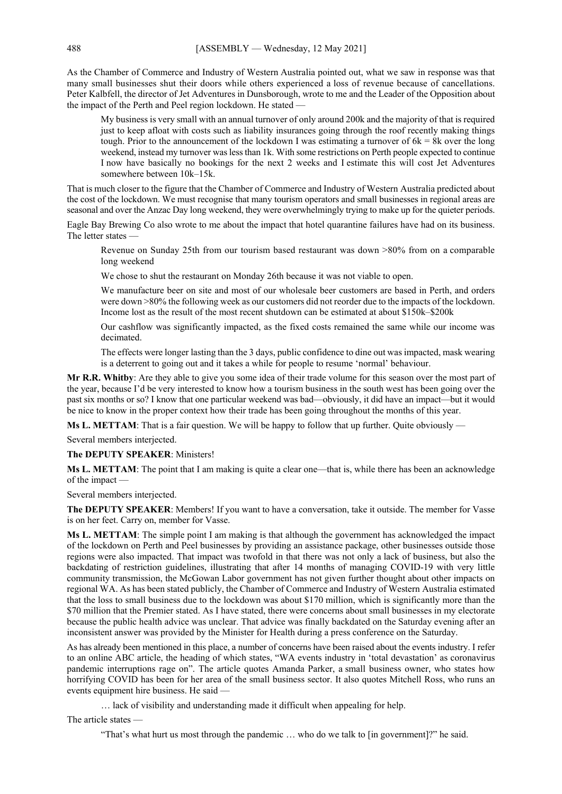As the Chamber of Commerce and Industry of Western Australia pointed out, what we saw in response was that many small businesses shut their doors while others experienced a loss of revenue because of cancellations. Peter Kalbfell, the director of Jet Adventures in Dunsborough, wrote to me and the Leader of the Opposition about the impact of the Perth and Peel region lockdown. He stated -

My business is very small with an annual turnover of only around 200k and the majority of that is required just to keep afloat with costs such as liability insurances going through the roof recently making things tough. Prior to the announcement of the lockdown I was estimating a turnover of  $6k = 8k$  over the long weekend, instead my turnover was less than 1k. With some restrictions on Perth people expected to continue I now have basically no bookings for the next 2 weeks and I estimate this will cost Jet Adventures somewhere between 10k–15k.

That is much closer to the figure that the Chamber of Commerce and Industry of Western Australia predicted about the cost of the lockdown. We must recognise that many tourism operators and small businesses in regional areas are seasonal and over the Anzac Day long weekend, they were overwhelmingly trying to make up for the quieter periods.

Eagle Bay Brewing Co also wrote to me about the impact that hotel quarantine failures have had on its business. The letter states —

Revenue on Sunday 25th from our tourism based restaurant was down >80% from on a comparable long weekend

We chose to shut the restaurant on Monday 26th because it was not viable to open.

We manufacture beer on site and most of our wholesale beer customers are based in Perth, and orders were down >80% the following week as our customers did not reorder due to the impacts of the lockdown. Income lost as the result of the most recent shutdown can be estimated at about \$150k–\$200k

Our cashflow was significantly impacted, as the fixed costs remained the same while our income was decimated.

The effects were longer lasting than the 3 days, public confidence to dine out was impacted, mask wearing is a deterrent to going out and it takes a while for people to resume 'normal' behaviour.

**Mr R.R. Whitby**: Are they able to give you some idea of their trade volume for this season over the most part of the year, because I'd be very interested to know how a tourism business in the south west has been going over the past six months or so? I know that one particular weekend was bad—obviously, it did have an impact—but it would be nice to know in the proper context how their trade has been going throughout the months of this year.

**Ms L. METTAM**: That is a fair question. We will be happy to follow that up further. Quite obviously —

Several members interjected.

**The DEPUTY SPEAKER**: Ministers!

**Ms L. METTAM**: The point that I am making is quite a clear one—that is, while there has been an acknowledge of the impact —

Several members interjected.

**The DEPUTY SPEAKER**: Members! If you want to have a conversation, take it outside. The member for Vasse is on her feet. Carry on, member for Vasse.

**Ms L. METTAM**: The simple point I am making is that although the government has acknowledged the impact of the lockdown on Perth and Peel businesses by providing an assistance package, other businesses outside those regions were also impacted. That impact was twofold in that there was not only a lack of business, but also the backdating of restriction guidelines, illustrating that after 14 months of managing COVID-19 with very little community transmission, the McGowan Labor government has not given further thought about other impacts on regional WA. As has been stated publicly, the Chamber of Commerce and Industry of Western Australia estimated that the loss to small business due to the lockdown was about \$170 million, which is significantly more than the \$70 million that the Premier stated. As I have stated, there were concerns about small businesses in my electorate because the public health advice was unclear. That advice was finally backdated on the Saturday evening after an inconsistent answer was provided by the Minister for Health during a press conference on the Saturday.

As has already been mentioned in this place, a number of concerns have been raised about the events industry. I refer to an online ABC article, the heading of which states, "WA events industry in 'total devastation' as coronavirus pandemic interruptions rage on". The article quotes Amanda Parker, a small business owner, who states how horrifying COVID has been for her area of the small business sector. It also quotes Mitchell Ross, who runs an events equipment hire business. He said —

… lack of visibility and understanding made it difficult when appealing for help.

The article states —

"That's what hurt us most through the pandemic … who do we talk to [in government]?" he said.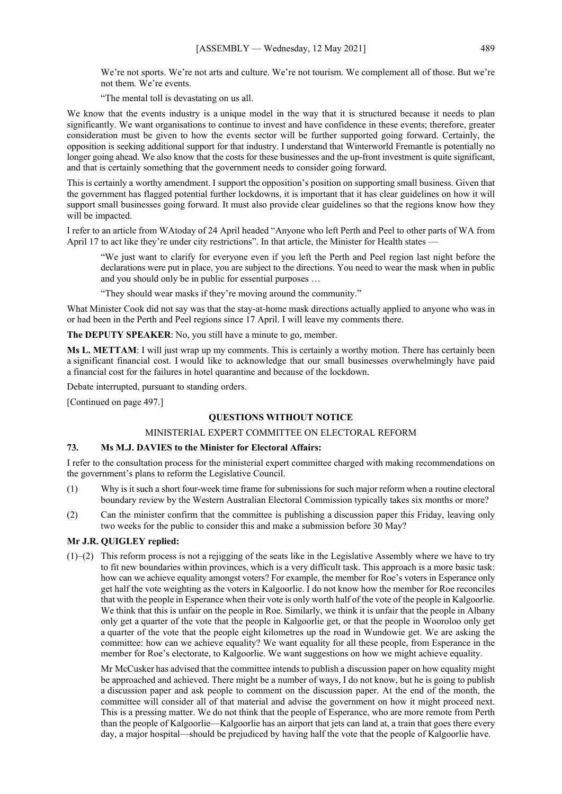We're not sports. We're not arts and culture. We're not tourism. We complement all of those. But we're not them. We're events.

"The mental toll is devastating on us all.

We know that the events industry is a unique model in the way that it is structured because it needs to plan significantly. We want organisations to continue to invest and have confidence in these events; therefore, greater consideration must be given to how the events sector will be further supported going forward. Certainly, the opposition is seeking additional support for that industry. I understand that Winterworld Fremantle is potentially no longer going ahead. We also know that the costs for these businesses and the up-front investment is quite significant, and that is certainly something that the government needs to consider going forward.

This is certainly a worthy amendment. I support the opposition's position on supporting small business. Given that the government has flagged potential further lockdowns, it is important that it has clear guidelines on how it will support small businesses going forward. It must also provide clear guidelines so that the regions know how they will be impacted.

I refer to an article from WAtoday of 24 April headed "Anyone who left Perth and Peel to other parts of WA from April 17 to act like they're under city restrictions". In that article, the Minister for Health states

"We just want to clarify for everyone even if you left the Perth and Peel region last night before the declarations were put in place, you are subject to the directions. You need to wear the mask when in public and you should only be in public for essential purposes …

"They should wear masks if they're moving around the community."

What Minister Cook did not say was that the stay-at-home mask directions actually applied to anyone who was in or had been in the Perth and Peel regions since 17 April. I will leave my comments there.

**The DEPUTY SPEAKER**: No, you still have a minute to go, member.

**Ms L. METTAM**: I will just wrap up my comments. This is certainly a worthy motion. There has certainly been a significant financial cost. I would like to acknowledge that our small businesses overwhelmingly have paid a financial cost for the failures in hotel quarantine and because of the lockdown.

Debate interrupted, pursuant to standing orders.

[Continued on page 497.]

# **QUESTIONS WITHOUT NOTICE**

# MINISTERIAL EXPERT COMMITTEE ON ELECTORAL REFORM

## **73. Ms M.J. DAVIES to the Minister for Electoral Affairs:**

I refer to the consultation process for the ministerial expert committee charged with making recommendations on the government's plans to reform the Legislative Council.

- (1) Why is it such a short four-week time frame for submissions for such major reform when a routine electoral boundary review by the Western Australian Electoral Commission typically takes six months or more?
- (2) Can the minister confirm that the committee is publishing a discussion paper this Friday, leaving only two weeks for the public to consider this and make a submission before 30 May?

## **Mr J.R. QUIGLEY replied:**

 $(1)$ –(2) This reform process is not a rejigging of the seats like in the Legislative Assembly where we have to try to fit new boundaries within provinces, which is a very difficult task. This approach is a more basic task: how can we achieve equality amongst voters? For example, the member for Roe's voters in Esperance only get half the vote weighting as the voters in Kalgoorlie. I do not know how the member for Roe reconciles that with the people in Esperance when their vote is only worth half of the vote of the people in Kalgoorlie. We think that this is unfair on the people in Roe. Similarly, we think it is unfair that the people in Albany only get a quarter of the vote that the people in Kalgoorlie get, or that the people in Wooroloo only get a quarter of the vote that the people eight kilometres up the road in Wundowie get. We are asking the committee: how can we achieve equality? We want equality for all these people, from Esperance in the member for Roe's electorate, to Kalgoorlie. We want suggestions on how we might achieve equality.

Mr McCusker has advised that the committee intends to publish a discussion paper on how equality might be approached and achieved. There might be a number of ways, I do not know, but he is going to publish a discussion paper and ask people to comment on the discussion paper. At the end of the month, the committee will consider all of that material and advise the government on how it might proceed next. This is a pressing matter. We do not think that the people of Esperance, who are more remote from Perth than the people of Kalgoorlie—Kalgoorlie has an airport that jets can land at, a train that goes there every day, a major hospital—should be prejudiced by having half the vote that the people of Kalgoorlie have.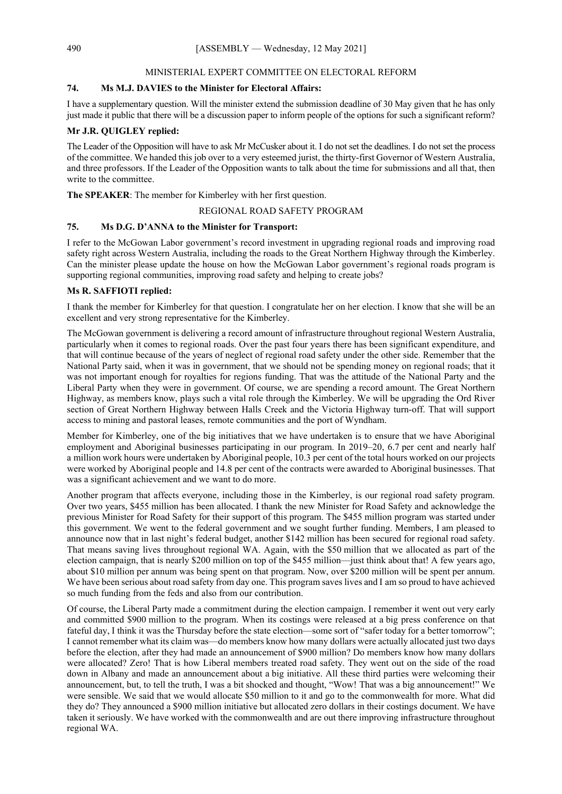#### MINISTERIAL EXPERT COMMITTEE ON ELECTORAL REFORM

# **74. Ms M.J. DAVIES to the Minister for Electoral Affairs:**

I have a supplementary question. Will the minister extend the submission deadline of 30 May given that he has only just made it public that there will be a discussion paper to inform people of the options for such a significant reform?

# **Mr J.R. QUIGLEY replied:**

The Leader of the Opposition will have to ask Mr McCusker about it. I do not set the deadlines. I do not set the process of the committee. We handed this job over to a very esteemed jurist, the thirty-first Governor of Western Australia, and three professors. If the Leader of the Opposition wants to talk about the time for submissions and all that, then write to the committee.

**The SPEAKER**: The member for Kimberley with her first question.

## REGIONAL ROAD SAFETY PROGRAM

# **75. Ms D.G. D'ANNA to the Minister for Transport:**

I refer to the McGowan Labor government's record investment in upgrading regional roads and improving road safety right across Western Australia, including the roads to the Great Northern Highway through the Kimberley. Can the minister please update the house on how the McGowan Labor government's regional roads program is supporting regional communities, improving road safety and helping to create jobs?

### **Ms R. SAFFIOTI replied:**

I thank the member for Kimberley for that question. I congratulate her on her election. I know that she will be an excellent and very strong representative for the Kimberley.

The McGowan government is delivering a record amount of infrastructure throughout regional Western Australia, particularly when it comes to regional roads. Over the past four years there has been significant expenditure, and that will continue because of the years of neglect of regional road safety under the other side. Remember that the National Party said, when it was in government, that we should not be spending money on regional roads; that it was not important enough for royalties for regions funding. That was the attitude of the National Party and the Liberal Party when they were in government. Of course, we are spending a record amount. The Great Northern Highway, as members know, plays such a vital role through the Kimberley. We will be upgrading the Ord River section of Great Northern Highway between Halls Creek and the Victoria Highway turn-off. That will support access to mining and pastoral leases, remote communities and the port of Wyndham.

Member for Kimberley, one of the big initiatives that we have undertaken is to ensure that we have Aboriginal employment and Aboriginal businesses participating in our program. In 2019–20, 6.7 per cent and nearly half a million work hours were undertaken by Aboriginal people, 10.3 per cent of the total hours worked on our projects were worked by Aboriginal people and 14.8 per cent of the contracts were awarded to Aboriginal businesses. That was a significant achievement and we want to do more.

Another program that affects everyone, including those in the Kimberley, is our regional road safety program. Over two years, \$455 million has been allocated. I thank the new Minister for Road Safety and acknowledge the previous Minister for Road Safety for their support of this program. The \$455 million program was started under this government. We went to the federal government and we sought further funding. Members, I am pleased to announce now that in last night's federal budget, another \$142 million has been secured for regional road safety. That means saving lives throughout regional WA. Again, with the \$50 million that we allocated as part of the election campaign, that is nearly \$200 million on top of the \$455 million—just think about that! A few years ago, about \$10 million per annum was being spent on that program. Now, over \$200 million will be spent per annum. We have been serious about road safety from day one. This program saves lives and I am so proud to have achieved so much funding from the feds and also from our contribution.

Of course, the Liberal Party made a commitment during the election campaign. I remember it went out very early and committed \$900 million to the program. When its costings were released at a big press conference on that fateful day, I think it was the Thursday before the state election—some sort of "safer today for a better tomorrow"; I cannot remember what its claim was—do members know how many dollars were actually allocated just two days before the election, after they had made an announcement of \$900 million? Do members know how many dollars were allocated? Zero! That is how Liberal members treated road safety. They went out on the side of the road down in Albany and made an announcement about a big initiative. All these third parties were welcoming their announcement, but, to tell the truth, I was a bit shocked and thought, "Wow! That was a big announcement!" We were sensible. We said that we would allocate \$50 million to it and go to the commonwealth for more. What did they do? They announced a \$900 million initiative but allocated zero dollars in their costings document. We have taken it seriously. We have worked with the commonwealth and are out there improving infrastructure throughout regional WA.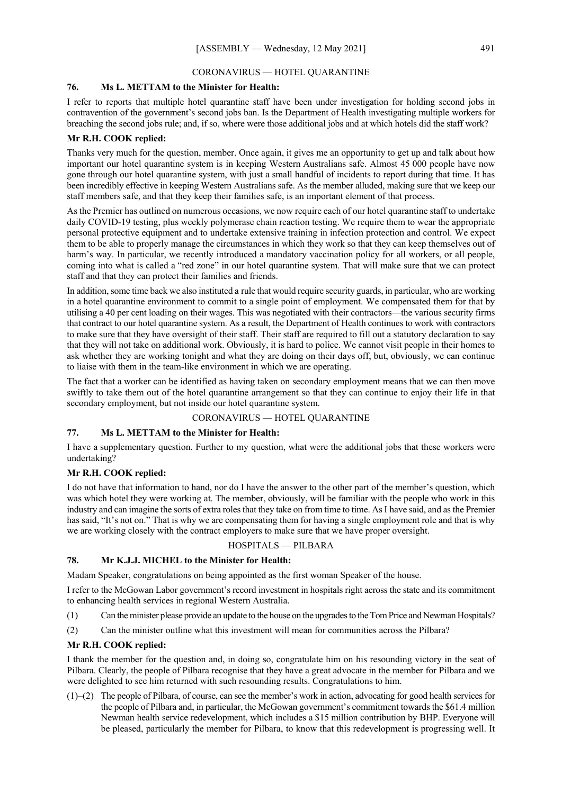# CORONAVIRUS — HOTEL QUARANTINE

# **76. Ms L. METTAM to the Minister for Health:**

I refer to reports that multiple hotel quarantine staff have been under investigation for holding second jobs in contravention of the government's second jobs ban. Is the Department of Health investigating multiple workers for breaching the second jobs rule; and, if so, where were those additional jobs and at which hotels did the staff work?

# **Mr R.H. COOK replied:**

Thanks very much for the question, member. Once again, it gives me an opportunity to get up and talk about how important our hotel quarantine system is in keeping Western Australians safe. Almost 45 000 people have now gone through our hotel quarantine system, with just a small handful of incidents to report during that time. It has been incredibly effective in keeping Western Australians safe. As the member alluded, making sure that we keep our staff members safe, and that they keep their families safe, is an important element of that process.

As the Premier has outlined on numerous occasions, we now require each of our hotel quarantine staff to undertake daily COVID-19 testing, plus weekly polymerase chain reaction testing. We require them to wear the appropriate personal protective equipment and to undertake extensive training in infection protection and control. We expect them to be able to properly manage the circumstances in which they work so that they can keep themselves out of harm's way. In particular, we recently introduced a mandatory vaccination policy for all workers, or all people, coming into what is called a "red zone" in our hotel quarantine system. That will make sure that we can protect staff and that they can protect their families and friends.

In addition, some time back we also instituted a rule that would require security guards, in particular, who are working in a hotel quarantine environment to commit to a single point of employment. We compensated them for that by utilising a 40 per cent loading on their wages. This was negotiated with their contractors—the various security firms that contract to our hotel quarantine system. As a result, the Department of Health continues to work with contractors to make sure that they have oversight of their staff. Their staff are required to fill out a statutory declaration to say that they will not take on additional work. Obviously, it is hard to police. We cannot visit people in their homes to ask whether they are working tonight and what they are doing on their days off, but, obviously, we can continue to liaise with them in the team-like environment in which we are operating.

The fact that a worker can be identified as having taken on secondary employment means that we can then move swiftly to take them out of the hotel quarantine arrangement so that they can continue to enjoy their life in that secondary employment, but not inside our hotel quarantine system.

## CORONAVIRUS — HOTEL QUARANTINE

# **77. Ms L. METTAM to the Minister for Health:**

I have a supplementary question. Further to my question, what were the additional jobs that these workers were undertaking?

# **Mr R.H. COOK replied:**

I do not have that information to hand, nor do I have the answer to the other part of the member's question, which was which hotel they were working at. The member, obviously, will be familiar with the people who work in this industry and can imagine the sorts of extra roles that they take on from time to time. As I have said, and as the Premier has said, "It's not on." That is why we are compensating them for having a single employment role and that is why we are working closely with the contract employers to make sure that we have proper oversight.

# HOSPITALS — PILBARA

## **78. Mr K.J.J. MICHEL to the Minister for Health:**

Madam Speaker, congratulations on being appointed as the first woman Speaker of the house.

I refer to the McGowan Labor government's record investment in hospitals right across the state and its commitment to enhancing health services in regional Western Australia.

- (1) Can the minister please provide an update to the house on the upgrades to the Tom Price and Newman Hospitals?
- (2) Can the minister outline what this investment will mean for communities across the Pilbara?

# **Mr R.H. COOK replied:**

I thank the member for the question and, in doing so, congratulate him on his resounding victory in the seat of Pilbara. Clearly, the people of Pilbara recognise that they have a great advocate in the member for Pilbara and we were delighted to see him returned with such resounding results. Congratulations to him.

(1)–(2) The people of Pilbara, of course, can see the member's work in action, advocating for good health services for the people of Pilbara and, in particular, the McGowan government's commitment towards the \$61.4 million Newman health service redevelopment, which includes a \$15 million contribution by BHP. Everyone will be pleased, particularly the member for Pilbara, to know that this redevelopment is progressing well. It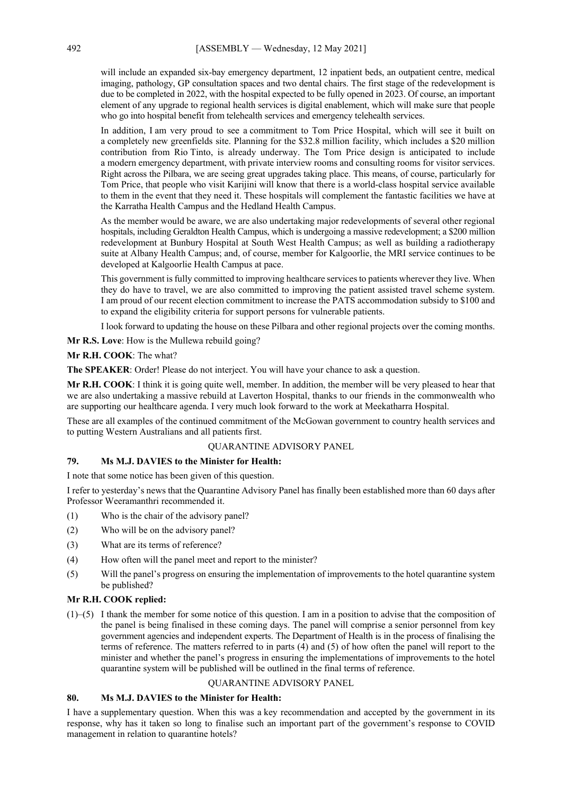will include an expanded six-bay emergency department, 12 inpatient beds, an outpatient centre, medical imaging, pathology, GP consultation spaces and two dental chairs. The first stage of the redevelopment is due to be completed in 2022, with the hospital expected to be fully opened in 2023. Of course, an important element of any upgrade to regional health services is digital enablement, which will make sure that people who go into hospital benefit from telehealth services and emergency telehealth services.

In addition, I am very proud to see a commitment to Tom Price Hospital, which will see it built on a completely new greenfields site. Planning for the \$32.8 million facility, which includes a \$20 million contribution from Rio Tinto, is already underway. The Tom Price design is anticipated to include a modern emergency department, with private interview rooms and consulting rooms for visitor services. Right across the Pilbara, we are seeing great upgrades taking place. This means, of course, particularly for Tom Price, that people who visit Karijini will know that there is a world-class hospital service available to them in the event that they need it. These hospitals will complement the fantastic facilities we have at the Karratha Health Campus and the Hedland Health Campus.

As the member would be aware, we are also undertaking major redevelopments of several other regional hospitals, including Geraldton Health Campus, which is undergoing a massive redevelopment; a \$200 million redevelopment at Bunbury Hospital at South West Health Campus; as well as building a radiotherapy suite at Albany Health Campus; and, of course, member for Kalgoorlie, the MRI service continues to be developed at Kalgoorlie Health Campus at pace.

This government is fully committed to improving healthcare services to patients wherever they live. When they do have to travel, we are also committed to improving the patient assisted travel scheme system. I am proud of our recent election commitment to increase the PATS accommodation subsidy to \$100 and to expand the eligibility criteria for support persons for vulnerable patients.

I look forward to updating the house on these Pilbara and other regional projects over the coming months.

**Mr R.S. Love**: How is the Mullewa rebuild going?

**Mr R.H. COOK**: The what?

**The SPEAKER**: Order! Please do not interject. You will have your chance to ask a question.

**Mr R.H. COOK**: I think it is going quite well, member. In addition, the member will be very pleased to hear that we are also undertaking a massive rebuild at Laverton Hospital, thanks to our friends in the commonwealth who are supporting our healthcare agenda. I very much look forward to the work at Meekatharra Hospital.

These are all examples of the continued commitment of the McGowan government to country health services and to putting Western Australians and all patients first.

## QUARANTINE ADVISORY PANEL

# **79. Ms M.J. DAVIES to the Minister for Health:**

I note that some notice has been given of this question.

I refer to yesterday's news that the Quarantine Advisory Panel has finally been established more than 60 days after Professor Weeramanthri recommended it.

- (1) Who is the chair of the advisory panel?
- (2) Who will be on the advisory panel?
- (3) What are its terms of reference?
- (4) How often will the panel meet and report to the minister?
- (5) Will the panel's progress on ensuring the implementation of improvements to the hotel quarantine system be published?

## **Mr R.H. COOK replied:**

(1)–(5) I thank the member for some notice of this question. I am in a position to advise that the composition of the panel is being finalised in these coming days. The panel will comprise a senior personnel from key government agencies and independent experts. The Department of Health is in the process of finalising the terms of reference. The matters referred to in parts  $(4)$  and  $(5)$  of how often the panel will report to the minister and whether the panel's progress in ensuring the implementations of improvements to the hotel quarantine system will be published will be outlined in the final terms of reference.

## QUARANTINE ADVISORY PANEL

# **80. Ms M.J. DAVIES to the Minister for Health:**

I have a supplementary question. When this was a key recommendation and accepted by the government in its response, why has it taken so long to finalise such an important part of the government's response to COVID management in relation to quarantine hotels?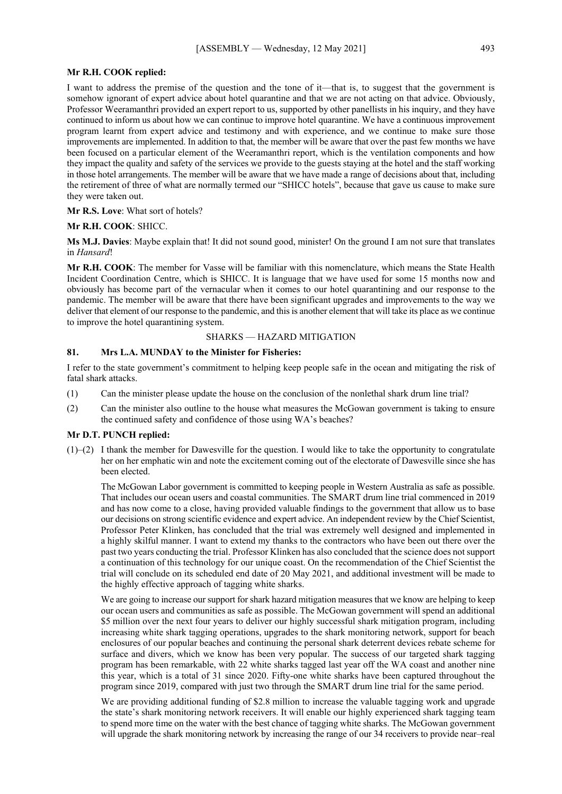#### **Mr R.H. COOK replied:**

I want to address the premise of the question and the tone of it—that is, to suggest that the government is somehow ignorant of expert advice about hotel quarantine and that we are not acting on that advice. Obviously, Professor Weeramanthri provided an expert report to us, supported by other panellists in his inquiry, and they have continued to inform us about how we can continue to improve hotel quarantine. We have a continuous improvement program learnt from expert advice and testimony and with experience, and we continue to make sure those improvements are implemented. In addition to that, the member will be aware that over the past few months we have been focused on a particular element of the Weeramanthri report, which is the ventilation components and how they impact the quality and safety of the services we provide to the guests staying at the hotel and the staff working in those hotel arrangements. The member will be aware that we have made a range of decisions about that, including the retirement of three of what are normally termed our "SHICC hotels", because that gave us cause to make sure they were taken out.

**Mr R.S. Love**: What sort of hotels?

#### **Mr R.H. COOK**: SHICC.

**Ms M.J. Davies**: Maybe explain that! It did not sound good, minister! On the ground I am not sure that translates in *Hansard*!

**Mr R.H. COOK**: The member for Vasse will be familiar with this nomenclature, which means the State Health Incident Coordination Centre, which is SHICC. It is language that we have used for some 15 months now and obviously has become part of the vernacular when it comes to our hotel quarantining and our response to the pandemic. The member will be aware that there have been significant upgrades and improvements to the way we deliver that element of our response to the pandemic, and this is another element that will take its place as we continue to improve the hotel quarantining system.

# SHARKS — HAZARD MITIGATION

#### **81. Mrs L.A. MUNDAY to the Minister for Fisheries:**

I refer to the state government's commitment to helping keep people safe in the ocean and mitigating the risk of fatal shark attacks.

- (1) Can the minister please update the house on the conclusion of the nonlethal shark drum line trial?
- (2) Can the minister also outline to the house what measures the McGowan government is taking to ensure the continued safety and confidence of those using WA's beaches?

#### **Mr D.T. PUNCH replied:**

 $(1)$ –(2) I thank the member for Dawesville for the question. I would like to take the opportunity to congratulate her on her emphatic win and note the excitement coming out of the electorate of Dawesville since she has been elected.

The McGowan Labor government is committed to keeping people in Western Australia as safe as possible. That includes our ocean users and coastal communities. The SMART drum line trial commenced in 2019 and has now come to a close, having provided valuable findings to the government that allow us to base our decisions on strong scientific evidence and expert advice. An independent review by the Chief Scientist, Professor Peter Klinken, has concluded that the trial was extremely well designed and implemented in a highly skilful manner. I want to extend my thanks to the contractors who have been out there over the past two years conducting the trial. Professor Klinken has also concluded that the science does not support a continuation of this technology for our unique coast. On the recommendation of the Chief Scientist the trial will conclude on its scheduled end date of 20 May 2021, and additional investment will be made to the highly effective approach of tagging white sharks.

We are going to increase our support for shark hazard mitigation measures that we know are helping to keep our ocean users and communities as safe as possible. The McGowan government will spend an additional \$5 million over the next four years to deliver our highly successful shark mitigation program, including increasing white shark tagging operations, upgrades to the shark monitoring network, support for beach enclosures of our popular beaches and continuing the personal shark deterrent devices rebate scheme for surface and divers, which we know has been very popular. The success of our targeted shark tagging program has been remarkable, with 22 white sharks tagged last year off the WA coast and another nine this year, which is a total of 31 since 2020. Fifty-one white sharks have been captured throughout the program since 2019, compared with just two through the SMART drum line trial for the same period.

We are providing additional funding of \$2.8 million to increase the valuable tagging work and upgrade the state's shark monitoring network receivers. It will enable our highly experienced shark tagging team to spend more time on the water with the best chance of tagging white sharks. The McGowan government will upgrade the shark monitoring network by increasing the range of our 34 receivers to provide near–real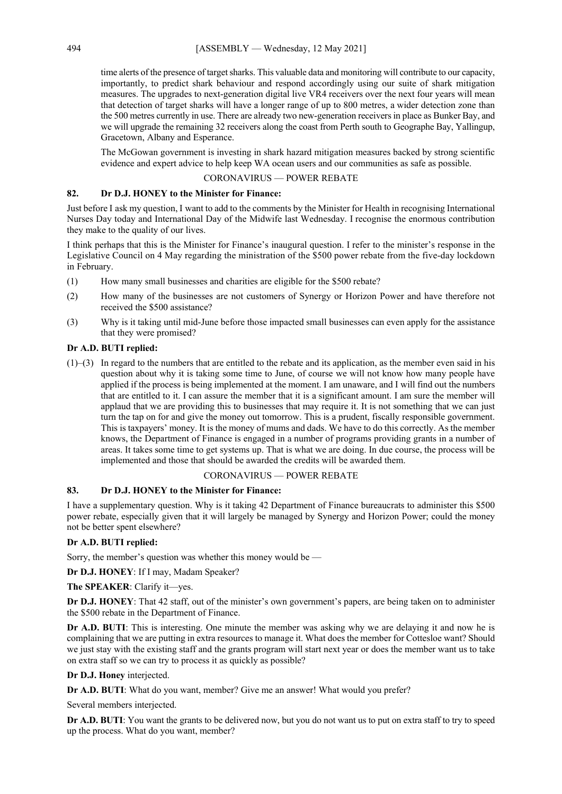time alerts of the presence of target sharks. This valuable data and monitoring will contribute to our capacity, importantly, to predict shark behaviour and respond accordingly using our suite of shark mitigation measures. The upgrades to next-generation digital live VR4 receivers over the next four years will mean that detection of target sharks will have a longer range of up to 800 metres, a wider detection zone than the 500 metres currently in use. There are already two new-generation receivers in place as Bunker Bay, and we will upgrade the remaining 32 receivers along the coast from Perth south to Geographe Bay, Yallingup, Gracetown, Albany and Esperance.

The McGowan government is investing in shark hazard mitigation measures backed by strong scientific evidence and expert advice to help keep WA ocean users and our communities as safe as possible.

## CORONAVIRUS — POWER REBATE

## **82. Dr D.J. HONEY to the Minister for Finance:**

Just before I ask my question, I want to add to the comments by the Minister for Health in recognising International Nurses Day today and International Day of the Midwife last Wednesday. I recognise the enormous contribution they make to the quality of our lives.

I think perhaps that this is the Minister for Finance's inaugural question. I refer to the minister's response in the Legislative Council on 4 May regarding the ministration of the \$500 power rebate from the five-day lockdown in February.

- (1) How many small businesses and charities are eligible for the \$500 rebate?
- (2) How many of the businesses are not customers of Synergy or Horizon Power and have therefore not received the \$500 assistance?
- (3) Why is it taking until mid-June before those impacted small businesses can even apply for the assistance that they were promised?

# **Dr A.D. BUTI replied:**

(1)–(3) In regard to the numbers that are entitled to the rebate and its application, as the member even said in his question about why it is taking some time to June, of course we will not know how many people have applied if the process is being implemented at the moment. I am unaware, and I will find out the numbers that are entitled to it. I can assure the member that it is a significant amount. I am sure the member will applaud that we are providing this to businesses that may require it. It is not something that we can just turn the tap on for and give the money out tomorrow. This is a prudent, fiscally responsible government. This is taxpayers' money. It is the money of mums and dads. We have to do this correctly. As the member knows, the Department of Finance is engaged in a number of programs providing grants in a number of areas. It takes some time to get systems up. That is what we are doing. In due course, the process will be implemented and those that should be awarded the credits will be awarded them.

## CORONAVIRUS — POWER REBATE

# **83. Dr D.J. HONEY to the Minister for Finance:**

I have a supplementary question. Why is it taking 42 Department of Finance bureaucrats to administer this \$500 power rebate, especially given that it will largely be managed by Synergy and Horizon Power; could the money not be better spent elsewhere?

## **Dr A.D. BUTI replied:**

Sorry, the member's question was whether this money would be —

**Dr D.J. HONEY**: If I may, Madam Speaker?

**The SPEAKER**: Clarify it—yes.

**Dr D.J. HONEY**: That 42 staff, out of the minister's own government's papers, are being taken on to administer the \$500 rebate in the Department of Finance.

**Dr A.D. BUTI:** This is interesting. One minute the member was asking why we are delaying it and now he is complaining that we are putting in extra resources to manage it. What does the member for Cottesloe want? Should we just stay with the existing staff and the grants program will start next year or does the member want us to take on extra staff so we can try to process it as quickly as possible?

**Dr D.J. Honey** interjected.

**Dr A.D. BUTI**: What do you want, member? Give me an answer! What would you prefer?

Several members interjected.

**Dr A.D. BUTI**: You want the grants to be delivered now, but you do not want us to put on extra staff to try to speed up the process. What do you want, member?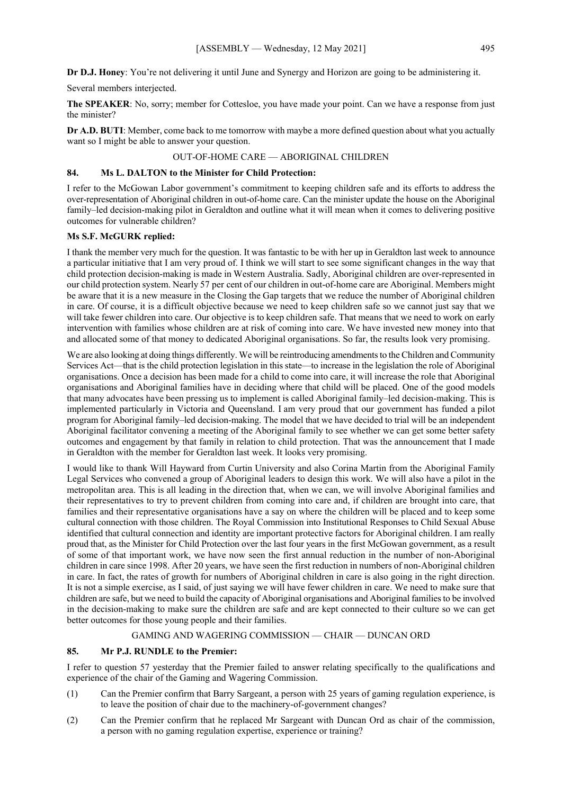**Dr D.J. Honey**: You're not delivering it until June and Synergy and Horizon are going to be administering it.

Several members interjected.

**The SPEAKER**: No, sorry; member for Cottesloe, you have made your point. Can we have a response from just the minister?

**Dr A.D. BUTI**: Member, come back to me tomorrow with maybe a more defined question about what you actually want so I might be able to answer your question.

# OUT-OF-HOME CARE — ABORIGINAL CHILDREN

## **84. Ms L. DALTON to the Minister for Child Protection:**

I refer to the McGowan Labor government's commitment to keeping children safe and its efforts to address the over-representation of Aboriginal children in out-of-home care. Can the minister update the house on the Aboriginal family–led decision-making pilot in Geraldton and outline what it will mean when it comes to delivering positive outcomes for vulnerable children?

#### **Ms S.F. McGURK replied:**

I thank the member very much for the question. It was fantastic to be with her up in Geraldton last week to announce a particular initiative that I am very proud of. I think we will start to see some significant changes in the way that child protection decision-making is made in Western Australia. Sadly, Aboriginal children are over-represented in our child protection system. Nearly 57 per cent of our children in out-of-home care are Aboriginal. Members might be aware that it is a new measure in the Closing the Gap targets that we reduce the number of Aboriginal children in care. Of course, it is a difficult objective because we need to keep children safe so we cannot just say that we will take fewer children into care. Our objective is to keep children safe. That means that we need to work on early intervention with families whose children are at risk of coming into care. We have invested new money into that and allocated some of that money to dedicated Aboriginal organisations. So far, the results look very promising.

We are also looking at doing things differently. We will be reintroducing amendments to the Children and Community Services Act—that is the child protection legislation in this state—to increase in the legislation the role of Aboriginal organisations. Once a decision has been made for a child to come into care, it will increase the role that Aboriginal organisations and Aboriginal families have in deciding where that child will be placed. One of the good models that many advocates have been pressing us to implement is called Aboriginal family–led decision-making. This is implemented particularly in Victoria and Queensland. I am very proud that our government has funded a pilot program for Aboriginal family–led decision-making. The model that we have decided to trial will be an independent Aboriginal facilitator convening a meeting of the Aboriginal family to see whether we can get some better safety outcomes and engagement by that family in relation to child protection. That was the announcement that I made in Geraldton with the member for Geraldton last week. It looks very promising.

I would like to thank Will Hayward from Curtin University and also Corina Martin from the Aboriginal Family Legal Services who convened a group of Aboriginal leaders to design this work. We will also have a pilot in the metropolitan area. This is all leading in the direction that, when we can, we will involve Aboriginal families and their representatives to try to prevent children from coming into care and, if children are brought into care, that families and their representative organisations have a say on where the children will be placed and to keep some cultural connection with those children. The Royal Commission into Institutional Responses to Child Sexual Abuse identified that cultural connection and identity are important protective factors for Aboriginal children. I am really proud that, as the Minister for Child Protection over the last four years in the first McGowan government, as a result of some of that important work, we have now seen the first annual reduction in the number of non-Aboriginal children in care since 1998. After 20 years, we have seen the first reduction in numbers of non-Aboriginal children in care. In fact, the rates of growth for numbers of Aboriginal children in care is also going in the right direction. It is not a simple exercise, as I said, of just saying we will have fewer children in care. We need to make sure that children are safe, but we need to build the capacity of Aboriginal organisations and Aboriginal families to be involved in the decision-making to make sure the children are safe and are kept connected to their culture so we can get better outcomes for those young people and their families.

# GAMING AND WAGERING COMMISSION — CHAIR — DUNCAN ORD

#### **85. Mr P.J. RUNDLE to the Premier:**

I refer to question 57 yesterday that the Premier failed to answer relating specifically to the qualifications and experience of the chair of the Gaming and Wagering Commission.

- (1) Can the Premier confirm that Barry Sargeant, a person with 25 years of gaming regulation experience, is to leave the position of chair due to the machinery-of-government changes?
- (2) Can the Premier confirm that he replaced Mr Sargeant with Duncan Ord as chair of the commission, a person with no gaming regulation expertise, experience or training?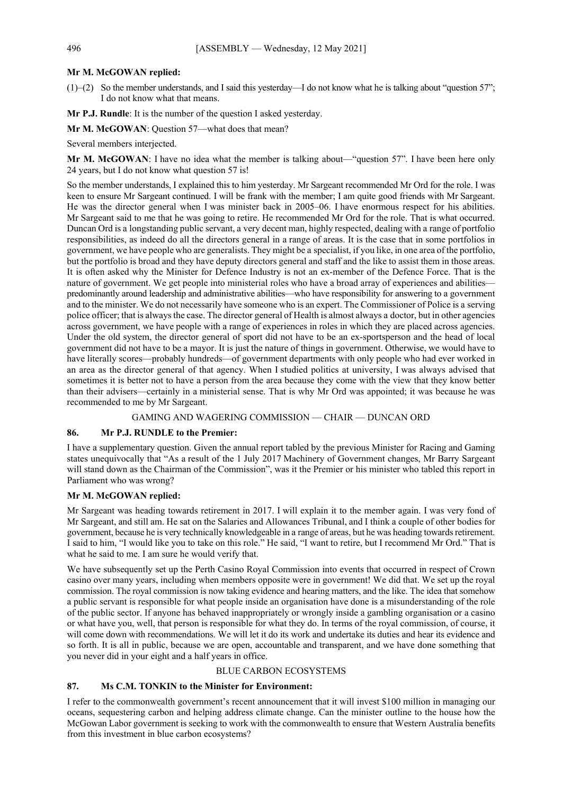## **Mr M. McGOWAN replied:**

 $(1)$ –(2) So the member understands, and I said this yesterday—I do not know what he is talking about "question 57"; I do not know what that means.

**Mr P.J. Rundle**: It is the number of the question I asked yesterday.

**Mr M. McGOWAN**: Question 57—what does that mean?

Several members interjected.

**Mr M. McGOWAN**: I have no idea what the member is talking about—"question 57". I have been here only 24 years, but I do not know what question 57 is!

So the member understands, I explained this to him yesterday. Mr Sargeant recommended Mr Ord for the role. I was keen to ensure Mr Sargeant continued. I will be frank with the member; I am quite good friends with Mr Sargeant. He was the director general when I was minister back in 2005–06. I have enormous respect for his abilities. Mr Sargeant said to me that he was going to retire. He recommended Mr Ord for the role. That is what occurred. Duncan Ord is a longstanding public servant, a very decent man, highly respected, dealing with a range of portfolio responsibilities, as indeed do all the directors general in a range of areas. It is the case that in some portfolios in government, we have people who are generalists. They might be a specialist, if you like, in one area of the portfolio, but the portfolio is broad and they have deputy directors general and staff and the like to assist them in those areas. It is often asked why the Minister for Defence Industry is not an ex-member of the Defence Force. That is the nature of government. We get people into ministerial roles who have a broad array of experiences and abilities predominantly around leadership and administrative abilities—who have responsibility for answering to a government and to the minister. We do not necessarily have someone who is an expert. The Commissioner of Police is a serving police officer; that is always the case. The director general of Health is almost always a doctor, but in other agencies across government, we have people with a range of experiences in roles in which they are placed across agencies. Under the old system, the director general of sport did not have to be an ex-sportsperson and the head of local government did not have to be a mayor. It is just the nature of things in government. Otherwise, we would have to have literally scores—probably hundreds—of government departments with only people who had ever worked in an area as the director general of that agency. When I studied politics at university, I was always advised that sometimes it is better not to have a person from the area because they come with the view that they know better than their advisers—certainly in a ministerial sense. That is why Mr Ord was appointed; it was because he was recommended to me by Mr Sargeant.

## GAMING AND WAGERING COMMISSION — CHAIR — DUNCAN ORD

## **86. Mr P.J. RUNDLE to the Premier:**

I have a supplementary question. Given the annual report tabled by the previous Minister for Racing and Gaming states unequivocally that "As a result of the 1 July 2017 Machinery of Government changes, Mr Barry Sargeant will stand down as the Chairman of the Commission", was it the Premier or his minister who tabled this report in Parliament who was wrong?

# **Mr M. McGOWAN replied:**

Mr Sargeant was heading towards retirement in 2017. I will explain it to the member again. I was very fond of Mr Sargeant, and still am. He sat on the Salaries and Allowances Tribunal, and I think a couple of other bodies for government, because he is very technically knowledgeable in a range of areas, but he was heading towards retirement. I said to him, "I would like you to take on this role." He said, "I want to retire, but I recommend Mr Ord." That is what he said to me. I am sure he would verify that.

We have subsequently set up the Perth Casino Royal Commission into events that occurred in respect of Crown casino over many years, including when members opposite were in government! We did that. We set up the royal commission. The royal commission is now taking evidence and hearing matters, and the like. The idea that somehow a public servant is responsible for what people inside an organisation have done is a misunderstanding of the role of the public sector. If anyone has behaved inappropriately or wrongly inside a gambling organisation or a casino or what have you, well, that person is responsible for what they do. In terms of the royal commission, of course, it will come down with recommendations. We will let it do its work and undertake its duties and hear its evidence and so forth. It is all in public, because we are open, accountable and transparent, and we have done something that you never did in your eight and a half years in office.

## BLUE CARBON ECOSYSTEMS

# **87. Ms C.M. TONKIN to the Minister for Environment:**

I refer to the commonwealth government's recent announcement that it will invest \$100 million in managing our oceans, sequestering carbon and helping address climate change. Can the minister outline to the house how the McGowan Labor government is seeking to work with the commonwealth to ensure that Western Australia benefits from this investment in blue carbon ecosystems?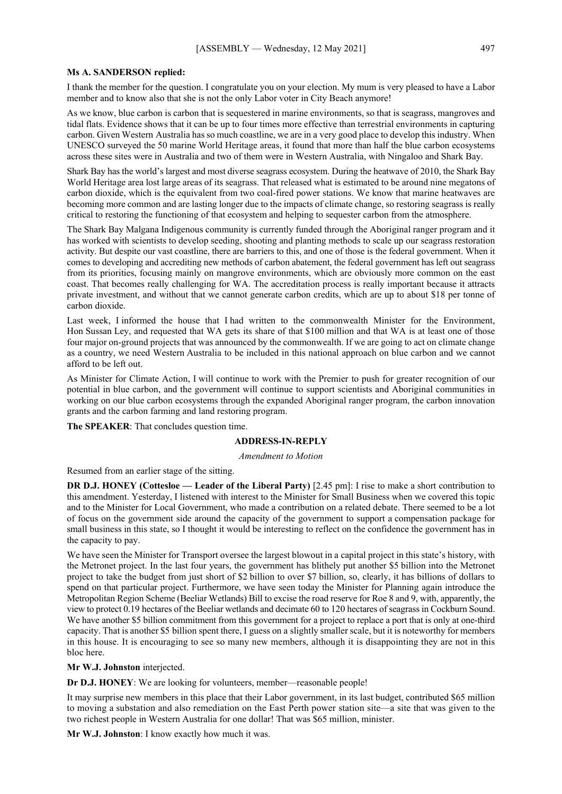#### **Ms A. SANDERSON replied:**

I thank the member for the question. I congratulate you on your election. My mum is very pleased to have a Labor member and to know also that she is not the only Labor voter in City Beach anymore!

As we know, blue carbon is carbon that is sequestered in marine environments, so that is seagrass, mangroves and tidal flats. Evidence shows that it can be up to four times more effective than terrestrial environments in capturing carbon. Given Western Australia has so much coastline, we are in a very good place to develop this industry. When UNESCO surveyed the 50 marine World Heritage areas, it found that more than half the blue carbon ecosystems across these sites were in Australia and two of them were in Western Australia, with Ningaloo and Shark Bay.

Shark Bay has the world's largest and most diverse seagrass ecosystem. During the heatwave of 2010, the Shark Bay World Heritage area lost large areas of its seagrass. That released what is estimated to be around nine megatons of carbon dioxide, which is the equivalent from two coal-fired power stations. We know that marine heatwaves are becoming more common and are lasting longer due to the impacts of climate change, so restoring seagrass is really critical to restoring the functioning of that ecosystem and helping to sequester carbon from the atmosphere.

The Shark Bay Malgana Indigenous community is currently funded through the Aboriginal ranger program and it has worked with scientists to develop seeding, shooting and planting methods to scale up our seagrass restoration activity. But despite our vast coastline, there are barriers to this, and one of those is the federal government. When it comes to developing and accrediting new methods of carbon abatement, the federal government has left out seagrass from its priorities, focusing mainly on mangrove environments, which are obviously more common on the east coast. That becomes really challenging for WA. The accreditation process is really important because it attracts private investment, and without that we cannot generate carbon credits, which are up to about \$18 per tonne of carbon dioxide.

Last week, I informed the house that I had written to the commonwealth Minister for the Environment, Hon Sussan Ley, and requested that WA gets its share of that \$100 million and that WA is at least one of those four major on-ground projects that was announced by the commonwealth. If we are going to act on climate change as a country, we need Western Australia to be included in this national approach on blue carbon and we cannot afford to be left out.

As Minister for Climate Action, I will continue to work with the Premier to push for greater recognition of our potential in blue carbon, and the government will continue to support scientists and Aboriginal communities in working on our blue carbon ecosystems through the expanded Aboriginal ranger program, the carbon innovation grants and the carbon farming and land restoring program.

**The SPEAKER**: That concludes question time.

## **ADDRESS-IN-REPLY**

#### *Amendment to Motion*

Resumed from an earlier stage of the sitting.

**DR D.J. HONEY (Cottesloe — Leader of the Liberal Party)** [2.45 pm]: I rise to make a short contribution to this amendment. Yesterday, I listened with interest to the Minister for Small Business when we covered this topic and to the Minister for Local Government, who made a contribution on a related debate. There seemed to be a lot of focus on the government side around the capacity of the government to support a compensation package for small business in this state, so I thought it would be interesting to reflect on the confidence the government has in the capacity to pay.

We have seen the Minister for Transport oversee the largest blowout in a capital project in this state's history, with the Metronet project. In the last four years, the government has blithely put another \$5 billion into the Metronet project to take the budget from just short of \$2 billion to over \$7 billion, so, clearly, it has billions of dollars to spend on that particular project. Furthermore, we have seen today the Minister for Planning again introduce the Metropolitan Region Scheme (Beeliar Wetlands) Bill to excise the road reserve for Roe 8 and 9, with, apparently, the view to protect 0.19 hectares of the Beeliar wetlands and decimate 60 to 120 hectares of seagrass in Cockburn Sound. We have another \$5 billion commitment from this government for a project to replace a port that is only at one-third capacity. That is another \$5 billion spent there, I guess on a slightly smaller scale, but it is noteworthy for members in this house. It is encouraging to see so many new members, although it is disappointing they are not in this bloc here.

**Mr W.J. Johnston** interjected.

**Dr D.J. HONEY**: We are looking for volunteers, member—reasonable people!

It may surprise new members in this place that their Labor government, in its last budget, contributed \$65 million to moving a substation and also remediation on the East Perth power station site—a site that was given to the two richest people in Western Australia for one dollar! That was \$65 million, minister.

**Mr W.J. Johnston**: I know exactly how much it was.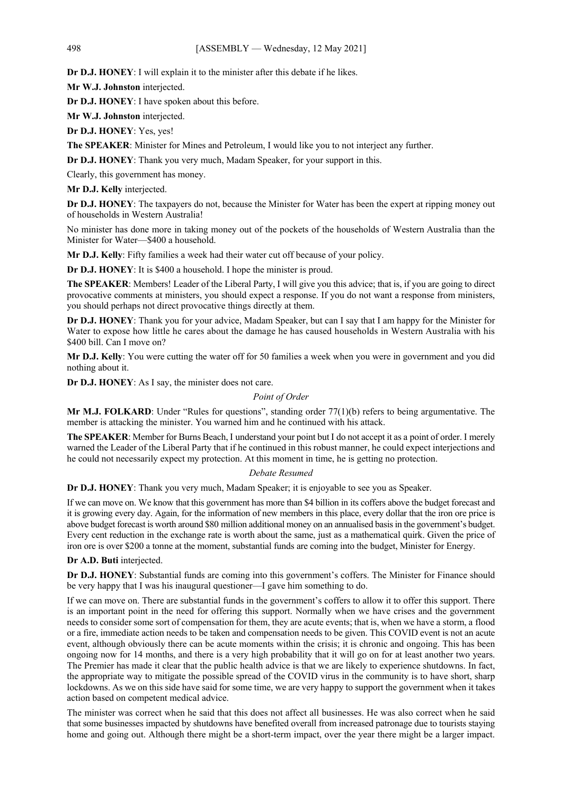**Dr D.J. HONEY**: I will explain it to the minister after this debate if he likes.

**Mr W.J. Johnston** interjected.

**Dr D.J. HONEY**: I have spoken about this before.

**Mr W.J. Johnston** interjected.

**Dr D.J. HONEY**: Yes, yes!

**The SPEAKER**: Minister for Mines and Petroleum, I would like you to not interject any further.

**Dr D.J. HONEY**: Thank you very much, Madam Speaker, for your support in this.

Clearly, this government has money.

**Mr D.J. Kelly** interjected.

**Dr D.J. HONEY**: The taxpayers do not, because the Minister for Water has been the expert at ripping money out of households in Western Australia!

No minister has done more in taking money out of the pockets of the households of Western Australia than the Minister for Water—\$400 a household.

**Mr D.J. Kelly**: Fifty families a week had their water cut off because of your policy.

**Dr D.J. HONEY**: It is \$400 a household. I hope the minister is proud.

**The SPEAKER**: Members! Leader of the Liberal Party, I will give you this advice; that is, if you are going to direct provocative comments at ministers, you should expect a response. If you do not want a response from ministers, you should perhaps not direct provocative things directly at them.

**Dr D.J. HONEY**: Thank you for your advice, Madam Speaker, but can I say that I am happy for the Minister for Water to expose how little he cares about the damage he has caused households in Western Australia with his \$400 bill. Can I move on?

**Mr D.J. Kelly**: You were cutting the water off for 50 families a week when you were in government and you did nothing about it.

**Dr D.J. HONEY**: As I say, the minister does not care.

#### *Point of Order*

**Mr M.J. FOLKARD**: Under "Rules for questions", standing order 77(1)(b) refers to being argumentative. The member is attacking the minister. You warned him and he continued with his attack.

**The SPEAKER**: Member for Burns Beach, I understand your point but I do not accept it as a point of order. I merely warned the Leader of the Liberal Party that if he continued in this robust manner, he could expect interjections and he could not necessarily expect my protection. At this moment in time, he is getting no protection.

### *Debate Resumed*

**Dr D.J. HONEY**: Thank you very much, Madam Speaker; it is enjoyable to see you as Speaker.

If we can move on. We know that this government has more than \$4 billion in its coffers above the budget forecast and it is growing every day. Again, for the information of new members in this place, every dollar that the iron ore price is above budget forecast is worth around \$80 million additional money on an annualised basis in the government's budget. Every cent reduction in the exchange rate is worth about the same, just as a mathematical quirk. Given the price of iron ore is over \$200 a tonne at the moment, substantial funds are coming into the budget, Minister for Energy.

#### **Dr A.D. Buti** interjected.

**Dr D.J. HONEY**: Substantial funds are coming into this government's coffers. The Minister for Finance should be very happy that I was his inaugural questioner—I gave him something to do.

If we can move on. There are substantial funds in the government's coffers to allow it to offer this support. There is an important point in the need for offering this support. Normally when we have crises and the government needs to consider some sort of compensation for them, they are acute events; that is, when we have a storm, a flood or a fire, immediate action needs to be taken and compensation needs to be given. This COVID event is not an acute event, although obviously there can be acute moments within the crisis; it is chronic and ongoing. This has been ongoing now for 14 months, and there is a very high probability that it will go on for at least another two years. The Premier has made it clear that the public health advice is that we are likely to experience shutdowns. In fact, the appropriate way to mitigate the possible spread of the COVID virus in the community is to have short, sharp lockdowns. As we on this side have said for some time, we are very happy to support the government when it takes action based on competent medical advice.

The minister was correct when he said that this does not affect all businesses. He was also correct when he said that some businesses impacted by shutdowns have benefited overall from increased patronage due to tourists staying home and going out. Although there might be a short-term impact, over the year there might be a larger impact.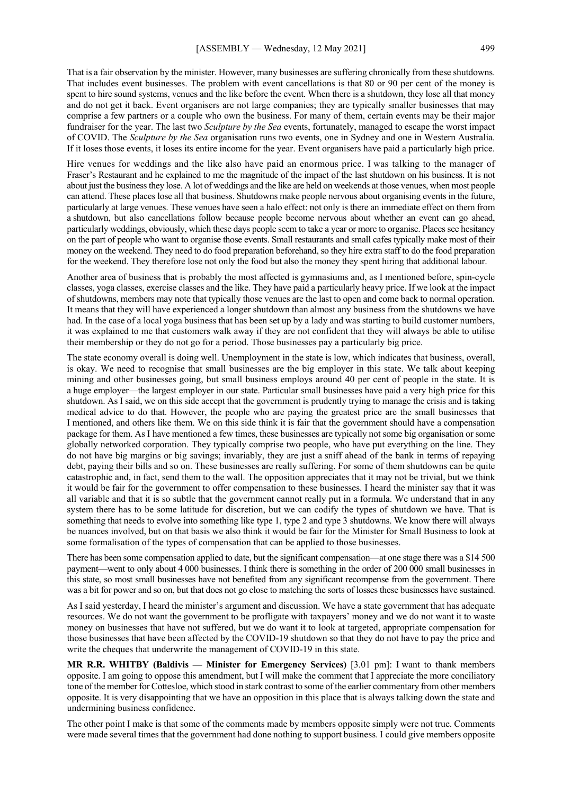That is a fair observation by the minister. However, many businesses are suffering chronically from these shutdowns. That includes event businesses. The problem with event cancellations is that 80 or 90 per cent of the money is spent to hire sound systems, venues and the like before the event. When there is a shutdown, they lose all that money and do not get it back. Event organisers are not large companies; they are typically smaller businesses that may comprise a few partners or a couple who own the business. For many of them, certain events may be their major fundraiser for the year. The last two *Sculpture by the Sea* events, fortunately, managed to escape the worst impact of COVID. The *Sculpture by the Sea* organisation runs two events, one in Sydney and one in Western Australia. If it loses those events, it loses its entire income for the year. Event organisers have paid a particularly high price.

Hire venues for weddings and the like also have paid an enormous price. I was talking to the manager of Fraser's Restaurant and he explained to me the magnitude of the impact of the last shutdown on his business. It is not about just the business they lose. A lot of weddings and the like are held on weekends at those venues, when most people can attend. These places lose all that business. Shutdowns make people nervous about organising events in the future, particularly at large venues. These venues have seen a halo effect: not only is there an immediate effect on them from a shutdown, but also cancellations follow because people become nervous about whether an event can go ahead, particularly weddings, obviously, which these days people seem to take a year or more to organise. Places see hesitancy on the part of people who want to organise those events. Small restaurants and small cafes typically make most of their money on the weekend. They need to do food preparation beforehand, so they hire extra staff to do the food preparation for the weekend. They therefore lose not only the food but also the money they spent hiring that additional labour.

Another area of business that is probably the most affected is gymnasiums and, as I mentioned before, spin-cycle classes, yoga classes, exercise classes and the like. They have paid a particularly heavy price. If we look at the impact of shutdowns, members may note that typically those venues are the last to open and come back to normal operation. It means that they will have experienced a longer shutdown than almost any business from the shutdowns we have had. In the case of a local yoga business that has been set up by a lady and was starting to build customer numbers, it was explained to me that customers walk away if they are not confident that they will always be able to utilise their membership or they do not go for a period. Those businesses pay a particularly big price.

The state economy overall is doing well. Unemployment in the state is low, which indicates that business, overall, is okay. We need to recognise that small businesses are the big employer in this state. We talk about keeping mining and other businesses going, but small business employs around 40 per cent of people in the state. It is a huge employer—the largest employer in our state. Particular small businesses have paid a very high price for this shutdown. As I said, we on this side accept that the government is prudently trying to manage the crisis and is taking medical advice to do that. However, the people who are paying the greatest price are the small businesses that I mentioned, and others like them. We on this side think it is fair that the government should have a compensation package for them. As I have mentioned a few times, these businesses are typically not some big organisation or some globally networked corporation. They typically comprise two people, who have put everything on the line. They do not have big margins or big savings; invariably, they are just a sniff ahead of the bank in terms of repaying debt, paying their bills and so on. These businesses are really suffering. For some of them shutdowns can be quite catastrophic and, in fact, send them to the wall. The opposition appreciates that it may not be trivial, but we think it would be fair for the government to offer compensation to these businesses. I heard the minister say that it was all variable and that it is so subtle that the government cannot really put in a formula. We understand that in any system there has to be some latitude for discretion, but we can codify the types of shutdown we have. That is something that needs to evolve into something like type 1, type 2 and type 3 shutdowns. We know there will always be nuances involved, but on that basis we also think it would be fair for the Minister for Small Business to look at some formalisation of the types of compensation that can be applied to those businesses.

There has been some compensation applied to date, but the significant compensation—at one stage there was a \$14 500 payment—went to only about 4 000 businesses. I think there is something in the order of 200 000 small businesses in this state, so most small businesses have not benefited from any significant recompense from the government. There was a bit for power and so on, but that does not go close to matching the sorts of losses these businesses have sustained.

As I said yesterday, I heard the minister's argument and discussion. We have a state government that has adequate resources. We do not want the government to be profligate with taxpayers' money and we do not want it to waste money on businesses that have not suffered, but we do want it to look at targeted, appropriate compensation for those businesses that have been affected by the COVID-19 shutdown so that they do not have to pay the price and write the cheques that underwrite the management of COVID-19 in this state.

**MR R.R. WHITBY (Baldivis — Minister for Emergency Services)** [3.01 pm]: I want to thank members opposite. I am going to oppose this amendment, but I will make the comment that I appreciate the more conciliatory tone of the member for Cottesloe, which stood in stark contrast to some of the earlier commentary from other members opposite. It is very disappointing that we have an opposition in this place that is always talking down the state and undermining business confidence.

The other point I make is that some of the comments made by members opposite simply were not true. Comments were made several times that the government had done nothing to support business. I could give members opposite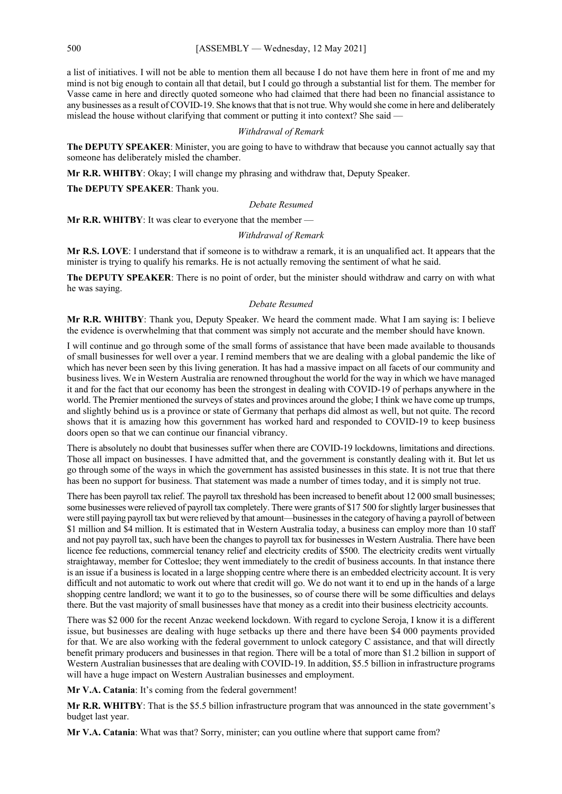a list of initiatives. I will not be able to mention them all because I do not have them here in front of me and my mind is not big enough to contain all that detail, but I could go through a substantial list for them. The member for Vasse came in here and directly quoted someone who had claimed that there had been no financial assistance to any businesses as a result of COVID-19. She knows that that is not true. Why would she come in here and deliberately mislead the house without clarifying that comment or putting it into context? She said —

#### *Withdrawal of Remark*

**The DEPUTY SPEAKER**: Minister, you are going to have to withdraw that because you cannot actually say that someone has deliberately misled the chamber.

**Mr R.R. WHITBY**: Okay; I will change my phrasing and withdraw that, Deputy Speaker.

**The DEPUTY SPEAKER**: Thank you.

### *Debate Resumed*

**Mr R.R. WHITBY**: It was clear to everyone that the member —

#### *Withdrawal of Remark*

**Mr R.S. LOVE**: I understand that if someone is to withdraw a remark, it is an unqualified act. It appears that the minister is trying to qualify his remarks. He is not actually removing the sentiment of what he said.

**The DEPUTY SPEAKER**: There is no point of order, but the minister should withdraw and carry on with what he was saying.

#### *Debate Resumed*

**Mr R.R. WHITBY**: Thank you, Deputy Speaker. We heard the comment made. What I am saying is: I believe the evidence is overwhelming that that comment was simply not accurate and the member should have known.

I will continue and go through some of the small forms of assistance that have been made available to thousands of small businesses for well over a year. I remind members that we are dealing with a global pandemic the like of which has never been seen by this living generation. It has had a massive impact on all facets of our community and business lives. We in Western Australia are renowned throughout the world for the way in which we have managed it and for the fact that our economy has been the strongest in dealing with COVID-19 of perhaps anywhere in the world. The Premier mentioned the surveys of states and provinces around the globe; I think we have come up trumps, and slightly behind us is a province or state of Germany that perhaps did almost as well, but not quite. The record shows that it is amazing how this government has worked hard and responded to COVID-19 to keep business doors open so that we can continue our financial vibrancy.

There is absolutely no doubt that businesses suffer when there are COVID-19 lockdowns, limitations and directions. Those all impact on businesses. I have admitted that, and the government is constantly dealing with it. But let us go through some of the ways in which the government has assisted businesses in this state. It is not true that there has been no support for business. That statement was made a number of times today, and it is simply not true.

There has been payroll tax relief. The payroll tax threshold has been increased to benefit about 12 000 small businesses; some businesses were relieved of payroll tax completely. There were grants of \$17 500 for slightly larger businesses that were still paying payroll tax but were relieved by that amount—businesses in the category of having a payroll of between \$1 million and \$4 million. It is estimated that in Western Australia today, a business can employ more than 10 staff and not pay payroll tax, such have been the changes to payroll tax for businesses in Western Australia. There have been licence fee reductions, commercial tenancy relief and electricity credits of \$500. The electricity credits went virtually straightaway, member for Cottesloe; they went immediately to the credit of business accounts. In that instance there is an issue if a business is located in a large shopping centre where there is an embedded electricity account. It is very difficult and not automatic to work out where that credit will go. We do not want it to end up in the hands of a large shopping centre landlord; we want it to go to the businesses, so of course there will be some difficulties and delays there. But the vast majority of small businesses have that money as a credit into their business electricity accounts.

There was \$2 000 for the recent Anzac weekend lockdown. With regard to cyclone Seroja, I know it is a different issue, but businesses are dealing with huge setbacks up there and there have been \$4 000 payments provided for that. We are also working with the federal government to unlock category C assistance, and that will directly benefit primary producers and businesses in that region. There will be a total of more than \$1.2 billion in support of Western Australian businesses that are dealing with COVID-19. In addition, \$5.5 billion in infrastructure programs will have a huge impact on Western Australian businesses and employment.

**Mr V.A. Catania**: It's coming from the federal government!

**Mr R.R. WHITBY**: That is the \$5.5 billion infrastructure program that was announced in the state government's budget last year.

**Mr V.A. Catania**: What was that? Sorry, minister; can you outline where that support came from?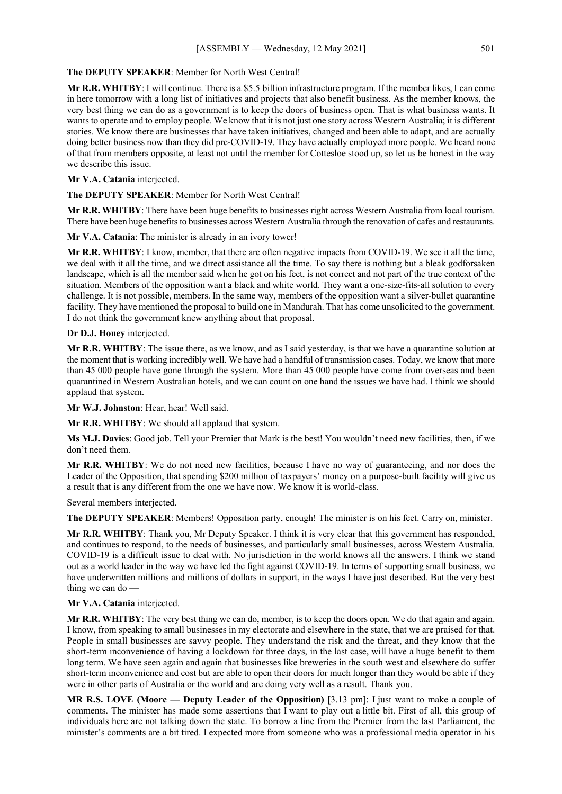## **The DEPUTY SPEAKER**: Member for North West Central!

**Mr R.R. WHITBY**: I will continue. There is a \$5.5 billion infrastructure program. If the member likes, I can come in here tomorrow with a long list of initiatives and projects that also benefit business. As the member knows, the very best thing we can do as a government is to keep the doors of business open. That is what business wants. It wants to operate and to employ people. We know that it is not just one story across Western Australia; it is different stories. We know there are businesses that have taken initiatives, changed and been able to adapt, and are actually doing better business now than they did pre-COVID-19. They have actually employed more people. We heard none of that from members opposite, at least not until the member for Cottesloe stood up, so let us be honest in the way we describe this issue.

## **Mr V.A. Catania** interjected.

**The DEPUTY SPEAKER**: Member for North West Central!

**Mr R.R. WHITBY**: There have been huge benefits to businesses right across Western Australia from local tourism. There have been huge benefits to businesses across Western Australia through the renovation of cafes and restaurants.

**Mr V.A. Catania**: The minister is already in an ivory tower!

**Mr R.R. WHITBY**: I know, member, that there are often negative impacts from COVID-19. We see it all the time, we deal with it all the time, and we direct assistance all the time. To say there is nothing but a bleak godforsaken landscape, which is all the member said when he got on his feet, is not correct and not part of the true context of the situation. Members of the opposition want a black and white world. They want a one-size-fits-all solution to every challenge. It is not possible, members. In the same way, members of the opposition want a silver-bullet quarantine facility. They have mentioned the proposal to build one in Mandurah. That has come unsolicited to the government. I do not think the government knew anything about that proposal.

#### **Dr D.J. Honey** interjected.

**Mr R.R. WHITBY**: The issue there, as we know, and as I said yesterday, is that we have a quarantine solution at the moment that is working incredibly well. We have had a handful of transmission cases. Today, we know that more than 45 000 people have gone through the system. More than 45 000 people have come from overseas and been quarantined in Western Australian hotels, and we can count on one hand the issues we have had. I think we should applaud that system.

**Mr W.J. Johnston**: Hear, hear! Well said.

**Mr R.R. WHITBY**: We should all applaud that system.

**Ms M.J. Davies**: Good job. Tell your Premier that Mark is the best! You wouldn't need new facilities, then, if we don't need them.

**Mr R.R. WHITBY**: We do not need new facilities, because I have no way of guaranteeing, and nor does the Leader of the Opposition, that spending \$200 million of taxpayers' money on a purpose-built facility will give us a result that is any different from the one we have now. We know it is world-class.

Several members interjected.

**The DEPUTY SPEAKER**: Members! Opposition party, enough! The minister is on his feet. Carry on, minister.

**Mr R.R. WHITBY**: Thank you, Mr Deputy Speaker. I think it is very clear that this government has responded, and continues to respond, to the needs of businesses, and particularly small businesses, across Western Australia. COVID-19 is a difficult issue to deal with. No jurisdiction in the world knows all the answers. I think we stand out as a world leader in the way we have led the fight against COVID-19. In terms of supporting small business, we have underwritten millions and millions of dollars in support, in the ways I have just described. But the very best thing we can do —

# **Mr V.A. Catania** interjected.

**Mr R.R. WHITBY**: The very best thing we can do, member, is to keep the doors open. We do that again and again. I know, from speaking to small businesses in my electorate and elsewhere in the state, that we are praised for that. People in small businesses are savvy people. They understand the risk and the threat, and they know that the short-term inconvenience of having a lockdown for three days, in the last case, will have a huge benefit to them long term. We have seen again and again that businesses like breweries in the south west and elsewhere do suffer short-term inconvenience and cost but are able to open their doors for much longer than they would be able if they were in other parts of Australia or the world and are doing very well as a result. Thank you.

**MR R.S. LOVE (Moore — Deputy Leader of the Opposition)** [3.13 pm]: I just want to make a couple of comments. The minister has made some assertions that I want to play out a little bit. First of all, this group of individuals here are not talking down the state. To borrow a line from the Premier from the last Parliament, the minister's comments are a bit tired. I expected more from someone who was a professional media operator in his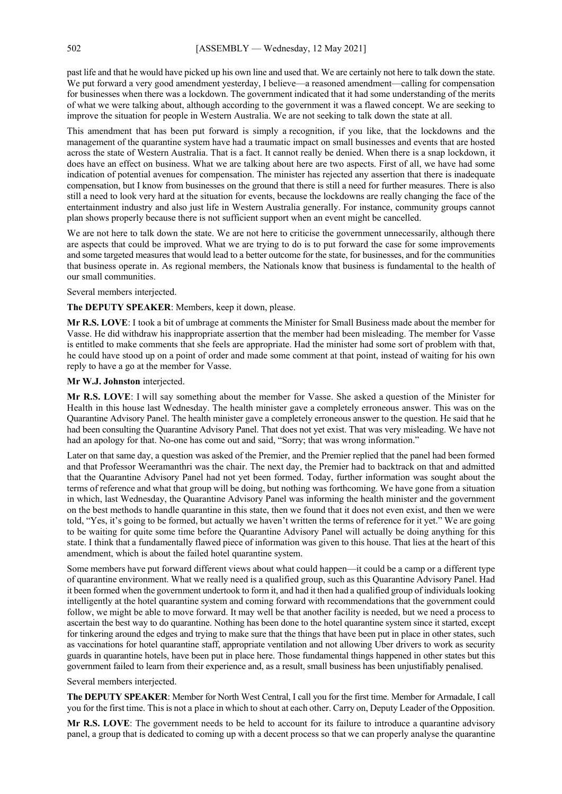past life and that he would have picked up his own line and used that. We are certainly not here to talk down the state. We put forward a very good amendment yesterday, I believe—a reasoned amendment—calling for compensation for businesses when there was a lockdown. The government indicated that it had some understanding of the merits of what we were talking about, although according to the government it was a flawed concept. We are seeking to improve the situation for people in Western Australia. We are not seeking to talk down the state at all.

This amendment that has been put forward is simply a recognition, if you like, that the lockdowns and the management of the quarantine system have had a traumatic impact on small businesses and events that are hosted across the state of Western Australia. That is a fact. It cannot really be denied. When there is a snap lockdown, it does have an effect on business. What we are talking about here are two aspects. First of all, we have had some indication of potential avenues for compensation. The minister has rejected any assertion that there is inadequate compensation, but I know from businesses on the ground that there is still a need for further measures. There is also still a need to look very hard at the situation for events, because the lockdowns are really changing the face of the entertainment industry and also just life in Western Australia generally. For instance, community groups cannot plan shows properly because there is not sufficient support when an event might be cancelled.

We are not here to talk down the state. We are not here to criticise the government unnecessarily, although there are aspects that could be improved. What we are trying to do is to put forward the case for some improvements and some targeted measures that would lead to a better outcome for the state, for businesses, and for the communities that business operate in. As regional members, the Nationals know that business is fundamental to the health of our small communities.

#### Several members interjected.

**The DEPUTY SPEAKER**: Members, keep it down, please.

**Mr R.S. LOVE**: I took a bit of umbrage at comments the Minister for Small Business made about the member for Vasse. He did withdraw his inappropriate assertion that the member had been misleading. The member for Vasse is entitled to make comments that she feels are appropriate. Had the minister had some sort of problem with that, he could have stood up on a point of order and made some comment at that point, instead of waiting for his own reply to have a go at the member for Vasse.

#### **Mr W.J. Johnston** interjected.

**Mr R.S. LOVE**: I will say something about the member for Vasse. She asked a question of the Minister for Health in this house last Wednesday. The health minister gave a completely erroneous answer. This was on the Quarantine Advisory Panel. The health minister gave a completely erroneous answer to the question. He said that he had been consulting the Quarantine Advisory Panel. That does not yet exist. That was very misleading. We have not had an apology for that. No-one has come out and said, "Sorry; that was wrong information."

Later on that same day, a question was asked of the Premier, and the Premier replied that the panel had been formed and that Professor Weeramanthri was the chair. The next day, the Premier had to backtrack on that and admitted that the Quarantine Advisory Panel had not yet been formed. Today, further information was sought about the terms of reference and what that group will be doing, but nothing was forthcoming. We have gone from a situation in which, last Wednesday, the Quarantine Advisory Panel was informing the health minister and the government on the best methods to handle quarantine in this state, then we found that it does not even exist, and then we were told, "Yes, it's going to be formed, but actually we haven't written the terms of reference for it yet." We are going to be waiting for quite some time before the Quarantine Advisory Panel will actually be doing anything for this state. I think that a fundamentally flawed piece of information was given to this house. That lies at the heart of this amendment, which is about the failed hotel quarantine system.

Some members have put forward different views about what could happen—it could be a camp or a different type of quarantine environment. What we really need is a qualified group, such as this Quarantine Advisory Panel. Had it been formed when the government undertook to form it, and had it then had a qualified group of individuals looking intelligently at the hotel quarantine system and coming forward with recommendations that the government could follow, we might be able to move forward. It may well be that another facility is needed, but we need a process to ascertain the best way to do quarantine. Nothing has been done to the hotel quarantine system since it started, except for tinkering around the edges and trying to make sure that the things that have been put in place in other states, such as vaccinations for hotel quarantine staff, appropriate ventilation and not allowing Uber drivers to work as security guards in quarantine hotels, have been put in place here. Those fundamental things happened in other states but this government failed to learn from their experience and, as a result, small business has been unjustifiably penalised.

#### Several members interjected.

**The DEPUTY SPEAKER**: Member for North West Central, I call you for the first time. Member for Armadale, I call you for the first time. This is not a place in which to shout at each other. Carry on, Deputy Leader of the Opposition.

**Mr R.S. LOVE**: The government needs to be held to account for its failure to introduce a quarantine advisory panel, a group that is dedicated to coming up with a decent process so that we can properly analyse the quarantine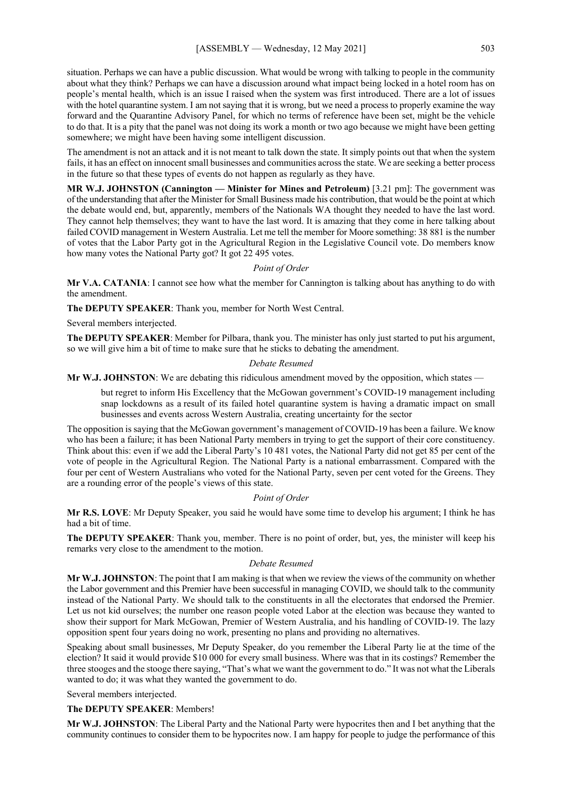situation. Perhaps we can have a public discussion. What would be wrong with talking to people in the community about what they think? Perhaps we can have a discussion around what impact being locked in a hotel room has on people's mental health, which is an issue I raised when the system was first introduced. There are a lot of issues with the hotel quarantine system. I am not saying that it is wrong, but we need a process to properly examine the way forward and the Quarantine Advisory Panel, for which no terms of reference have been set, might be the vehicle to do that. It is a pity that the panel was not doing its work a month or two ago because we might have been getting somewhere; we might have been having some intelligent discussion.

The amendment is not an attack and it is not meant to talk down the state. It simply points out that when the system fails, it has an effect on innocent small businesses and communities across the state. We are seeking a better process in the future so that these types of events do not happen as regularly as they have.

**MR W.J. JOHNSTON (Cannington — Minister for Mines and Petroleum)** [3.21 pm]: The government was of the understanding that after the Minister for Small Business made his contribution, that would be the point at which the debate would end, but, apparently, members of the Nationals WA thought they needed to have the last word. They cannot help themselves; they want to have the last word. It is amazing that they come in here talking about failed COVID management in Western Australia. Let me tell the member for Moore something: 38 881 is the number of votes that the Labor Party got in the Agricultural Region in the Legislative Council vote. Do members know how many votes the National Party got? It got 22 495 votes.

## *Point of Order*

**Mr V.A. CATANIA**: I cannot see how what the member for Cannington is talking about has anything to do with the amendment.

**The DEPUTY SPEAKER**: Thank you, member for North West Central.

Several members interjected.

**The DEPUTY SPEAKER**: Member for Pilbara, thank you. The minister has only just started to put his argument, so we will give him a bit of time to make sure that he sticks to debating the amendment.

#### *Debate Resumed*

**Mr W.J. JOHNSTON**: We are debating this ridiculous amendment moved by the opposition, which states —

but regret to inform His Excellency that the McGowan government's COVID-19 management including snap lockdowns as a result of its failed hotel quarantine system is having a dramatic impact on small businesses and events across Western Australia, creating uncertainty for the sector

The opposition is saying that the McGowan government's management of COVID-19 has been a failure. We know who has been a failure; it has been National Party members in trying to get the support of their core constituency. Think about this: even if we add the Liberal Party's 10 481 votes, the National Party did not get 85 per cent of the vote of people in the Agricultural Region. The National Party is a national embarrassment. Compared with the four per cent of Western Australians who voted for the National Party, seven per cent voted for the Greens. They are a rounding error of the people's views of this state.

#### *Point of Order*

**Mr R.S. LOVE**: Mr Deputy Speaker, you said he would have some time to develop his argument; I think he has had a bit of time.

**The DEPUTY SPEAKER**: Thank you, member. There is no point of order, but, yes, the minister will keep his remarks very close to the amendment to the motion.

## *Debate Resumed*

**Mr W.J. JOHNSTON**: The point that I am making is that when we review the views of the community on whether the Labor government and this Premier have been successful in managing COVID, we should talk to the community instead of the National Party. We should talk to the constituents in all the electorates that endorsed the Premier. Let us not kid ourselves; the number one reason people voted Labor at the election was because they wanted to show their support for Mark McGowan, Premier of Western Australia, and his handling of COVID-19. The lazy opposition spent four years doing no work, presenting no plans and providing no alternatives.

Speaking about small businesses, Mr Deputy Speaker, do you remember the Liberal Party lie at the time of the election? It said it would provide \$10 000 for every small business. Where was that in its costings? Remember the three stooges and the stooge there saying, "That's what we want the government to do." It was not what the Liberals wanted to do; it was what they wanted the government to do.

Several members interjected.

**The DEPUTY SPEAKER**: Members!

**Mr W.J. JOHNSTON**: The Liberal Party and the National Party were hypocrites then and I bet anything that the community continues to consider them to be hypocrites now. I am happy for people to judge the performance of this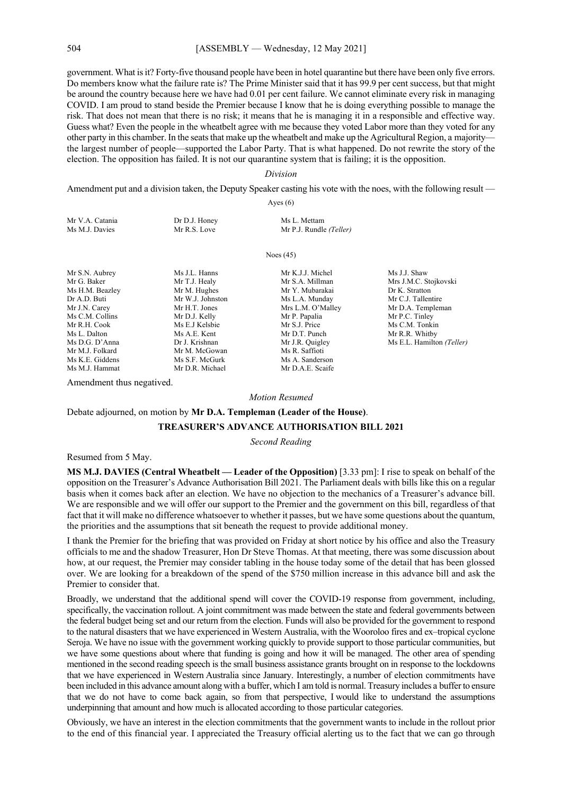government. What is it? Forty-five thousand people have been in hotel quarantine but there have been only five errors. Do members know what the failure rate is? The Prime Minister said that it has 99.9 per cent success, but that might be around the country because here we have had 0.01 per cent failure. We cannot eliminate every risk in managing COVID. I am proud to stand beside the Premier because I know that he is doing everything possible to manage the risk. That does not mean that there is no risk; it means that he is managing it in a responsible and effective way. Guess what? Even the people in the wheatbelt agree with me because they voted Labor more than they voted for any other party in this chamber. In the seats that make up the wheatbelt and make up the Agricultural Region, a majority the largest number of people—supported the Labor Party. That is what happened. Do not rewrite the story of the election. The opposition has failed. It is not our quarantine system that is failing; it is the opposition.

#### *Division*

Amendment put and a division taken, the Deputy Speaker casting his vote with the noes, with the following result — Ayes (6)

| Mr V.A. Catania | Dr D.J. Honey | Ms L. Mettam            |
|-----------------|---------------|-------------------------|
| Ms M.J. Davies  | Mr R.S. Love  | Mr P.J. Rundle (Teller) |
|                 |               |                         |

Noes (45)

Ms K.E. Giddens Ms S.F. McGurk Ms A. Sanderson<br>Ms M.J. Hammat Mr D.R. Michael Mr D.A.E. Scaife

Mr S.N. Aubrey Ms J.J. Hanns Mr K.J.J. Michel Ms J.J. Shaw<br>Mr G. Baker Mr T.J. Healy Mr S.A. Millman Mrs J.M.C. S Ms H.M. Beazley Mr M. Hughes Mr Y. Mubarakai Dr K. Stratton<br>
Dr A.D. Buti Mr W.J. Johnston Ms L.A. Mundav Mr C.J. Tallentire Mr W.J. Johnston Ms L.A. Munday<br>Mr H.T. Jones Mrs L.M. O'Mall Mr J.N. Carey Mr H.T. Jones Mrs L.M. O'Malley Mr D.A. Templeman<br>
Ms C.M. Collins Mr D.J. Kelly Mr P. Papalia Mr P.C. Tinley Ms C.M. Collins Mr D.J. Kelly Mr P. Papalia Mr P.C. Tinley<br>Mr R.H. Cook Ms E.J Kelsbie Mr S.J. Price Ms C.M. Tonki Mr R.H. Cook Ms E.J Kelsbie Mr S.J. Price Ms C.M. Tonkin<br>Ms L. Dalton Ms A.E. Kent Mr D.T. Punch Mr R.R. Whitby Ms D.G. D'Anna Dr J. Krishnan Mr J.R. Quigley Ms E.L. Hamilton *(Teller)* Mr M.J. Folkard Mr M. McGowan Ms R. Saffioti<br>
Ms K.E. Giddens Ms S.F. McGurk Ms A. Sanders

Mr D.R. Michael

Mr D.T. Punch Mr R.R. Whitby<br>Mr J.R. Quigley Ms E.L. Hamilton Ms A.E.

Mr S.A. Millman Mrs J.M.C. Stojkovski

Amendment thus negatived.

#### *Motion Resumed*

#### Debate adjourned, on motion by **Mr D.A. Templeman (Leader of the House)**.

#### **TREASURER'S ADVANCE AUTHORISATION BILL 2021**

*Second Reading*

#### Resumed from 5 May.

**MS M.J. DAVIES (Central Wheatbelt — Leader of the Opposition)** [3.33 pm]: I rise to speak on behalf of the opposition on the Treasurer's Advance Authorisation Bill 2021. The Parliament deals with bills like this on a regular basis when it comes back after an election. We have no objection to the mechanics of a Treasurer's advance bill. We are responsible and we will offer our support to the Premier and the government on this bill, regardless of that fact that it will make no difference whatsoever to whether it passes, but we have some questions about the quantum, the priorities and the assumptions that sit beneath the request to provide additional money.

I thank the Premier for the briefing that was provided on Friday at short notice by his office and also the Treasury officials to me and the shadow Treasurer, Hon Dr Steve Thomas. At that meeting, there was some discussion about how, at our request, the Premier may consider tabling in the house today some of the detail that has been glossed over. We are looking for a breakdown of the spend of the \$750 million increase in this advance bill and ask the Premier to consider that.

Broadly, we understand that the additional spend will cover the COVID-19 response from government, including, specifically, the vaccination rollout. A joint commitment was made between the state and federal governments between the federal budget being set and our return from the election. Funds will also be provided for the government to respond to the natural disasters that we have experienced in Western Australia, with the Wooroloo fires and ex–tropical cyclone Seroja. We have no issue with the government working quickly to provide support to those particular communities, but we have some questions about where that funding is going and how it will be managed. The other area of spending mentioned in the second reading speech is the small business assistance grants brought on in response to the lockdowns that we have experienced in Western Australia since January. Interestingly, a number of election commitments have been included in this advance amount along with a buffer, which I am told is normal. Treasury includes a buffer to ensure that we do not have to come back again, so from that perspective, I would like to understand the assumptions underpinning that amount and how much is allocated according to those particular categories.

Obviously, we have an interest in the election commitments that the government wants to include in the rollout prior to the end of this financial year. I appreciated the Treasury official alerting us to the fact that we can go through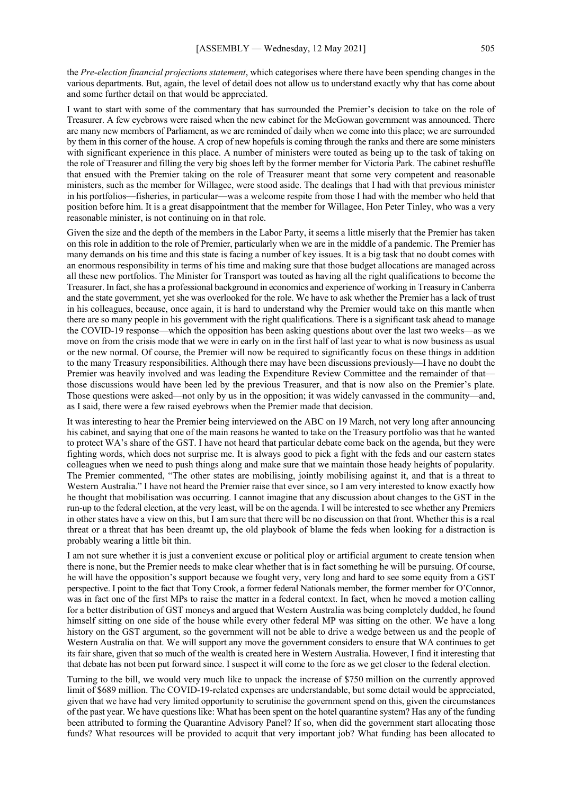the *Pre-election financial projections statement*, which categorises where there have been spending changes in the various departments. But, again, the level of detail does not allow us to understand exactly why that has come about and some further detail on that would be appreciated.

I want to start with some of the commentary that has surrounded the Premier's decision to take on the role of Treasurer. A few eyebrows were raised when the new cabinet for the McGowan government was announced. There are many new members of Parliament, as we are reminded of daily when we come into this place; we are surrounded by them in this corner of the house. A crop of new hopefuls is coming through the ranks and there are some ministers with significant experience in this place. A number of ministers were touted as being up to the task of taking on the role of Treasurer and filling the very big shoes left by the former member for Victoria Park. The cabinet reshuffle that ensued with the Premier taking on the role of Treasurer meant that some very competent and reasonable ministers, such as the member for Willagee, were stood aside. The dealings that I had with that previous minister in his portfolios—fisheries, in particular—was a welcome respite from those I had with the member who held that position before him. It is a great disappointment that the member for Willagee, Hon Peter Tinley, who was a very reasonable minister, is not continuing on in that role.

Given the size and the depth of the members in the Labor Party, it seems a little miserly that the Premier has taken on this role in addition to the role of Premier, particularly when we are in the middle of a pandemic. The Premier has many demands on his time and this state is facing a number of key issues. It is a big task that no doubt comes with an enormous responsibility in terms of his time and making sure that those budget allocations are managed across all these new portfolios. The Minister for Transport was touted as having all the right qualifications to become the Treasurer. In fact, she has a professional background in economics and experience of working in Treasury in Canberra and the state government, yet she was overlooked for the role. We have to ask whether the Premier has a lack of trust in his colleagues, because, once again, it is hard to understand why the Premier would take on this mantle when there are so many people in his government with the right qualifications. There is a significant task ahead to manage the COVID-19 response—which the opposition has been asking questions about over the last two weeks—as we move on from the crisis mode that we were in early on in the first half of last year to what is now business as usual or the new normal. Of course, the Premier will now be required to significantly focus on these things in addition to the many Treasury responsibilities. Although there may have been discussions previously—I have no doubt the Premier was heavily involved and was leading the Expenditure Review Committee and the remainder of that those discussions would have been led by the previous Treasurer, and that is now also on the Premier's plate. Those questions were asked—not only by us in the opposition; it was widely canvassed in the community—and, as I said, there were a few raised eyebrows when the Premier made that decision.

It was interesting to hear the Premier being interviewed on the ABC on 19 March, not very long after announcing his cabinet, and saying that one of the main reasons he wanted to take on the Treasury portfolio was that he wanted to protect WA's share of the GST. I have not heard that particular debate come back on the agenda, but they were fighting words, which does not surprise me. It is always good to pick a fight with the feds and our eastern states colleagues when we need to push things along and make sure that we maintain those heady heights of popularity. The Premier commented, "The other states are mobilising, jointly mobilising against it, and that is a threat to Western Australia." I have not heard the Premier raise that ever since, so I am very interested to know exactly how he thought that mobilisation was occurring. I cannot imagine that any discussion about changes to the GST in the run-up to the federal election, at the very least, will be on the agenda. I will be interested to see whether any Premiers in other states have a view on this, but I am sure that there will be no discussion on that front. Whether this is a real threat or a threat that has been dreamt up, the old playbook of blame the feds when looking for a distraction is probably wearing a little bit thin.

I am not sure whether it is just a convenient excuse or political ploy or artificial argument to create tension when there is none, but the Premier needs to make clear whether that is in fact something he will be pursuing. Of course, he will have the opposition's support because we fought very, very long and hard to see some equity from a GST perspective. I point to the fact that Tony Crook, a former federal Nationals member, the former member for O'Connor, was in fact one of the first MPs to raise the matter in a federal context. In fact, when he moved a motion calling for a better distribution of GST moneys and argued that Western Australia was being completely dudded, he found himself sitting on one side of the house while every other federal MP was sitting on the other. We have a long history on the GST argument, so the government will not be able to drive a wedge between us and the people of Western Australia on that. We will support any move the government considers to ensure that WA continues to get its fair share, given that so much of the wealth is created here in Western Australia. However, I find it interesting that that debate has not been put forward since. I suspect it will come to the fore as we get closer to the federal election.

Turning to the bill, we would very much like to unpack the increase of \$750 million on the currently approved limit of \$689 million. The COVID-19-related expenses are understandable, but some detail would be appreciated, given that we have had very limited opportunity to scrutinise the government spend on this, given the circumstances of the past year. We have questions like: What has been spent on the hotel quarantine system? Has any of the funding been attributed to forming the Quarantine Advisory Panel? If so, when did the government start allocating those funds? What resources will be provided to acquit that very important job? What funding has been allocated to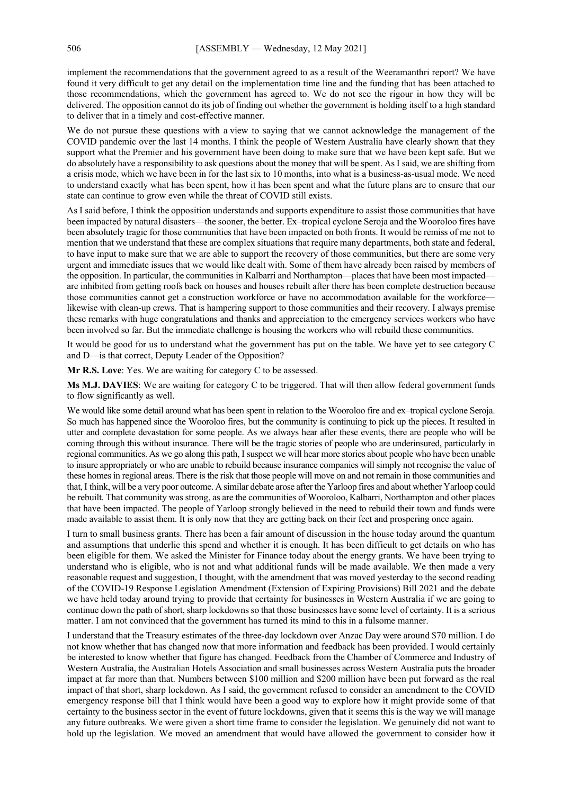implement the recommendations that the government agreed to as a result of the Weeramanthri report? We have found it very difficult to get any detail on the implementation time line and the funding that has been attached to those recommendations, which the government has agreed to. We do not see the rigour in how they will be delivered. The opposition cannot do its job of finding out whether the government is holding itself to a high standard to deliver that in a timely and cost-effective manner.

We do not pursue these questions with a view to saying that we cannot acknowledge the management of the COVID pandemic over the last 14 months. I think the people of Western Australia have clearly shown that they support what the Premier and his government have been doing to make sure that we have been kept safe. But we do absolutely have a responsibility to ask questions about the money that will be spent. AsI said, we are shifting from a crisis mode, which we have been in for the last six to 10 months, into what is a business-as-usual mode. We need to understand exactly what has been spent, how it has been spent and what the future plans are to ensure that our state can continue to grow even while the threat of COVID still exists.

As I said before, I think the opposition understands and supports expenditure to assist those communities that have been impacted by natural disasters—the sooner, the better. Ex–tropical cyclone Seroja and the Wooroloo fires have been absolutely tragic for those communities that have been impacted on both fronts. It would be remiss of me not to mention that we understand that these are complex situations that require many departments, both state and federal, to have input to make sure that we are able to support the recovery of those communities, but there are some very urgent and immediate issues that we would like dealt with. Some of them have already been raised by members of the opposition. In particular, the communities in Kalbarri and Northampton—places that have been most impacted are inhibited from getting roofs back on houses and houses rebuilt after there has been complete destruction because those communities cannot get a construction workforce or have no accommodation available for the workforcelikewise with clean-up crews. That is hampering support to those communities and their recovery. I always premise these remarks with huge congratulations and thanks and appreciation to the emergency services workers who have been involved so far. But the immediate challenge is housing the workers who will rebuild these communities.

It would be good for us to understand what the government has put on the table. We have yet to see category C and D—is that correct, Deputy Leader of the Opposition?

**Mr R.S. Love**: Yes. We are waiting for category C to be assessed.

**Ms M.J. DAVIES**: We are waiting for category C to be triggered. That will then allow federal government funds to flow significantly as well.

We would like some detail around what has been spent in relation to the Wooroloo fire and ex–tropical cyclone Seroja. So much has happened since the Wooroloo fires, but the community is continuing to pick up the pieces. It resulted in utter and complete devastation for some people. As we always hear after these events, there are people who will be coming through this without insurance. There will be the tragic stories of people who are underinsured, particularly in regional communities. As we go along this path, I suspect we will hear more stories about people who have been unable to insure appropriately or who are unable to rebuild because insurance companies will simply not recognise the value of these homes in regional areas. There is the risk that those people will move on and not remain in those communities and that,I think, will be a very poor outcome. A similar debate arose after the Yarloop fires and about whether Yarloop could be rebuilt. That community was strong, as are the communities of Wooroloo, Kalbarri, Northampton and other places that have been impacted. The people of Yarloop strongly believed in the need to rebuild their town and funds were made available to assist them. It is only now that they are getting back on their feet and prospering once again.

I turn to small business grants. There has been a fair amount of discussion in the house today around the quantum and assumptions that underlie this spend and whether it is enough. It has been difficult to get details on who has been eligible for them. We asked the Minister for Finance today about the energy grants. We have been trying to understand who is eligible, who is not and what additional funds will be made available. We then made a very reasonable request and suggestion, I thought, with the amendment that was moved yesterday to the second reading of the COVID-19 Response Legislation Amendment (Extension of Expiring Provisions) Bill 2021 and the debate we have held today around trying to provide that certainty for businesses in Western Australia if we are going to continue down the path of short, sharp lockdowns so that those businesses have some level of certainty. It is a serious matter. I am not convinced that the government has turned its mind to this in a fulsome manner.

I understand that the Treasury estimates of the three-day lockdown over Anzac Day were around \$70 million. I do not know whether that has changed now that more information and feedback has been provided. I would certainly be interested to know whether that figure has changed. Feedback from the Chamber of Commerce and Industry of Western Australia, the Australian Hotels Association and small businesses across Western Australia puts the broader impact at far more than that. Numbers between \$100 million and \$200 million have been put forward as the real impact of that short, sharp lockdown. As I said, the government refused to consider an amendment to the COVID emergency response bill that I think would have been a good way to explore how it might provide some of that certainty to the business sector in the event of future lockdowns, given that it seems this is the way we will manage any future outbreaks. We were given a short time frame to consider the legislation. We genuinely did not want to hold up the legislation. We moved an amendment that would have allowed the government to consider how it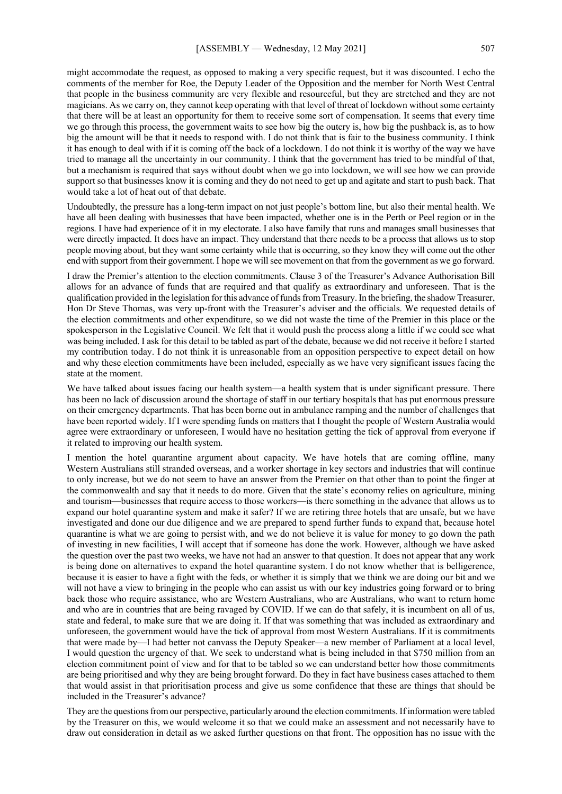might accommodate the request, as opposed to making a very specific request, but it was discounted. I echo the comments of the member for Roe, the Deputy Leader of the Opposition and the member for North West Central that people in the business community are very flexible and resourceful, but they are stretched and they are not magicians. As we carry on, they cannot keep operating with that level of threat of lockdown without some certainty that there will be at least an opportunity for them to receive some sort of compensation. It seems that every time we go through this process, the government waits to see how big the outcry is, how big the pushback is, as to how big the amount will be that it needs to respond with. I do not think that is fair to the business community. I think it has enough to deal with if it is coming off the back of a lockdown. I do not think it is worthy of the way we have tried to manage all the uncertainty in our community. I think that the government has tried to be mindful of that, but a mechanism is required that says without doubt when we go into lockdown, we will see how we can provide support so that businesses know it is coming and they do not need to get up and agitate and start to push back. That would take a lot of heat out of that debate.

Undoubtedly, the pressure has a long-term impact on not just people's bottom line, but also their mental health. We have all been dealing with businesses that have been impacted, whether one is in the Perth or Peel region or in the regions. I have had experience of it in my electorate. I also have family that runs and manages small businesses that were directly impacted. It does have an impact. They understand that there needs to be a process that allows us to stop people moving about, but they want some certainty while that is occurring, so they know they will come out the other end with support from their government. I hope we will see movement on that from the government as we go forward.

I draw the Premier's attention to the election commitments. Clause 3 of the Treasurer's Advance Authorisation Bill allows for an advance of funds that are required and that qualify as extraordinary and unforeseen. That is the qualification provided in the legislation for this advance of funds from Treasury. In the briefing, the shadow Treasurer, Hon Dr Steve Thomas, was very up-front with the Treasurer's adviser and the officials. We requested details of the election commitments and other expenditure, so we did not waste the time of the Premier in this place or the spokesperson in the Legislative Council. We felt that it would push the process along a little if we could see what was being included. I ask for this detail to be tabled as part of the debate, because we did not receive it before I started my contribution today. I do not think it is unreasonable from an opposition perspective to expect detail on how and why these election commitments have been included, especially as we have very significant issues facing the state at the moment.

We have talked about issues facing our health system—a health system that is under significant pressure. There has been no lack of discussion around the shortage of staff in our tertiary hospitals that has put enormous pressure on their emergency departments. That has been borne out in ambulance ramping and the number of challenges that have been reported widely. If I were spending funds on matters that I thought the people of Western Australia would agree were extraordinary or unforeseen, I would have no hesitation getting the tick of approval from everyone if it related to improving our health system.

I mention the hotel quarantine argument about capacity. We have hotels that are coming offline, many Western Australians still stranded overseas, and a worker shortage in key sectors and industries that will continue to only increase, but we do not seem to have an answer from the Premier on that other than to point the finger at the commonwealth and say that it needs to do more. Given that the state's economy relies on agriculture, mining and tourism—businesses that require access to those workers—is there something in the advance that allows us to expand our hotel quarantine system and make it safer? If we are retiring three hotels that are unsafe, but we have investigated and done our due diligence and we are prepared to spend further funds to expand that, because hotel quarantine is what we are going to persist with, and we do not believe it is value for money to go down the path of investing in new facilities, I will accept that if someone has done the work. However, although we have asked the question over the past two weeks, we have not had an answer to that question. It does not appear that any work is being done on alternatives to expand the hotel quarantine system. I do not know whether that is belligerence, because it is easier to have a fight with the feds, or whether it is simply that we think we are doing our bit and we will not have a view to bringing in the people who can assist us with our key industries going forward or to bring back those who require assistance, who are Western Australians, who are Australians, who want to return home and who are in countries that are being ravaged by COVID. If we can do that safely, it is incumbent on all of us, state and federal, to make sure that we are doing it. If that was something that was included as extraordinary and unforeseen, the government would have the tick of approval from most Western Australians. If it is commitments that were made by—I had better not canvass the Deputy Speaker—a new member of Parliament at a local level, I would question the urgency of that. We seek to understand what is being included in that \$750 million from an election commitment point of view and for that to be tabled so we can understand better how those commitments are being prioritised and why they are being brought forward. Do they in fact have business cases attached to them that would assist in that prioritisation process and give us some confidence that these are things that should be included in the Treasurer's advance?

They are the questions from our perspective, particularly around the election commitments. If information were tabled by the Treasurer on this, we would welcome it so that we could make an assessment and not necessarily have to draw out consideration in detail as we asked further questions on that front. The opposition has no issue with the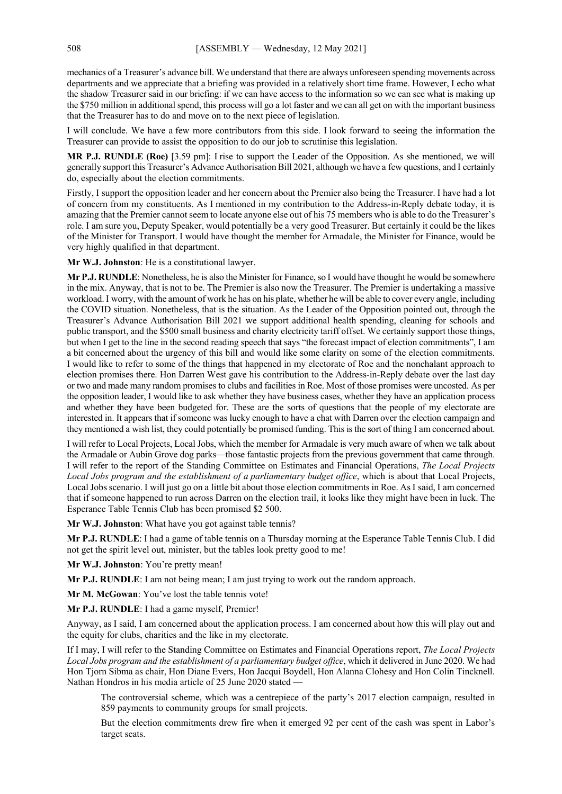mechanics of a Treasurer's advance bill. We understand that there are always unforeseen spending movements across departments and we appreciate that a briefing was provided in a relatively short time frame. However, I echo what the shadow Treasurer said in our briefing: if we can have access to the information so we can see what is making up the \$750 million in additional spend, this process will go a lot faster and we can all get on with the important business that the Treasurer has to do and move on to the next piece of legislation.

I will conclude. We have a few more contributors from this side. I look forward to seeing the information the Treasurer can provide to assist the opposition to do our job to scrutinise this legislation.

**MR P.J. RUNDLE (Roe)** [3.59 pm]: I rise to support the Leader of the Opposition. As she mentioned, we will generally support this Treasurer's Advance Authorisation Bill 2021, although we have a few questions, and I certainly do, especially about the election commitments.

Firstly, I support the opposition leader and her concern about the Premier also being the Treasurer. I have had a lot of concern from my constituents. As I mentioned in my contribution to the Address-in-Reply debate today, it is amazing that the Premier cannot seem to locate anyone else out of his 75 members who is able to do the Treasurer's role. I am sure you, Deputy Speaker, would potentially be a very good Treasurer. But certainly it could be the likes of the Minister for Transport. I would have thought the member for Armadale, the Minister for Finance, would be very highly qualified in that department.

**Mr W.J. Johnston**: He is a constitutional lawyer.

**Mr P.J. RUNDLE**: Nonetheless, he is also the Minister for Finance, so I would have thought he would be somewhere in the mix. Anyway, that is not to be. The Premier is also now the Treasurer. The Premier is undertaking a massive workload. I worry, with the amount of work he has on his plate, whether he will be able to cover every angle, including the COVID situation. Nonetheless, that is the situation. As the Leader of the Opposition pointed out, through the Treasurer's Advance Authorisation Bill 2021 we support additional health spending, cleaning for schools and public transport, and the \$500 small business and charity electricity tariff offset. We certainly support those things, but when I get to the line in the second reading speech that says "the forecast impact of election commitments", I am a bit concerned about the urgency of this bill and would like some clarity on some of the election commitments. I would like to refer to some of the things that happened in my electorate of Roe and the nonchalant approach to election promises there. Hon Darren West gave his contribution to the Address-in-Reply debate over the last day or two and made many random promises to clubs and facilities in Roe. Most of those promises were uncosted. As per the opposition leader, I would like to ask whether they have business cases, whether they have an application process and whether they have been budgeted for. These are the sorts of questions that the people of my electorate are interested in. It appears that if someone was lucky enough to have a chat with Darren over the election campaign and they mentioned a wish list, they could potentially be promised funding. This is the sort of thing I am concerned about.

I will refer to Local Projects, Local Jobs, which the member for Armadale is very much aware of when we talk about the Armadale or Aubin Grove dog parks—those fantastic projects from the previous government that came through. I will refer to the report of the Standing Committee on Estimates and Financial Operations, *The Local Projects Local Jobs program and the establishment of a parliamentary budget office*, which is about that Local Projects, Local Jobs scenario. I will just go on a little bit about those election commitments in Roe. AsI said, I am concerned that if someone happened to run across Darren on the election trail, it looks like they might have been in luck. The Esperance Table Tennis Club has been promised \$2 500.

**Mr W.J. Johnston**: What have you got against table tennis?

**Mr P.J. RUNDLE**: I had a game of table tennis on a Thursday morning at the Esperance Table Tennis Club. I did not get the spirit level out, minister, but the tables look pretty good to me!

**Mr W.J. Johnston**: You're pretty mean!

**Mr P.J. RUNDLE**: I am not being mean; I am just trying to work out the random approach.

**Mr M. McGowan**: You've lost the table tennis vote!

**Mr P.J. RUNDLE**: I had a game myself, Premier!

Anyway, as I said, I am concerned about the application process. I am concerned about how this will play out and the equity for clubs, charities and the like in my electorate.

If I may, I will refer to the Standing Committee on Estimates and Financial Operations report, *The Local Projects Local Jobs program and the establishment of a parliamentary budget office*, which it delivered in June 2020. We had Hon Tjorn Sibma as chair, Hon Diane Evers, Hon Jacqui Boydell, Hon Alanna Clohesy and Hon Colin Tincknell. Nathan Hondros in his media article of 25 June 2020 stated —

The controversial scheme, which was a centrepiece of the party's 2017 election campaign, resulted in 859 payments to community groups for small projects.

But the election commitments drew fire when it emerged 92 per cent of the cash was spent in Labor's target seats.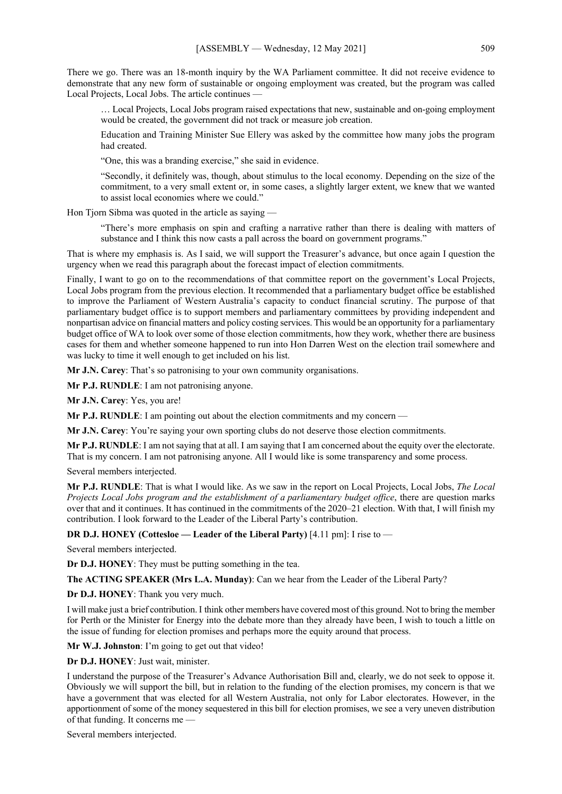There we go. There was an 18-month inquiry by the WA Parliament committee. It did not receive evidence to demonstrate that any new form of sustainable or ongoing employment was created, but the program was called Local Projects, Local Jobs. The article continues —

… Local Projects, Local Jobs program raised expectations that new, sustainable and on-going employment would be created, the government did not track or measure job creation.

Education and Training Minister Sue Ellery was asked by the committee how many jobs the program had created.

"One, this was a branding exercise," she said in evidence.

"Secondly, it definitely was, though, about stimulus to the local economy. Depending on the size of the commitment, to a very small extent or, in some cases, a slightly larger extent, we knew that we wanted to assist local economies where we could."

Hon Tjorn Sibma was quoted in the article as saying —

"There's more emphasis on spin and crafting a narrative rather than there is dealing with matters of substance and I think this now casts a pall across the board on government programs."

That is where my emphasis is. As I said, we will support the Treasurer's advance, but once again I question the urgency when we read this paragraph about the forecast impact of election commitments.

Finally, I want to go on to the recommendations of that committee report on the government's Local Projects, Local Jobs program from the previous election. It recommended that a parliamentary budget office be established to improve the Parliament of Western Australia's capacity to conduct financial scrutiny. The purpose of that parliamentary budget office is to support members and parliamentary committees by providing independent and nonpartisan advice on financial matters and policy costing services. This would be an opportunity for a parliamentary budget office of WA to look over some of those election commitments, how they work, whether there are business cases for them and whether someone happened to run into Hon Darren West on the election trail somewhere and was lucky to time it well enough to get included on his list.

**Mr J.N. Carey**: That's so patronising to your own community organisations.

**Mr P.J. RUNDLE**: I am not patronising anyone.

**Mr J.N. Carey**: Yes, you are!

**Mr P.J. RUNDLE**: I am pointing out about the election commitments and my concern —

**Mr J.N. Carey**: You're saying your own sporting clubs do not deserve those election commitments.

**Mr P.J. RUNDLE**: I am not saying that at all. I am saying that I am concerned about the equity over the electorate. That is my concern. I am not patronising anyone. All I would like is some transparency and some process.

Several members interjected.

**Mr P.J. RUNDLE**: That is what I would like. As we saw in the report on Local Projects, Local Jobs, *The Local Projects Local Jobs program and the establishment of a parliamentary budget office*, there are question marks over that and it continues. It has continued in the commitments of the 2020–21 election. With that, I will finish my contribution. I look forward to the Leader of the Liberal Party's contribution.

**DR D.J. HONEY (Cottesloe — Leader of the Liberal Party)** [4.11 pm]: I rise to —

Several members interjected.

**Dr D.J. HONEY**: They must be putting something in the tea.

**The ACTING SPEAKER (Mrs L.A. Munday)**: Can we hear from the Leader of the Liberal Party?

**Dr D.J. HONEY**: Thank you very much.

I will make just a brief contribution. I think other members have covered most of this ground. Not to bring the member for Perth or the Minister for Energy into the debate more than they already have been, I wish to touch a little on the issue of funding for election promises and perhaps more the equity around that process.

**Mr W.J. Johnston**: I'm going to get out that video!

**Dr D.J. HONEY**: Just wait, minister.

I understand the purpose of the Treasurer's Advance Authorisation Bill and, clearly, we do not seek to oppose it. Obviously we will support the bill, but in relation to the funding of the election promises, my concern is that we have a government that was elected for all Western Australia, not only for Labor electorates. However, in the apportionment of some of the money sequestered in this bill for election promises, we see a very uneven distribution of that funding. It concerns me —

Several members interjected.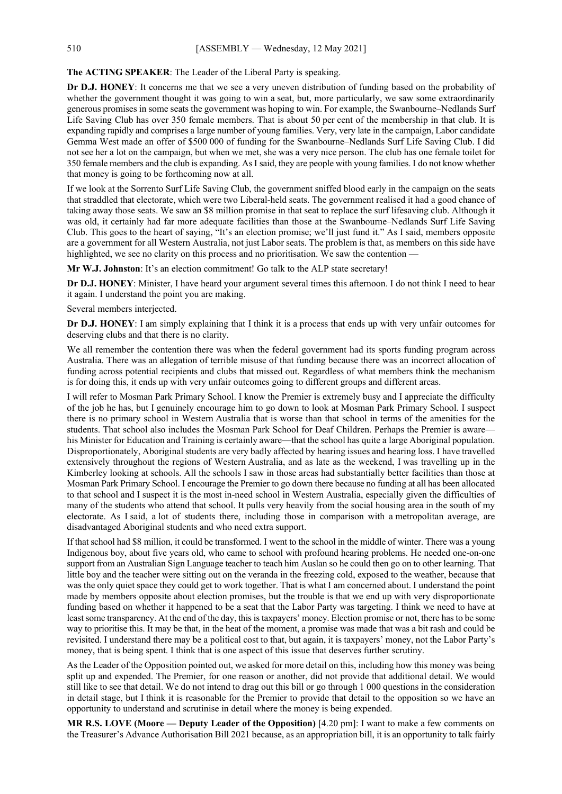## **The ACTING SPEAKER**: The Leader of the Liberal Party is speaking.

**Dr D.J. HONEY**: It concerns me that we see a very uneven distribution of funding based on the probability of whether the government thought it was going to win a seat, but, more particularly, we saw some extraordinarily generous promises in some seats the government was hoping to win. For example, the Swanbourne–Nedlands Surf Life Saving Club has over 350 female members. That is about 50 per cent of the membership in that club. It is expanding rapidly and comprises a large number of young families. Very, very late in the campaign, Labor candidate Gemma West made an offer of \$500 000 of funding for the Swanbourne–Nedlands Surf Life Saving Club. I did not see her a lot on the campaign, but when we met, she was a very nice person. The club has one female toilet for 350 female members and the club is expanding. AsI said, they are people with young families. I do not know whether that money is going to be forthcoming now at all.

If we look at the Sorrento Surf Life Saving Club, the government sniffed blood early in the campaign on the seats that straddled that electorate, which were two Liberal-held seats. The government realised it had a good chance of taking away those seats. We saw an \$8 million promise in that seat to replace the surf lifesaving club. Although it was old, it certainly had far more adequate facilities than those at the Swanbourne–Nedlands Surf Life Saving Club. This goes to the heart of saying, "It's an election promise; we'll just fund it." As I said, members opposite are a government for all Western Australia, not just Labor seats. The problem is that, as members on this side have highlighted, we see no clarity on this process and no prioritisation. We saw the contention —

**Mr W.J. Johnston**: It's an election commitment! Go talk to the ALP state secretary!

**Dr D.J. HONEY**: Minister, I have heard your argument several times this afternoon. I do not think I need to hear it again. I understand the point you are making.

Several members interjected.

**Dr D.J. HONEY**: I am simply explaining that I think it is a process that ends up with very unfair outcomes for deserving clubs and that there is no clarity.

We all remember the contention there was when the federal government had its sports funding program across Australia. There was an allegation of terrible misuse of that funding because there was an incorrect allocation of funding across potential recipients and clubs that missed out. Regardless of what members think the mechanism is for doing this, it ends up with very unfair outcomes going to different groups and different areas.

I will refer to Mosman Park Primary School. I know the Premier is extremely busy and I appreciate the difficulty of the job he has, but I genuinely encourage him to go down to look at Mosman Park Primary School. I suspect there is no primary school in Western Australia that is worse than that school in terms of the amenities for the students. That school also includes the Mosman Park School for Deaf Children. Perhaps the Premier is aware his Minister for Education and Training is certainly aware—that the school has quite a large Aboriginal population. Disproportionately, Aboriginal students are very badly affected by hearing issues and hearing loss. I have travelled extensively throughout the regions of Western Australia, and as late as the weekend, I was travelling up in the Kimberley looking at schools. All the schools I saw in those areas had substantially better facilities than those at Mosman Park Primary School. I encourage the Premier to go down there because no funding at all has been allocated to that school and I suspect it is the most in-need school in Western Australia, especially given the difficulties of many of the students who attend that school. It pulls very heavily from the social housing area in the south of my electorate. As I said, a lot of students there, including those in comparison with a metropolitan average, are disadvantaged Aboriginal students and who need extra support.

If that school had \$8 million, it could be transformed. I went to the school in the middle of winter. There was a young Indigenous boy, about five years old, who came to school with profound hearing problems. He needed one-on-one support from an Australian Sign Language teacher to teach him Auslan so he could then go on to other learning. That little boy and the teacher were sitting out on the veranda in the freezing cold, exposed to the weather, because that was the only quiet space they could get to work together. That is what I am concerned about. I understand the point made by members opposite about election promises, but the trouble is that we end up with very disproportionate funding based on whether it happened to be a seat that the Labor Party was targeting. I think we need to have at least some transparency. At the end of the day, this is taxpayers' money. Election promise or not, there has to be some way to prioritise this. It may be that, in the heat of the moment, a promise was made that was a bit rash and could be revisited. I understand there may be a political cost to that, but again, it is taxpayers' money, not the Labor Party's money, that is being spent. I think that is one aspect of this issue that deserves further scrutiny.

As the Leader of the Opposition pointed out, we asked for more detail on this, including how this money was being split up and expended. The Premier, for one reason or another, did not provide that additional detail. We would still like to see that detail. We do not intend to drag out this bill or go through 1 000 questions in the consideration in detail stage, but I think it is reasonable for the Premier to provide that detail to the opposition so we have an opportunity to understand and scrutinise in detail where the money is being expended.

**MR R.S. LOVE (Moore — Deputy Leader of the Opposition)** [4.20 pm]: I want to make a few comments on the Treasurer's Advance Authorisation Bill 2021 because, as an appropriation bill, it is an opportunity to talk fairly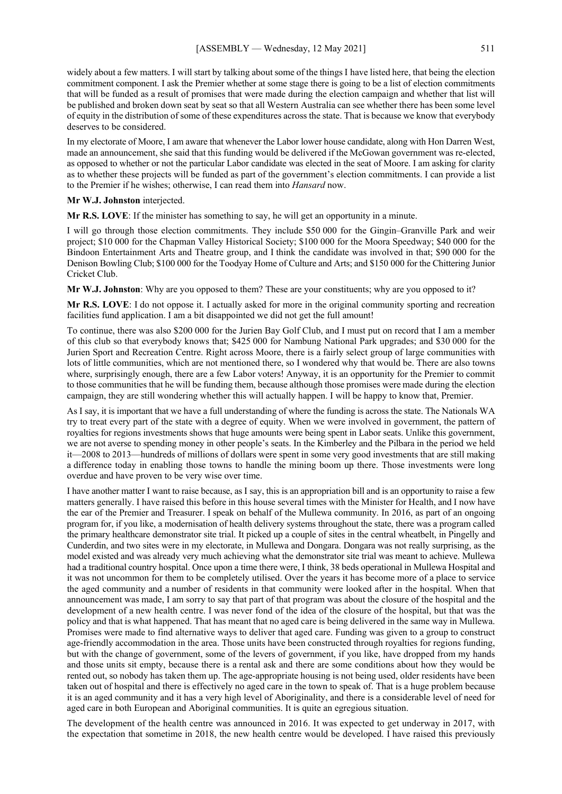widely about a few matters. I will start by talking about some of the things I have listed here, that being the election commitment component. I ask the Premier whether at some stage there is going to be a list of election commitments that will be funded as a result of promises that were made during the election campaign and whether that list will be published and broken down seat by seat so that all Western Australia can see whether there has been some level of equity in the distribution of some of these expenditures across the state. That is because we know that everybody deserves to be considered.

In my electorate of Moore, I am aware that whenever the Labor lower house candidate, along with Hon Darren West, made an announcement, she said that this funding would be delivered if the McGowan government was re-elected, as opposed to whether or not the particular Labor candidate was elected in the seat of Moore. I am asking for clarity as to whether these projects will be funded as part of the government's election commitments. I can provide a list to the Premier if he wishes; otherwise, I can read them into *Hansard* now.

#### **Mr W.J. Johnston** interjected.

**Mr R.S. LOVE**: If the minister has something to say, he will get an opportunity in a minute.

I will go through those election commitments. They include \$50 000 for the Gingin–Granville Park and weir project; \$10 000 for the Chapman Valley Historical Society; \$100 000 for the Moora Speedway; \$40 000 for the Bindoon Entertainment Arts and Theatre group, and I think the candidate was involved in that; \$90 000 for the Denison Bowling Club; \$100 000 for the Toodyay Home of Culture and Arts; and \$150 000 for the Chittering Junior Cricket Club.

**Mr W.J. Johnston**: Why are you opposed to them? These are your constituents; why are you opposed to it?

**Mr R.S. LOVE**: I do not oppose it. I actually asked for more in the original community sporting and recreation facilities fund application. I am a bit disappointed we did not get the full amount!

To continue, there was also \$200 000 for the Jurien Bay Golf Club, and I must put on record that I am a member of this club so that everybody knows that; \$425 000 for Nambung National Park upgrades; and \$30 000 for the Jurien Sport and Recreation Centre. Right across Moore, there is a fairly select group of large communities with lots of little communities, which are not mentioned there, so I wondered why that would be. There are also towns where, surprisingly enough, there are a few Labor voters! Anyway, it is an opportunity for the Premier to commit to those communities that he will be funding them, because although those promises were made during the election campaign, they are still wondering whether this will actually happen. I will be happy to know that, Premier.

As I say, it is important that we have a full understanding of where the funding is across the state. The Nationals WA try to treat every part of the state with a degree of equity. When we were involved in government, the pattern of royalties for regions investments shows that huge amounts were being spent in Labor seats. Unlike this government, we are not averse to spending money in other people's seats. In the Kimberley and the Pilbara in the period we held it—2008 to 2013—hundreds of millions of dollars were spent in some very good investments that are still making a difference today in enabling those towns to handle the mining boom up there. Those investments were long overdue and have proven to be very wise over time.

I have another matter I want to raise because, as I say, this is an appropriation bill and is an opportunity to raise a few matters generally. I have raised this before in this house several times with the Minister for Health, and I now have the ear of the Premier and Treasurer. I speak on behalf of the Mullewa community. In 2016, as part of an ongoing program for, if you like, a modernisation of health delivery systems throughout the state, there was a program called the primary healthcare demonstrator site trial. It picked up a couple of sites in the central wheatbelt, in Pingelly and Cunderdin, and two sites were in my electorate, in Mullewa and Dongara. Dongara was not really surprising, as the model existed and was already very much achieving what the demonstrator site trial was meant to achieve. Mullewa had a traditional country hospital. Once upon a time there were, I think, 38 beds operational in Mullewa Hospital and it was not uncommon for them to be completely utilised. Over the years it has become more of a place to service the aged community and a number of residents in that community were looked after in the hospital. When that announcement was made, I am sorry to say that part of that program was about the closure of the hospital and the development of a new health centre. I was never fond of the idea of the closure of the hospital, but that was the policy and that is what happened. That has meant that no aged care is being delivered in the same way in Mullewa. Promises were made to find alternative ways to deliver that aged care. Funding was given to a group to construct age-friendly accommodation in the area. Those units have been constructed through royalties for regions funding, but with the change of government, some of the levers of government, if you like, have dropped from my hands and those units sit empty, because there is a rental ask and there are some conditions about how they would be rented out, so nobody has taken them up. The age-appropriate housing is not being used, older residents have been taken out of hospital and there is effectively no aged care in the town to speak of. That is a huge problem because it is an aged community and it has a very high level of Aboriginality, and there is a considerable level of need for aged care in both European and Aboriginal communities. It is quite an egregious situation.

The development of the health centre was announced in 2016. It was expected to get underway in 2017, with the expectation that sometime in 2018, the new health centre would be developed. I have raised this previously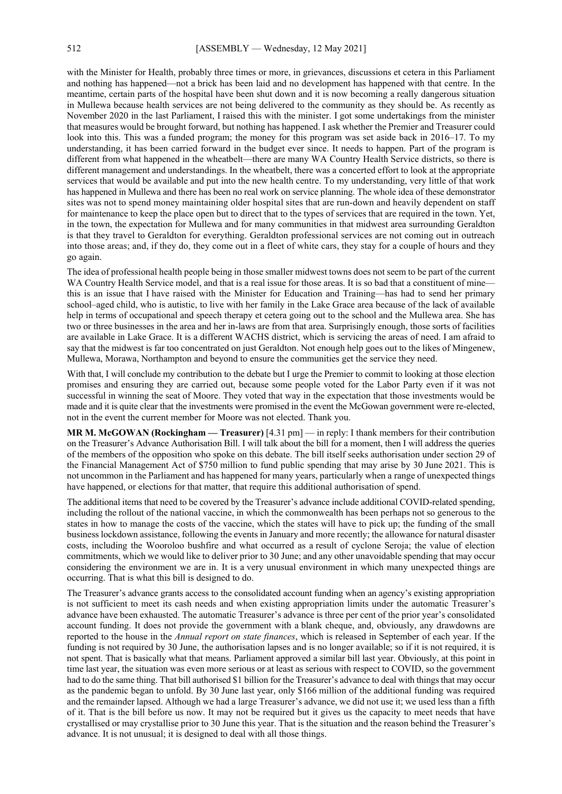with the Minister for Health, probably three times or more, in grievances, discussions et cetera in this Parliament and nothing has happened—not a brick has been laid and no development has happened with that centre. In the meantime, certain parts of the hospital have been shut down and it is now becoming a really dangerous situation in Mullewa because health services are not being delivered to the community as they should be. As recently as November 2020 in the last Parliament, I raised this with the minister. I got some undertakings from the minister that measures would be brought forward, but nothing has happened. I ask whether the Premier and Treasurer could look into this. This was a funded program; the money for this program was set aside back in 2016–17. To my understanding, it has been carried forward in the budget ever since. It needs to happen. Part of the program is different from what happened in the wheatbelt—there are many WA Country Health Service districts, so there is different management and understandings. In the wheatbelt, there was a concerted effort to look at the appropriate services that would be available and put into the new health centre. To my understanding, very little of that work has happened in Mullewa and there has been no real work on service planning. The whole idea of these demonstrator sites was not to spend money maintaining older hospital sites that are run-down and heavily dependent on staff for maintenance to keep the place open but to direct that to the types of services that are required in the town. Yet, in the town, the expectation for Mullewa and for many communities in that midwest area surrounding Geraldton is that they travel to Geraldton for everything. Geraldton professional services are not coming out in outreach into those areas; and, if they do, they come out in a fleet of white cars, they stay for a couple of hours and they go again.

The idea of professional health people being in those smaller midwest towns does not seem to be part of the current WA Country Health Service model, and that is a real issue for those areas. It is so bad that a constituent of minethis is an issue that I have raised with the Minister for Education and Training—has had to send her primary school–aged child, who is autistic, to live with her family in the Lake Grace area because of the lack of available help in terms of occupational and speech therapy et cetera going out to the school and the Mullewa area. She has two or three businesses in the area and her in-laws are from that area. Surprisingly enough, those sorts of facilities are available in Lake Grace. It is a different WACHS district, which is servicing the areas of need. I am afraid to say that the midwest is far too concentrated on just Geraldton. Not enough help goes out to the likes of Mingenew, Mullewa, Morawa, Northampton and beyond to ensure the communities get the service they need.

With that, I will conclude my contribution to the debate but I urge the Premier to commit to looking at those election promises and ensuring they are carried out, because some people voted for the Labor Party even if it was not successful in winning the seat of Moore. They voted that way in the expectation that those investments would be made and it is quite clear that the investments were promised in the event the McGowan government were re-elected, not in the event the current member for Moore was not elected. Thank you.

**MR M. McGOWAN (Rockingham — Treasurer)** [4.31 pm] — in reply: I thank members for their contribution on the Treasurer's Advance Authorisation Bill. I will talk about the bill for a moment, then I will address the queries of the members of the opposition who spoke on this debate. The bill itself seeks authorisation under section 29 of the Financial Management Act of \$750 million to fund public spending that may arise by 30 June 2021. This is not uncommon in the Parliament and has happened for many years, particularly when a range of unexpected things have happened, or elections for that matter, that require this additional authorisation of spend.

The additional items that need to be covered by the Treasurer's advance include additional COVID-related spending, including the rollout of the national vaccine, in which the commonwealth has been perhaps not so generous to the states in how to manage the costs of the vaccine, which the states will have to pick up; the funding of the small business lockdown assistance, following the events in January and more recently; the allowance for natural disaster costs, including the Wooroloo bushfire and what occurred as a result of cyclone Seroja; the value of election commitments, which we would like to deliver prior to 30 June; and any other unavoidable spending that may occur considering the environment we are in. It is a very unusual environment in which many unexpected things are occurring. That is what this bill is designed to do.

The Treasurer's advance grants access to the consolidated account funding when an agency's existing appropriation is not sufficient to meet its cash needs and when existing appropriation limits under the automatic Treasurer's advance have been exhausted. The automatic Treasurer's advance is three per cent of the prior year's consolidated account funding. It does not provide the government with a blank cheque, and, obviously, any drawdowns are reported to the house in the *Annual report on state finances*, which is released in September of each year. If the funding is not required by 30 June, the authorisation lapses and is no longer available; so if it is not required, it is not spent. That is basically what that means. Parliament approved a similar bill last year. Obviously, at this point in time last year, the situation was even more serious or at least as serious with respect to COVID, so the government had to do the same thing. That bill authorised \$1 billion for the Treasurer's advance to deal with things that may occur as the pandemic began to unfold. By 30 June last year, only \$166 million of the additional funding was required and the remainder lapsed. Although we had a large Treasurer's advance, we did not use it; we used less than a fifth of it. That is the bill before us now. It may not be required but it gives us the capacity to meet needs that have crystallised or may crystallise prior to 30 June this year. That is the situation and the reason behind the Treasurer's advance. It is not unusual; it is designed to deal with all those things.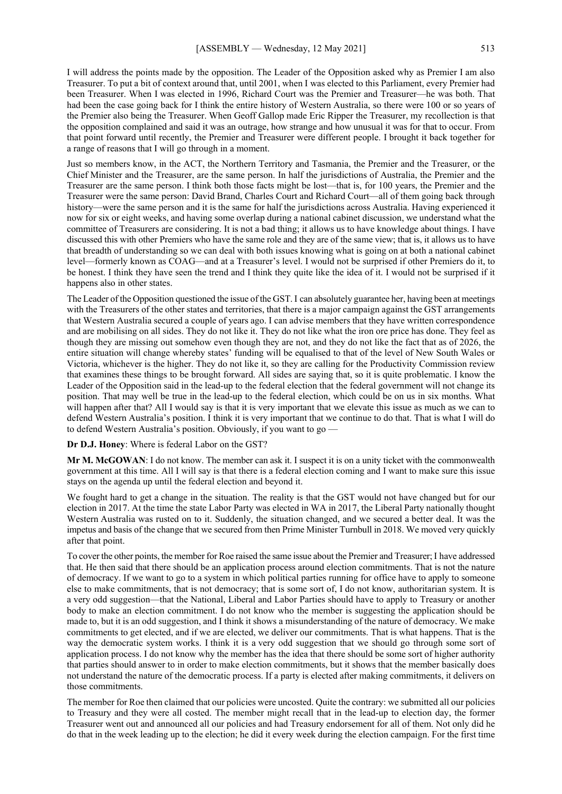I will address the points made by the opposition. The Leader of the Opposition asked why as Premier I am also Treasurer. To put a bit of context around that, until 2001, when I was elected to this Parliament, every Premier had been Treasurer. When I was elected in 1996, Richard Court was the Premier and Treasurer—he was both. That had been the case going back for I think the entire history of Western Australia, so there were 100 or so years of the Premier also being the Treasurer. When Geoff Gallop made Eric Ripper the Treasurer, my recollection is that the opposition complained and said it was an outrage, how strange and how unusual it was for that to occur. From that point forward until recently, the Premier and Treasurer were different people. I brought it back together for a range of reasons that I will go through in a moment.

Just so members know, in the ACT, the Northern Territory and Tasmania, the Premier and the Treasurer, or the Chief Minister and the Treasurer, are the same person. In half the jurisdictions of Australia, the Premier and the Treasurer are the same person. I think both those facts might be lost—that is, for 100 years, the Premier and the Treasurer were the same person: David Brand, Charles Court and Richard Court—all of them going back through history—were the same person and it is the same for half the jurisdictions across Australia. Having experienced it now for six or eight weeks, and having some overlap during a national cabinet discussion, we understand what the committee of Treasurers are considering. It is not a bad thing; it allows us to have knowledge about things. I have discussed this with other Premiers who have the same role and they are of the same view; that is, it allows us to have that breadth of understanding so we can deal with both issues knowing what is going on at both a national cabinet level—formerly known as COAG—and at a Treasurer's level. I would not be surprised if other Premiers do it, to be honest. I think they have seen the trend and I think they quite like the idea of it. I would not be surprised if it happens also in other states.

The Leader of the Opposition questioned the issue of the GST. I can absolutely guarantee her, having been at meetings with the Treasurers of the other states and territories, that there is a major campaign against the GST arrangements that Western Australia secured a couple of years ago. I can advise members that they have written correspondence and are mobilising on all sides. They do not like it. They do not like what the iron ore price has done. They feel as though they are missing out somehow even though they are not, and they do not like the fact that as of 2026, the entire situation will change whereby states' funding will be equalised to that of the level of New South Wales or Victoria, whichever is the higher. They do not like it, so they are calling for the Productivity Commission review that examines these things to be brought forward. All sides are saying that, so it is quite problematic. I know the Leader of the Opposition said in the lead-up to the federal election that the federal government will not change its position. That may well be true in the lead-up to the federal election, which could be on us in six months. What will happen after that? All I would say is that it is very important that we elevate this issue as much as we can to defend Western Australia's position. I think it is very important that we continue to do that. That is what I will do to defend Western Australia's position. Obviously, if you want to go —

**Dr D.J. Honey**: Where is federal Labor on the GST?

**Mr M. McGOWAN**: I do not know. The member can ask it. I suspect it is on a unity ticket with the commonwealth government at this time. All I will say is that there is a federal election coming and I want to make sure this issue stays on the agenda up until the federal election and beyond it.

We fought hard to get a change in the situation. The reality is that the GST would not have changed but for our election in 2017. At the time the state Labor Party was elected in WA in 2017, the Liberal Party nationally thought Western Australia was rusted on to it. Suddenly, the situation changed, and we secured a better deal. It was the impetus and basis of the change that we secured from then Prime Minister Turnbull in 2018. We moved very quickly after that point.

To cover the other points, the member for Roe raised the same issue about the Premier and Treasurer; I have addressed that. He then said that there should be an application process around election commitments. That is not the nature of democracy. If we want to go to a system in which political parties running for office have to apply to someone else to make commitments, that is not democracy; that is some sort of, I do not know, authoritarian system. It is a very odd suggestion—that the National, Liberal and Labor Parties should have to apply to Treasury or another body to make an election commitment. I do not know who the member is suggesting the application should be made to, but it is an odd suggestion, and I think it shows a misunderstanding of the nature of democracy. We make commitments to get elected, and if we are elected, we deliver our commitments. That is what happens. That is the way the democratic system works. I think it is a very odd suggestion that we should go through some sort of application process. I do not know why the member has the idea that there should be some sort of higher authority that parties should answer to in order to make election commitments, but it shows that the member basically does not understand the nature of the democratic process. If a party is elected after making commitments, it delivers on those commitments.

The member for Roe then claimed that our policies were uncosted. Quite the contrary: we submitted all our policies to Treasury and they were all costed. The member might recall that in the lead-up to election day, the former Treasurer went out and announced all our policies and had Treasury endorsement for all of them. Not only did he do that in the week leading up to the election; he did it every week during the election campaign. For the first time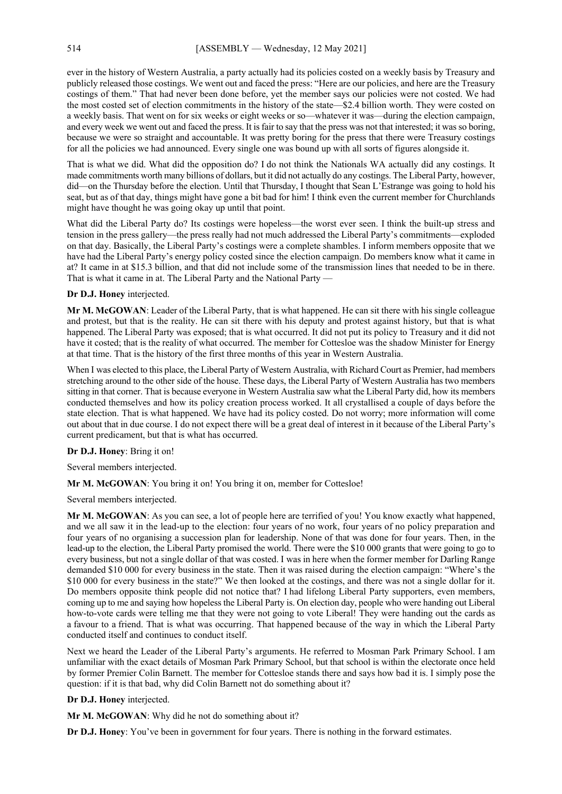ever in the history of Western Australia, a party actually had its policies costed on a weekly basis by Treasury and publicly released those costings. We went out and faced the press: "Here are our policies, and here are the Treasury costings of them." That had never been done before, yet the member says our policies were not costed. We had the most costed set of election commitments in the history of the state—\$2.4 billion worth. They were costed on a weekly basis. That went on for six weeks or eight weeks or so—whatever it was—during the election campaign, and every week we went out and faced the press. It is fair to say that the press was not that interested; it was so boring, because we were so straight and accountable. It was pretty boring for the press that there were Treasury costings for all the policies we had announced. Every single one was bound up with all sorts of figures alongside it.

That is what we did. What did the opposition do? I do not think the Nationals WA actually did any costings. It made commitments worth many billions of dollars, but it did not actually do any costings. The Liberal Party, however, did—on the Thursday before the election. Until that Thursday, I thought that Sean L'Estrange was going to hold his seat, but as of that day, things might have gone a bit bad for him! I think even the current member for Churchlands might have thought he was going okay up until that point.

What did the Liberal Party do? Its costings were hopeless—the worst ever seen. I think the built-up stress and tension in the press gallery—the press really had not much addressed the Liberal Party's commitments—exploded on that day. Basically, the Liberal Party's costings were a complete shambles. I inform members opposite that we have had the Liberal Party's energy policy costed since the election campaign. Do members know what it came in at? It came in at \$15.3 billion, and that did not include some of the transmission lines that needed to be in there. That is what it came in at. The Liberal Party and the National Party —

#### **Dr D.J. Honey** interjected.

**Mr M. McGOWAN**: Leader of the Liberal Party, that is what happened. He can sit there with his single colleague and protest, but that is the reality. He can sit there with his deputy and protest against history, but that is what happened. The Liberal Party was exposed; that is what occurred. It did not put its policy to Treasury and it did not have it costed; that is the reality of what occurred. The member for Cottesloe was the shadow Minister for Energy at that time. That is the history of the first three months of this year in Western Australia.

When I was elected to this place, the Liberal Party of Western Australia, with Richard Court as Premier, had members stretching around to the other side of the house. These days, the Liberal Party of Western Australia has two members sitting in that corner. That is because everyone in Western Australia saw what the Liberal Party did, how its members conducted themselves and how its policy creation process worked. It all crystallised a couple of days before the state election. That is what happened. We have had its policy costed. Do not worry; more information will come out about that in due course. I do not expect there will be a great deal of interest in it because of the Liberal Party's current predicament, but that is what has occurred.

#### **Dr D.J. Honey**: Bring it on!

Several members interjected.

## **Mr M. McGOWAN**: You bring it on! You bring it on, member for Cottesloe!

Several members interjected.

**Mr M. McGOWAN**: As you can see, a lot of people here are terrified of you! You know exactly what happened, and we all saw it in the lead-up to the election: four years of no work, four years of no policy preparation and four years of no organising a succession plan for leadership. None of that was done for four years. Then, in the lead-up to the election, the Liberal Party promised the world. There were the \$10 000 grants that were going to go to every business, but not a single dollar of that was costed. I was in here when the former member for Darling Range demanded \$10 000 for every business in the state. Then it was raised during the election campaign: "Where's the \$10 000 for every business in the state?" We then looked at the costings, and there was not a single dollar for it. Do members opposite think people did not notice that? I had lifelong Liberal Party supporters, even members, coming up to me and saying how hopeless the Liberal Party is. On election day, people who were handing out Liberal how-to-vote cards were telling me that they were not going to vote Liberal! They were handing out the cards as a favour to a friend. That is what was occurring. That happened because of the way in which the Liberal Party conducted itself and continues to conduct itself.

Next we heard the Leader of the Liberal Party's arguments. He referred to Mosman Park Primary School. I am unfamiliar with the exact details of Mosman Park Primary School, but that school is within the electorate once held by former Premier Colin Barnett. The member for Cottesloe stands there and says how bad it is. I simply pose the question: if it is that bad, why did Colin Barnett not do something about it?

## **Dr D.J. Honey** interjected.

**Mr M. McGOWAN**: Why did he not do something about it?

**Dr D.J. Honey**: You've been in government for four years. There is nothing in the forward estimates.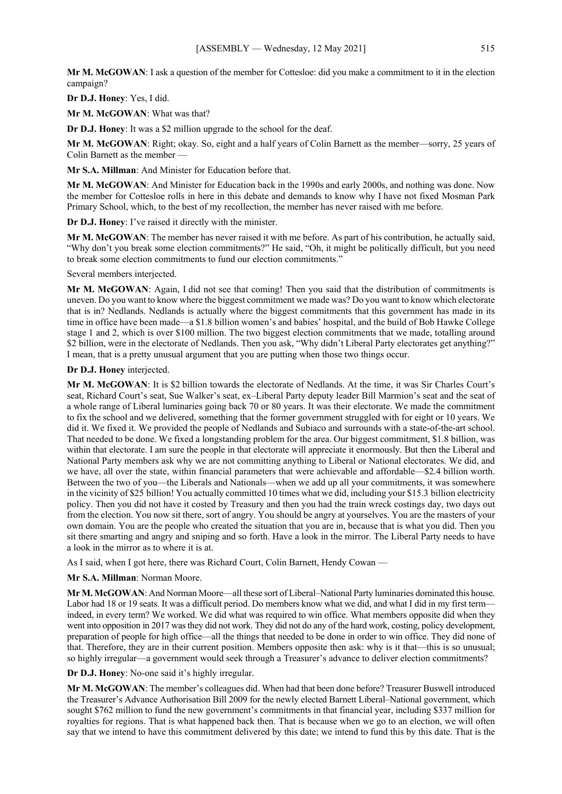**Mr M. McGOWAN**: I ask a question of the member for Cottesloe: did you make a commitment to it in the election campaign?

**Dr D.J. Honey**: Yes, I did.

**Mr M. McGOWAN**: What was that?

**Dr D.J. Honey**: It was a \$2 million upgrade to the school for the deaf.

**Mr M. McGOWAN**: Right; okay. So, eight and a half years of Colin Barnett as the member—sorry, 25 years of Colin Barnett as the member —

**Mr S.A. Millman**: And Minister for Education before that.

**Mr M. McGOWAN**: And Minister for Education back in the 1990s and early 2000s, and nothing was done. Now the member for Cottesloe rolls in here in this debate and demands to know why I have not fixed Mosman Park Primary School, which, to the best of my recollection, the member has never raised with me before.

**Dr D.J. Honey**: I've raised it directly with the minister.

**Mr M. McGOWAN**: The member has never raised it with me before. As part of his contribution, he actually said, "Why don't you break some election commitments?" He said, "Oh, it might be politically difficult, but you need to break some election commitments to fund our election commitments."

Several members interjected.

**Mr M. McGOWAN**: Again, I did not see that coming! Then you said that the distribution of commitments is uneven. Do you want to know where the biggest commitment we made was? Do you want to know which electorate that is in? Nedlands. Nedlands is actually where the biggest commitments that this government has made in its time in office have been made—a \$1.8 billion women's and babies' hospital, and the build of Bob Hawke College stage 1 and 2, which is over \$100 million. The two biggest election commitments that we made, totalling around \$2 billion, were in the electorate of Nedlands. Then you ask, "Why didn't Liberal Party electorates get anything?" I mean, that is a pretty unusual argument that you are putting when those two things occur.

## **Dr D.J. Honey** interjected.

**Mr M. McGOWAN**: It is \$2 billion towards the electorate of Nedlands. At the time, it was Sir Charles Court's seat, Richard Court's seat, Sue Walker's seat, ex–Liberal Party deputy leader Bill Marmion's seat and the seat of a whole range of Liberal luminaries going back 70 or 80 years. It was their electorate. We made the commitment to fix the school and we delivered, something that the former government struggled with for eight or 10 years. We did it. We fixed it. We provided the people of Nedlands and Subiaco and surrounds with a state-of-the-art school. That needed to be done. We fixed a longstanding problem for the area. Our biggest commitment, \$1.8 billion, was within that electorate. I am sure the people in that electorate will appreciate it enormously. But then the Liberal and National Party members ask why we are not committing anything to Liberal or National electorates. We did, and we have, all over the state, within financial parameters that were achievable and affordable—\$2.4 billion worth. Between the two of you—the Liberals and Nationals—when we add up all your commitments, it was somewhere in the vicinity of \$25 billion! You actually committed 10 times what we did, including your \$15.3 billion electricity policy. Then you did not have it costed by Treasury and then you had the train wreck costings day, two days out from the election. You now sit there, sort of angry. You should be angry at yourselves. You are the masters of your own domain. You are the people who created the situation that you are in, because that is what you did. Then you sit there smarting and angry and sniping and so forth. Have a look in the mirror. The Liberal Party needs to have a look in the mirror as to where it is at.

As I said, when I got here, there was Richard Court, Colin Barnett, Hendy Cowan —

**Mr S.A. Millman**: Norman Moore.

**Mr M. McGOWAN**: And Norman Moore—all these sort of Liberal–National Party luminaries dominated this house. Labor had 18 or 19 seats. It was a difficult period. Do members know what we did, and what I did in my first term indeed, in every term? We worked. We did what was required to win office. What members opposite did when they went into opposition in 2017 was they did not work. They did not do any of the hard work, costing, policy development, preparation of people for high office—all the things that needed to be done in order to win office. They did none of that. Therefore, they are in their current position. Members opposite then ask: why is it that—this is so unusual; so highly irregular—a government would seek through a Treasurer's advance to deliver election commitments?

**Dr D.J. Honey**: No-one said it's highly irregular.

**Mr M. McGOWAN**: The member's colleagues did. When had that been done before? Treasurer Buswell introduced the Treasurer's Advance Authorisation Bill 2009 for the newly elected Barnett Liberal–National government, which sought \$762 million to fund the new government's commitments in that financial year, including \$337 million for royalties for regions. That is what happened back then. That is because when we go to an election, we will often say that we intend to have this commitment delivered by this date; we intend to fund this by this date. That is the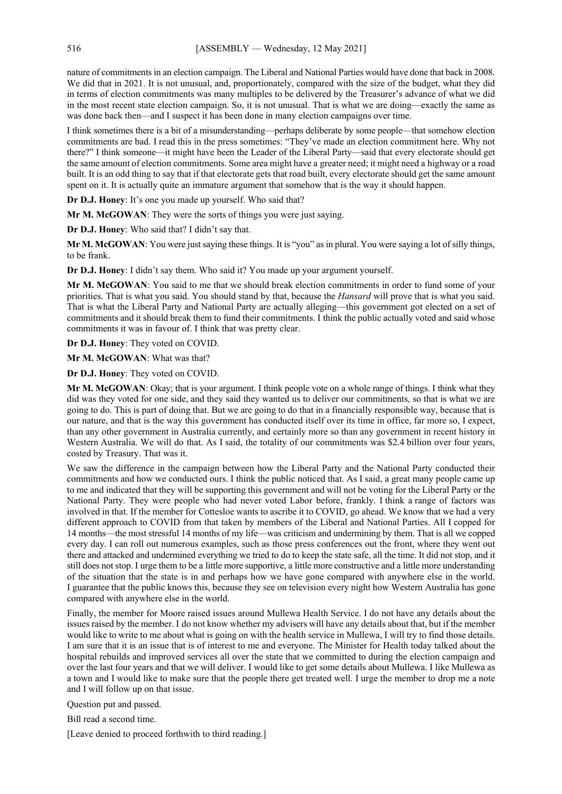nature of commitments in an election campaign. The Liberal and National Parties would have done that back in 2008. We did that in 2021. It is not unusual, and, proportionately, compared with the size of the budget, what they did in terms of election commitments was many multiples to be delivered by the Treasurer's advance of what we did in the most recent state election campaign. So, it is not unusual. That is what we are doing—exactly the same as was done back then—and I suspect it has been done in many election campaigns over time.

I think sometimes there is a bit of a misunderstanding—perhaps deliberate by some people—that somehow election commitments are bad. I read this in the press sometimes: "They've made an election commitment here. Why not there?" I think someone—it might have been the Leader of the Liberal Party—said that every electorate should get the same amount of election commitments. Some area might have a greater need; it might need a highway or a road built. It is an odd thing to say that if that electorate gets that road built, every electorate should get the same amount spent on it. It is actually quite an immature argument that somehow that is the way it should happen.

**Dr D.J. Honey**: It's one you made up yourself. Who said that?

**Mr M. McGOWAN**: They were the sorts of things you were just saying.

**Dr D.J. Honey**: Who said that? I didn't say that.

**Mr M. McGOWAN**: You were just saying these things. It is "you" as in plural. You were saying a lot of silly things, to be frank.

**Dr D.J. Honey**: I didn't say them. Who said it? You made up your argument yourself.

**Mr M. McGOWAN**: You said to me that we should break election commitments in order to fund some of your priorities. That is what you said. You should stand by that, because the *Hansard* will prove that is what you said. That is what the Liberal Party and National Party are actually alleging—this government got elected on a set of commitments and it should break them to fund their commitments. I think the public actually voted and said whose commitments it was in favour of. I think that was pretty clear.

**Dr D.J. Honey**: They voted on COVID.

**Mr M. McGOWAN**: What was that?

**Dr D.J. Honey**: They voted on COVID.

**Mr M. McGOWAN**: Okay; that is your argument. I think people vote on a whole range of things. I think what they did was they voted for one side, and they said they wanted us to deliver our commitments, so that is what we are going to do. This is part of doing that. But we are going to do that in a financially responsible way, because that is our nature, and that is the way this government has conducted itself over its time in office, far more so, I expect, than any other government in Australia currently, and certainly more so than any government in recent history in Western Australia. We will do that. As I said, the totality of our commitments was \$2.4 billion over four years, costed by Treasury. That was it.

We saw the difference in the campaign between how the Liberal Party and the National Party conducted their commitments and how we conducted ours. I think the public noticed that. As I said, a great many people came up to me and indicated that they will be supporting this government and will not be voting for the Liberal Party or the National Party. They were people who had never voted Labor before, frankly. I think a range of factors was involved in that. If the member for Cottesloe wants to ascribe it to COVID, go ahead. We know that we had a very different approach to COVID from that taken by members of the Liberal and National Parties. All I copped for 14 months—the most stressful 14 months of my life—was criticism and undermining by them. That is all we copped every day. I can roll out numerous examples, such as those press conferences out the front, where they went out there and attacked and undermined everything we tried to do to keep the state safe, all the time. It did not stop, and it still does not stop. I urge them to be a little more supportive, a little more constructive and a little more understanding of the situation that the state is in and perhaps how we have gone compared with anywhere else in the world. I guarantee that the public knows this, because they see on television every night how Western Australia has gone compared with anywhere else in the world.

Finally, the member for Moore raised issues around Mullewa Health Service. I do not have any details about the issues raised by the member. I do not know whether my advisers will have any details about that, but if the member would like to write to me about what is going on with the health service in Mullewa, I will try to find those details. I am sure that it is an issue that is of interest to me and everyone. The Minister for Health today talked about the hospital rebuilds and improved services all over the state that we committed to during the election campaign and over the last four years and that we will deliver. I would like to get some details about Mullewa. I like Mullewa as a town and I would like to make sure that the people there get treated well. I urge the member to drop me a note and I will follow up on that issue.

Question put and passed.

Bill read a second time.

[Leave denied to proceed forthwith to third reading.]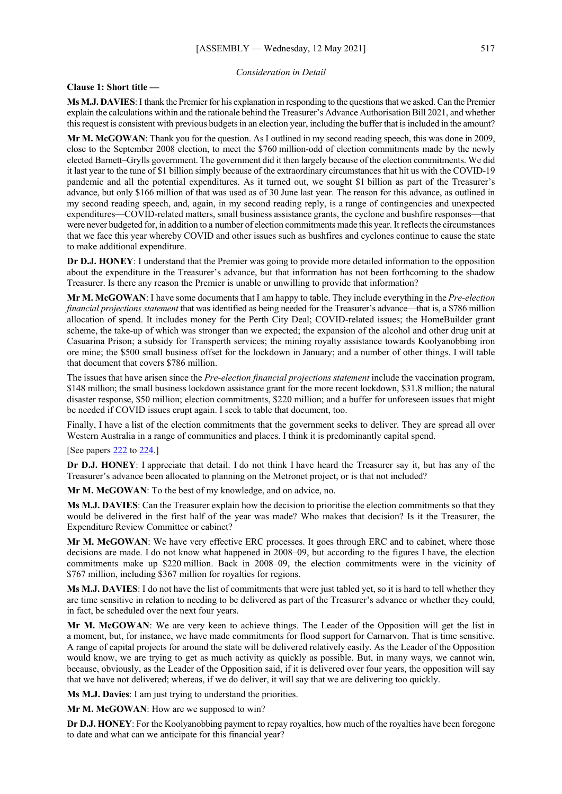## *Consideration in Detail*

**Clause 1: Short title —**

**Ms M.J. DAVIES**:I thank the Premier for his explanation in responding to the questions that we asked. Can the Premier explain the calculations within and the rationale behind the Treasurer's Advance Authorisation Bill 2021, and whether this request is consistent with previous budgets in an election year, including the buffer that is included in the amount?

**Mr M. McGOWAN**: Thank you for the question. As I outlined in my second reading speech, this was done in 2009, close to the September 2008 election, to meet the \$760 million-odd of election commitments made by the newly elected Barnett–Grylls government. The government did it then largely because of the election commitments. We did it last year to the tune of \$1 billion simply because of the extraordinary circumstances that hit us with the COVID-19 pandemic and all the potential expenditures. As it turned out, we sought \$1 billion as part of the Treasurer's advance, but only \$166 million of that was used as of 30 June last year. The reason for this advance, as outlined in my second reading speech, and, again, in my second reading reply, is a range of contingencies and unexpected expenditures—COVID-related matters, small business assistance grants, the cyclone and bushfire responses—that were never budgeted for, in addition to a number of election commitments made this year. It reflects the circumstances that we face this year whereby COVID and other issues such as bushfires and cyclones continue to cause the state to make additional expenditure.

**Dr D.J. HONEY**: I understand that the Premier was going to provide more detailed information to the opposition about the expenditure in the Treasurer's advance, but that information has not been forthcoming to the shadow Treasurer. Is there any reason the Premier is unable or unwilling to provide that information?

**Mr M. McGOWAN**: I have some documents that I am happy to table. They include everything in the *Pre-election financial projections statement* that was identified as being needed for the Treasurer's advance—that is, a \$786 million allocation of spend. It includes money for the Perth City Deal; COVID-related issues; the HomeBuilder grant scheme, the take-up of which was stronger than we expected; the expansion of the alcohol and other drug unit at Casuarina Prison; a subsidy for Transperth services; the mining royalty assistance towards Koolyanobbing iron ore mine; the \$500 small business offset for the lockdown in January; and a number of other things. I will table that document that covers \$786 million.

The issues that have arisen since the *Pre-election financial projections statement* include the vaccination program, \$148 million; the small business lockdown assistance grant for the more recent lockdown, \$31.8 million; the natural disaster response, \$50 million; election commitments, \$220 million; and a buffer for unforeseen issues that might be needed if COVID issues erupt again. I seek to table that document, too.

Finally, I have a list of the election commitments that the government seeks to deliver. They are spread all over Western Australia in a range of communities and places. I think it is predominantly capital spend.

#### [See papers [222](https://www.parliament.wa.gov.au/publications/tabledpapers.nsf/displaypaper/4110222a1380eb479dbb0106482586d4000a35f3/$file/tp+222+(2021).pdf) t[o 224.](https://www.parliament.wa.gov.au/publications/tabledpapers.nsf/displaypaper/4110224a413d9fce5c9d28bf482586d4000a363e/$file/tp+224+(2021).pdf)]

**Dr D.J. HONEY**: I appreciate that detail. I do not think I have heard the Treasurer say it, but has any of the Treasurer's advance been allocated to planning on the Metronet project, or is that not included?

**Mr M. McGOWAN**: To the best of my knowledge, and on advice, no.

**Ms M.J. DAVIES**: Can the Treasurer explain how the decision to prioritise the election commitments so that they would be delivered in the first half of the year was made? Who makes that decision? Is it the Treasurer, the Expenditure Review Committee or cabinet?

**Mr M. McGOWAN**: We have very effective ERC processes. It goes through ERC and to cabinet, where those decisions are made. I do not know what happened in 2008–09, but according to the figures I have, the election commitments make up \$220 million. Back in 2008–09, the election commitments were in the vicinity of \$767 million, including \$367 million for royalties for regions.

**Ms M.J. DAVIES**: I do not have the list of commitments that were just tabled yet, so it is hard to tell whether they are time sensitive in relation to needing to be delivered as part of the Treasurer's advance or whether they could, in fact, be scheduled over the next four years.

**Mr M. McGOWAN**: We are very keen to achieve things. The Leader of the Opposition will get the list in a moment, but, for instance, we have made commitments for flood support for Carnarvon. That is time sensitive. A range of capital projects for around the state will be delivered relatively easily. As the Leader of the Opposition would know, we are trying to get as much activity as quickly as possible. But, in many ways, we cannot win, because, obviously, as the Leader of the Opposition said, if it is delivered over four years, the opposition will say that we have not delivered; whereas, if we do deliver, it will say that we are delivering too quickly.

**Ms M.J. Davies**: I am just trying to understand the priorities.

Mr M. McGOWAN: How are we supposed to win?

**Dr D.J. HONEY**: For the Koolyanobbing payment to repay royalties, how much of the royalties have been foregone to date and what can we anticipate for this financial year?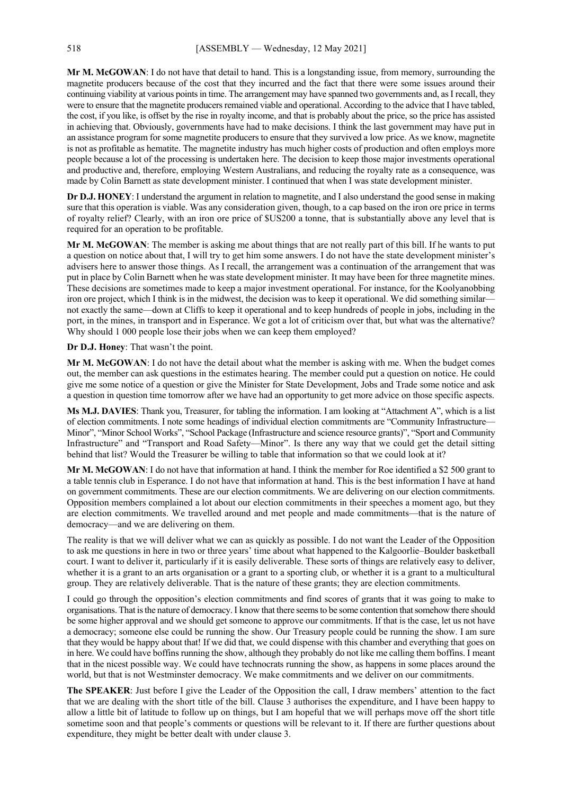**Mr M. McGOWAN**: I do not have that detail to hand. This is a longstanding issue, from memory, surrounding the magnetite producers because of the cost that they incurred and the fact that there were some issues around their continuing viability at various points in time. The arrangement may have spanned two governments and, as I recall, they were to ensure that the magnetite producers remained viable and operational. According to the advice that I have tabled, the cost, if you like, is offset by the rise in royalty income, and that is probably about the price, so the price has assisted in achieving that. Obviously, governments have had to make decisions. I think the last government may have put in an assistance program for some magnetite producers to ensure that they survived a low price. As we know, magnetite is not as profitable as hematite. The magnetite industry has much higher costs of production and often employs more people because a lot of the processing is undertaken here. The decision to keep those major investments operational and productive and, therefore, employing Western Australians, and reducing the royalty rate as a consequence, was made by Colin Barnett as state development minister. I continued that when I was state development minister.

**Dr D.J. HONEY**: I understand the argument in relation to magnetite, and I also understand the good sense in making sure that this operation is viable. Was any consideration given, though, to a cap based on the iron ore price in terms of royalty relief? Clearly, with an iron ore price of \$US200 a tonne, that is substantially above any level that is required for an operation to be profitable.

**Mr M. McGOWAN**: The member is asking me about things that are not really part of this bill. If he wants to put a question on notice about that, I will try to get him some answers. I do not have the state development minister's advisers here to answer those things. As I recall, the arrangement was a continuation of the arrangement that was put in place by Colin Barnett when he was state development minister. It may have been for three magnetite mines. These decisions are sometimes made to keep a major investment operational. For instance, for the Koolyanobbing iron ore project, which I think is in the midwest, the decision was to keep it operational. We did something similar not exactly the same—down at Cliffs to keep it operational and to keep hundreds of people in jobs, including in the port, in the mines, in transport and in Esperance. We got a lot of criticism over that, but what was the alternative? Why should 1 000 people lose their jobs when we can keep them employed?

**Dr D.J. Honey**: That wasn't the point.

**Mr M. McGOWAN**: I do not have the detail about what the member is asking with me. When the budget comes out, the member can ask questions in the estimates hearing. The member could put a question on notice. He could give me some notice of a question or give the Minister for State Development, Jobs and Trade some notice and ask a question in question time tomorrow after we have had an opportunity to get more advice on those specific aspects.

**Ms M.J. DAVIES**: Thank you, Treasurer, for tabling the information. I am looking at "Attachment A", which is a list of election commitments. I note some headings of individual election commitments are "Community Infrastructure— Minor", "Minor School Works", "School Package (Infrastructure and science resource grants)", "Sport and Community Infrastructure" and "Transport and Road Safety—Minor". Is there any way that we could get the detail sitting behind that list? Would the Treasurer be willing to table that information so that we could look at it?

**Mr M. McGOWAN**: I do not have that information at hand. I think the member for Roe identified a \$2 500 grant to a table tennis club in Esperance. I do not have that information at hand. This is the best information I have at hand on government commitments. These are our election commitments. We are delivering on our election commitments. Opposition members complained a lot about our election commitments in their speeches a moment ago, but they are election commitments. We travelled around and met people and made commitments—that is the nature of democracy—and we are delivering on them.

The reality is that we will deliver what we can as quickly as possible. I do not want the Leader of the Opposition to ask me questions in here in two or three years' time about what happened to the Kalgoorlie–Boulder basketball court. I want to deliver it, particularly if it is easily deliverable. These sorts of things are relatively easy to deliver, whether it is a grant to an arts organisation or a grant to a sporting club, or whether it is a grant to a multicultural group. They are relatively deliverable. That is the nature of these grants; they are election commitments.

I could go through the opposition's election commitments and find scores of grants that it was going to make to organisations. That is the nature of democracy.I know that there seems to be some contention that somehow there should be some higher approval and we should get someone to approve our commitments. If that is the case, let us not have a democracy; someone else could be running the show. Our Treasury people could be running the show. I am sure that they would be happy about that! If we did that, we could dispense with this chamber and everything that goes on in here. We could have boffins running the show, although they probably do not like me calling them boffins. I meant that in the nicest possible way. We could have technocrats running the show, as happens in some places around the world, but that is not Westminster democracy. We make commitments and we deliver on our commitments.

**The SPEAKER**: Just before I give the Leader of the Opposition the call, I draw members' attention to the fact that we are dealing with the short title of the bill. Clause 3 authorises the expenditure, and I have been happy to allow a little bit of latitude to follow up on things, but I am hopeful that we will perhaps move off the short title sometime soon and that people's comments or questions will be relevant to it. If there are further questions about expenditure, they might be better dealt with under clause 3.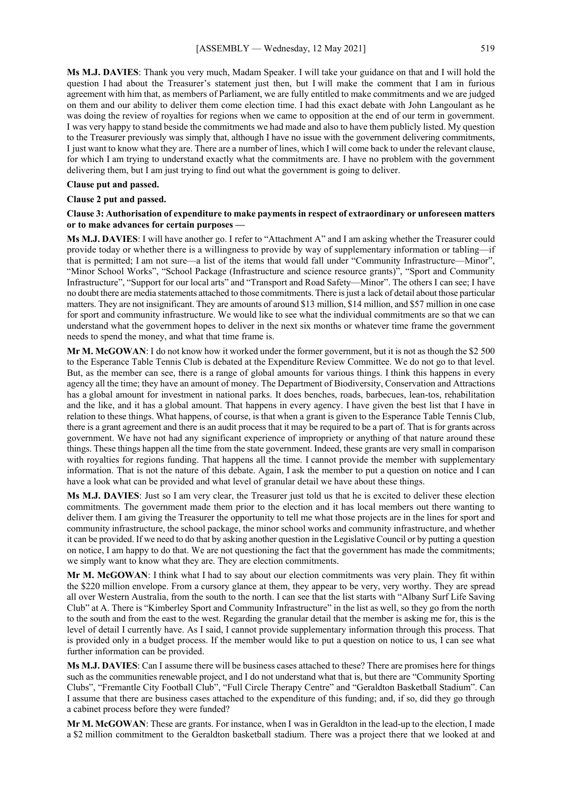**Ms M.J. DAVIES**: Thank you very much, Madam Speaker. I will take your guidance on that and I will hold the question I had about the Treasurer's statement just then, but I will make the comment that I am in furious agreement with him that, as members of Parliament, we are fully entitled to make commitments and we are judged on them and our ability to deliver them come election time. I had this exact debate with John Langoulant as he was doing the review of royalties for regions when we came to opposition at the end of our term in government. I was very happy to stand beside the commitments we had made and also to have them publicly listed. My question to the Treasurer previously was simply that, although I have no issue with the government delivering commitments, I just want to know what they are. There are a number of lines, which I will come back to under the relevant clause, for which I am trying to understand exactly what the commitments are. I have no problem with the government delivering them, but I am just trying to find out what the government is going to deliver.

#### **Clause put and passed.**

#### **Clause 2 put and passed.**

## **Clause 3: Authorisation of expenditure to make payments in respect of extraordinary or unforeseen matters or to make advances for certain purposes —**

**Ms M.J. DAVIES**: I will have another go. I refer to "Attachment A" and I am asking whether the Treasurer could provide today or whether there is a willingness to provide by way of supplementary information or tabling—if that is permitted; I am not sure—a list of the items that would fall under "Community Infrastructure—Minor", "Minor School Works", "School Package (Infrastructure and science resource grants)", "Sport and Community Infrastructure", "Support for our local arts" and "Transport and Road Safety—Minor". The others I can see; I have no doubt there are media statements attached to those commitments. There is just a lack of detail about those particular matters. They are not insignificant. They are amounts of around \$13 million, \$14 million, and \$57 million in one case for sport and community infrastructure. We would like to see what the individual commitments are so that we can understand what the government hopes to deliver in the next six months or whatever time frame the government needs to spend the money, and what that time frame is.

**Mr M. McGOWAN**: I do not know how it worked under the former government, but it is not as though the \$2 500 to the Esperance Table Tennis Club is debated at the Expenditure Review Committee. We do not go to that level. But, as the member can see, there is a range of global amounts for various things. I think this happens in every agency all the time; they have an amount of money. The Department of Biodiversity, Conservation and Attractions has a global amount for investment in national parks. It does benches, roads, barbecues, lean-tos, rehabilitation and the like, and it has a global amount. That happens in every agency. I have given the best list that I have in relation to these things. What happens, of course, is that when a grant is given to the Esperance Table Tennis Club, there is a grant agreement and there is an audit process that it may be required to be a part of. That is for grants across government. We have not had any significant experience of impropriety or anything of that nature around these things. These things happen all the time from the state government. Indeed, these grants are very small in comparison with royalties for regions funding. That happens all the time. I cannot provide the member with supplementary information. That is not the nature of this debate. Again, I ask the member to put a question on notice and I can have a look what can be provided and what level of granular detail we have about these things.

**Ms M.J. DAVIES**: Just so I am very clear, the Treasurer just told us that he is excited to deliver these election commitments. The government made them prior to the election and it has local members out there wanting to deliver them. I am giving the Treasurer the opportunity to tell me what those projects are in the lines for sport and community infrastructure, the school package, the minor school works and community infrastructure, and whether it can be provided. If we need to do that by asking another question in the Legislative Council or by putting a question on notice, I am happy to do that. We are not questioning the fact that the government has made the commitments; we simply want to know what they are. They are election commitments.

**Mr M. McGOWAN**: I think what I had to say about our election commitments was very plain. They fit within the \$220 million envelope. From a cursory glance at them, they appear to be very, very worthy. They are spread all over Western Australia, from the south to the north. I can see that the list starts with "Albany Surf Life Saving Club" at A. There is "Kimberley Sport and Community Infrastructure" in the list as well, so they go from the north to the south and from the east to the west. Regarding the granular detail that the member is asking me for, this is the level of detail I currently have. As I said, I cannot provide supplementary information through this process. That is provided only in a budget process. If the member would like to put a question on notice to us, I can see what further information can be provided.

**Ms M.J. DAVIES**: Can I assume there will be business cases attached to these? There are promises here for things such as the communities renewable project, and I do not understand what that is, but there are "Community Sporting Clubs", "Fremantle City Football Club", "Full Circle Therapy Centre" and "Geraldton Basketball Stadium". Can I assume that there are business cases attached to the expenditure of this funding; and, if so, did they go through a cabinet process before they were funded?

**Mr M. McGOWAN**: These are grants. For instance, when I was in Geraldton in the lead-up to the election, I made a \$2 million commitment to the Geraldton basketball stadium. There was a project there that we looked at and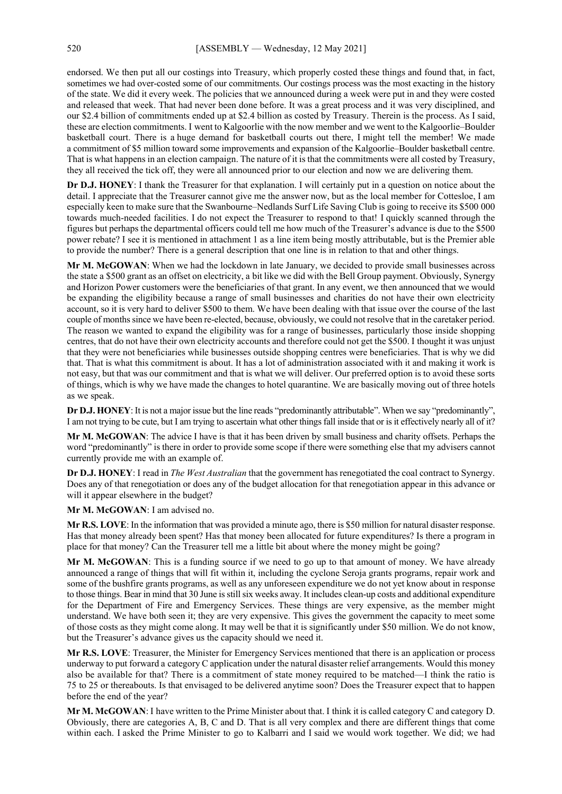endorsed. We then put all our costings into Treasury, which properly costed these things and found that, in fact, sometimes we had over-costed some of our commitments. Our costings process was the most exacting in the history of the state. We did it every week. The policies that we announced during a week were put in and they were costed and released that week. That had never been done before. It was a great process and it was very disciplined, and our \$2.4 billion of commitments ended up at \$2.4 billion as costed by Treasury. Therein is the process. As I said, these are election commitments. I went to Kalgoorlie with the now member and we went to the Kalgoorlie–Boulder basketball court. There is a huge demand for basketball courts out there, I might tell the member! We made a commitment of \$5 million toward some improvements and expansion of the Kalgoorlie–Boulder basketball centre. That is what happens in an election campaign. The nature of it is that the commitments were all costed by Treasury, they all received the tick off, they were all announced prior to our election and now we are delivering them.

**Dr D.J. HONEY**: I thank the Treasurer for that explanation. I will certainly put in a question on notice about the detail. I appreciate that the Treasurer cannot give me the answer now, but as the local member for Cottesloe, I am especially keen to make sure that the Swanbourne–Nedlands Surf Life Saving Club is going to receive its \$500 000 towards much-needed facilities. I do not expect the Treasurer to respond to that! I quickly scanned through the figures but perhaps the departmental officers could tell me how much of the Treasurer's advance is due to the \$500 power rebate? I see it is mentioned in attachment 1 as a line item being mostly attributable, but is the Premier able to provide the number? There is a general description that one line is in relation to that and other things.

**Mr M. McGOWAN**: When we had the lockdown in late January, we decided to provide small businesses across the state a \$500 grant as an offset on electricity, a bit like we did with the Bell Group payment. Obviously, Synergy and Horizon Power customers were the beneficiaries of that grant. In any event, we then announced that we would be expanding the eligibility because a range of small businesses and charities do not have their own electricity account, so it is very hard to deliver \$500 to them. We have been dealing with that issue over the course of the last couple of months since we have been re-elected, because, obviously, we could not resolve that in the caretaker period. The reason we wanted to expand the eligibility was for a range of businesses, particularly those inside shopping centres, that do not have their own electricity accounts and therefore could not get the \$500. I thought it was unjust that they were not beneficiaries while businesses outside shopping centres were beneficiaries. That is why we did that. That is what this commitment is about. It has a lot of administration associated with it and making it work is not easy, but that was our commitment and that is what we will deliver. Our preferred option is to avoid these sorts of things, which is why we have made the changes to hotel quarantine. We are basically moving out of three hotels as we speak.

**Dr D.J. HONEY**: It is not a major issue but the line reads "predominantly attributable". When we say "predominantly", I am not trying to be cute, but I am trying to ascertain what other things fall inside that or is it effectively nearly all of it?

**Mr M. McGOWAN**: The advice I have is that it has been driven by small business and charity offsets. Perhaps the word "predominantly" is there in order to provide some scope if there were something else that my advisers cannot currently provide me with an example of.

**Dr D.J. HONEY**: I read in *The West Australian* that the government has renegotiated the coal contract to Synergy. Does any of that renegotiation or does any of the budget allocation for that renegotiation appear in this advance or will it appear elsewhere in the budget?

**Mr M. McGOWAN**: I am advised no.

**Mr R.S. LOVE**: In the information that was provided a minute ago, there is \$50 million for natural disaster response. Has that money already been spent? Has that money been allocated for future expenditures? Is there a program in place for that money? Can the Treasurer tell me a little bit about where the money might be going?

**Mr M. McGOWAN**: This is a funding source if we need to go up to that amount of money. We have already announced a range of things that will fit within it, including the cyclone Seroja grants programs, repair work and some of the bushfire grants programs, as well as any unforeseen expenditure we do not yet know about in response to those things. Bear in mind that 30 June is still six weeks away. It includes clean-up costs and additional expenditure for the Department of Fire and Emergency Services. These things are very expensive, as the member might understand. We have both seen it; they are very expensive. This gives the government the capacity to meet some of those costs as they might come along. It may well be that it is significantly under \$50 million. We do not know, but the Treasurer's advance gives us the capacity should we need it.

**Mr R.S. LOVE**: Treasurer, the Minister for Emergency Services mentioned that there is an application or process underway to put forward a category C application under the natural disaster relief arrangements. Would this money also be available for that? There is a commitment of state money required to be matched—I think the ratio is 75 to 25 or thereabouts. Is that envisaged to be delivered anytime soon? Does the Treasurer expect that to happen before the end of the year?

**Mr M. McGOWAN**: I have written to the Prime Minister about that. I think it is called category C and category D. Obviously, there are categories A, B, C and D. That is all very complex and there are different things that come within each. I asked the Prime Minister to go to Kalbarri and I said we would work together. We did; we had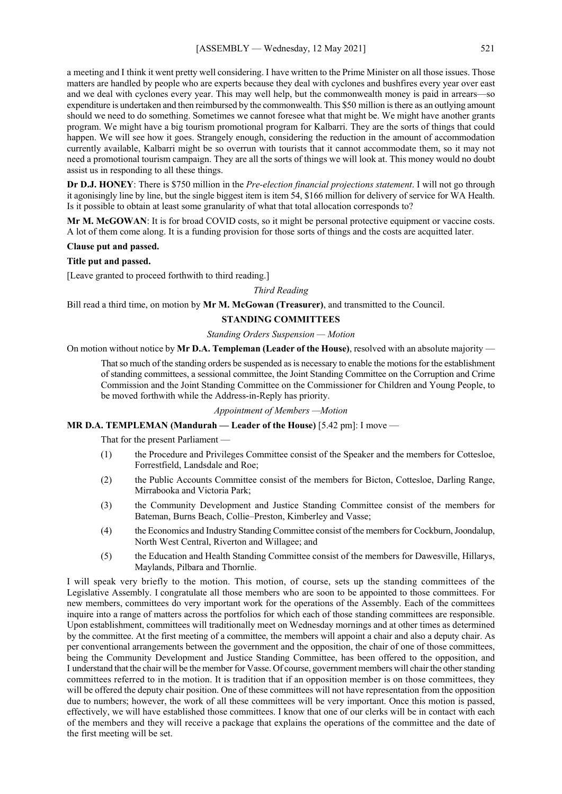a meeting and I think it went pretty well considering. I have written to the Prime Minister on all those issues. Those matters are handled by people who are experts because they deal with cyclones and bushfires every year over east and we deal with cyclones every year. This may well help, but the commonwealth money is paid in arrears—so expenditure is undertaken and then reimbursed by the commonwealth. This \$50 million is there as an outlying amount should we need to do something. Sometimes we cannot foresee what that might be. We might have another grants program. We might have a big tourism promotional program for Kalbarri. They are the sorts of things that could happen. We will see how it goes. Strangely enough, considering the reduction in the amount of accommodation currently available, Kalbarri might be so overrun with tourists that it cannot accommodate them, so it may not need a promotional tourism campaign. They are all the sorts of things we will look at. This money would no doubt assist us in responding to all these things.

**Dr D.J. HONEY**: There is \$750 million in the *Pre-election financial projections statement*. I will not go through it agonisingly line by line, but the single biggest item is item 54, \$166 million for delivery of service for WA Health. Is it possible to obtain at least some granularity of what that total allocation corresponds to?

**Mr M. McGOWAN**: It is for broad COVID costs, so it might be personal protective equipment or vaccine costs. A lot of them come along. It is a funding provision for those sorts of things and the costs are acquitted later.

#### **Clause put and passed.**

#### **Title put and passed.**

[Leave granted to proceed forthwith to third reading.]

#### *Third Reading*

Bill read a third time, on motion by **Mr M. McGowan (Treasurer)**, and transmitted to the Council.

## **STANDING COMMITTEES**

## *Standing Orders Suspension — Motion*

On motion without notice by **Mr D.A. Templeman (Leader of the House)**, resolved with an absolute majority —

That so much of the standing orders be suspended as is necessary to enable the motions for the establishment of standing committees, a sessional committee, the Joint Standing Committee on the Corruption and Crime Commission and the Joint Standing Committee on the Commissioner for Children and Young People, to be moved forthwith while the Address-in-Reply has priority.

#### *Appointment of Members —Motion*

#### **MR D.A. TEMPLEMAN (Mandurah — Leader of the House)** [5.42 pm]: I move —

That for the present Parliament —

- (1) the Procedure and Privileges Committee consist of the Speaker and the members for Cottesloe, Forrestfield, Landsdale and Roe;
- (2) the Public Accounts Committee consist of the members for Bicton, Cottesloe, Darling Range, Mirrabooka and Victoria Park;
- (3) the Community Development and Justice Standing Committee consist of the members for Bateman, Burns Beach, Collie–Preston, Kimberley and Vasse;
- (4) the Economics and Industry Standing Committee consist of the members for Cockburn, Joondalup, North West Central, Riverton and Willagee; and
- (5) the Education and Health Standing Committee consist of the members for Dawesville, Hillarys, Maylands, Pilbara and Thornlie.

I will speak very briefly to the motion. This motion, of course, sets up the standing committees of the Legislative Assembly. I congratulate all those members who are soon to be appointed to those committees. For new members, committees do very important work for the operations of the Assembly. Each of the committees inquire into a range of matters across the portfolios for which each of those standing committees are responsible. Upon establishment, committees will traditionally meet on Wednesday mornings and at other times as determined by the committee. At the first meeting of a committee, the members will appoint a chair and also a deputy chair. As per conventional arrangements between the government and the opposition, the chair of one of those committees, being the Community Development and Justice Standing Committee, has been offered to the opposition, and I understand that the chair will be the member for Vasse. Of course, government members will chair the other standing committees referred to in the motion. It is tradition that if an opposition member is on those committees, they will be offered the deputy chair position. One of these committees will not have representation from the opposition due to numbers; however, the work of all these committees will be very important. Once this motion is passed, effectively, we will have established those committees. I know that one of our clerks will be in contact with each of the members and they will receive a package that explains the operations of the committee and the date of the first meeting will be set.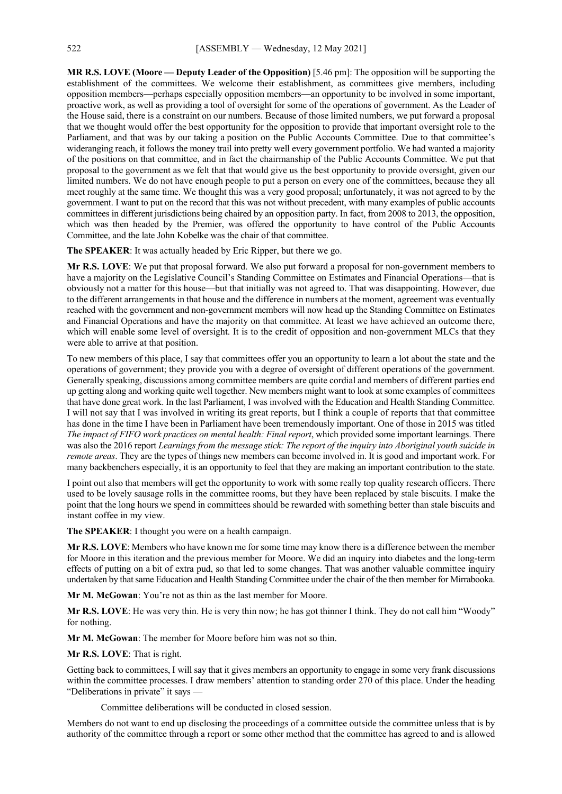**MR R.S. LOVE (Moore — Deputy Leader of the Opposition)** [5.46 pm]: The opposition will be supporting the establishment of the committees. We welcome their establishment, as committees give members, including opposition members—perhaps especially opposition members—an opportunity to be involved in some important, proactive work, as well as providing a tool of oversight for some of the operations of government. As the Leader of the House said, there is a constraint on our numbers. Because of those limited numbers, we put forward a proposal that we thought would offer the best opportunity for the opposition to provide that important oversight role to the Parliament, and that was by our taking a position on the Public Accounts Committee. Due to that committee's wideranging reach, it follows the money trail into pretty well every government portfolio. We had wanted a majority of the positions on that committee, and in fact the chairmanship of the Public Accounts Committee. We put that proposal to the government as we felt that that would give us the best opportunity to provide oversight, given our limited numbers. We do not have enough people to put a person on every one of the committees, because they all meet roughly at the same time. We thought this was a very good proposal; unfortunately, it was not agreed to by the government. I want to put on the record that this was not without precedent, with many examples of public accounts committees in different jurisdictions being chaired by an opposition party. In fact, from 2008 to 2013, the opposition, which was then headed by the Premier, was offered the opportunity to have control of the Public Accounts Committee, and the late John Kobelke was the chair of that committee.

**The SPEAKER**: It was actually headed by Eric Ripper, but there we go.

**Mr R.S. LOVE**: We put that proposal forward. We also put forward a proposal for non-government members to have a majority on the Legislative Council's Standing Committee on Estimates and Financial Operations—that is obviously not a matter for this house—but that initially was not agreed to. That was disappointing. However, due to the different arrangements in that house and the difference in numbers at the moment, agreement was eventually reached with the government and non-government members will now head up the Standing Committee on Estimates and Financial Operations and have the majority on that committee. At least we have achieved an outcome there, which will enable some level of oversight. It is to the credit of opposition and non-government MLCs that they were able to arrive at that position.

To new members of this place, I say that committees offer you an opportunity to learn a lot about the state and the operations of government; they provide you with a degree of oversight of different operations of the government. Generally speaking, discussions among committee members are quite cordial and members of different parties end up getting along and working quite well together. New members might want to look at some examples of committees that have done great work. In the last Parliament, I was involved with the Education and Health Standing Committee. I will not say that I was involved in writing its great reports, but I think a couple of reports that that committee has done in the time I have been in Parliament have been tremendously important. One of those in 2015 was titled The impact of FIFO work practices on mental health: Final report, which provided some important learnings. There was also the 2016 report *Learnings from the message stick: The report of the inquiry into Aboriginal youth suicide in remote areas*. They are the types of things new members can become involved in. It is good and important work. For many backbenchers especially, it is an opportunity to feel that they are making an important contribution to the state.

I point out also that members will get the opportunity to work with some really top quality research officers. There used to be lovely sausage rolls in the committee rooms, but they have been replaced by stale biscuits. I make the point that the long hours we spend in committees should be rewarded with something better than stale biscuits and instant coffee in my view.

**The SPEAKER**: I thought you were on a health campaign.

**Mr R.S. LOVE**: Members who have known me for some time may know there is a difference between the member for Moore in this iteration and the previous member for Moore. We did an inquiry into diabetes and the long-term effects of putting on a bit of extra pud, so that led to some changes. That was another valuable committee inquiry undertaken by that same Education and Health Standing Committee under the chair of the then member for Mirrabooka.

**Mr M. McGowan**: You're not as thin as the last member for Moore.

**Mr R.S. LOVE**: He was very thin. He is very thin now; he has got thinner I think. They do not call him "Woody" for nothing.

**Mr M. McGowan**: The member for Moore before him was not so thin.

**Mr R.S. LOVE**: That is right.

Getting back to committees, I will say that it gives members an opportunity to engage in some very frank discussions within the committee processes. I draw members' attention to standing order 270 of this place. Under the heading "Deliberations in private" it says -

Committee deliberations will be conducted in closed session.

Members do not want to end up disclosing the proceedings of a committee outside the committee unless that is by authority of the committee through a report or some other method that the committee has agreed to and is allowed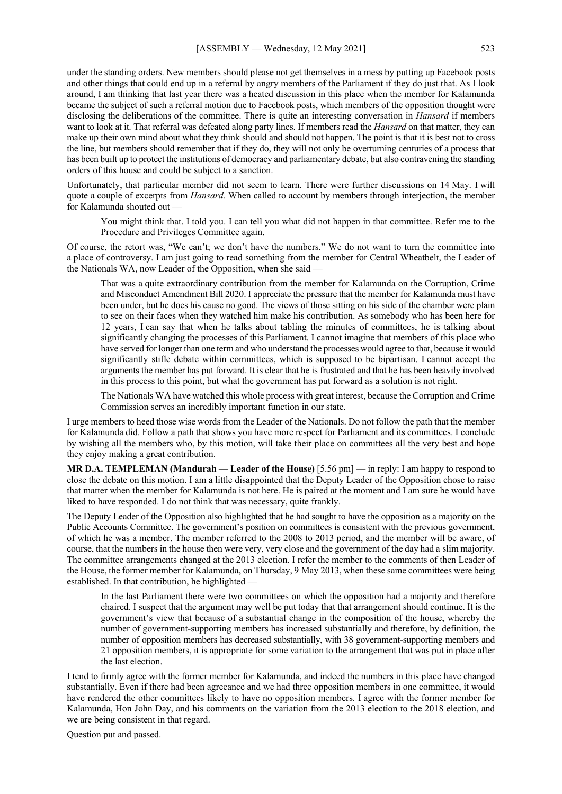under the standing orders. New members should please not get themselves in a mess by putting up Facebook posts and other things that could end up in a referral by angry members of the Parliament if they do just that. As I look around, I am thinking that last year there was a heated discussion in this place when the member for Kalamunda became the subject of such a referral motion due to Facebook posts, which members of the opposition thought were disclosing the deliberations of the committee. There is quite an interesting conversation in *Hansard* if members want to look at it. That referral was defeated along party lines. If members read the *Hansard* on that matter, they can make up their own mind about what they think should and should not happen. The point is that it is best not to cross the line, but members should remember that if they do, they will not only be overturning centuries of a process that has been built up to protect the institutions of democracy and parliamentary debate, but also contravening the standing orders of this house and could be subject to a sanction.

Unfortunately, that particular member did not seem to learn. There were further discussions on 14 May. I will quote a couple of excerpts from *Hansard*. When called to account by members through interjection, the member for Kalamunda shouted out —

You might think that. I told you. I can tell you what did not happen in that committee. Refer me to the Procedure and Privileges Committee again.

Of course, the retort was, "We can't; we don't have the numbers." We do not want to turn the committee into a place of controversy. I am just going to read something from the member for Central Wheatbelt, the Leader of the Nationals WA, now Leader of the Opposition, when she said —

That was a quite extraordinary contribution from the member for Kalamunda on the Corruption, Crime and Misconduct Amendment Bill 2020. I appreciate the pressure that the member for Kalamunda must have been under, but he does his cause no good. The views of those sitting on his side of the chamber were plain to see on their faces when they watched him make his contribution. As somebody who has been here for 12 years, I can say that when he talks about tabling the minutes of committees, he is talking about significantly changing the processes of this Parliament. I cannot imagine that members of this place who have served for longer than one term and who understand the processes would agree to that, because it would significantly stifle debate within committees, which is supposed to be bipartisan. I cannot accept the arguments the member has put forward. It is clear that he is frustrated and that he has been heavily involved in this process to this point, but what the government has put forward as a solution is not right.

The Nationals WA have watched this whole process with great interest, because the Corruption and Crime Commission serves an incredibly important function in our state.

I urge members to heed those wise words from the Leader of the Nationals. Do not follow the path that the member for Kalamunda did. Follow a path that shows you have more respect for Parliament and its committees. I conclude by wishing all the members who, by this motion, will take their place on committees all the very best and hope they enjoy making a great contribution.

**MR D.A. TEMPLEMAN (Mandurah — Leader of the House)** [5.56 pm] — in reply: I am happy to respond to close the debate on this motion. I am a little disappointed that the Deputy Leader of the Opposition chose to raise that matter when the member for Kalamunda is not here. He is paired at the moment and I am sure he would have liked to have responded. I do not think that was necessary, quite frankly.

The Deputy Leader of the Opposition also highlighted that he had sought to have the opposition as a majority on the Public Accounts Committee. The government's position on committees is consistent with the previous government, of which he was a member. The member referred to the 2008 to 2013 period, and the member will be aware, of course, that the numbers in the house then were very, very close and the government of the day had a slim majority. The committee arrangements changed at the 2013 election. I refer the member to the comments of then Leader of the House, the former member for Kalamunda, on Thursday, 9 May 2013, when these same committees were being established. In that contribution, he highlighted —

In the last Parliament there were two committees on which the opposition had a majority and therefore chaired. I suspect that the argument may well be put today that that arrangement should continue. It is the government's view that because of a substantial change in the composition of the house, whereby the number of government-supporting members has increased substantially and therefore, by definition, the number of opposition members has decreased substantially, with 38 government-supporting members and 21 opposition members, it is appropriate for some variation to the arrangement that was put in place after the last election.

I tend to firmly agree with the former member for Kalamunda, and indeed the numbers in this place have changed substantially. Even if there had been agreeance and we had three opposition members in one committee, it would have rendered the other committees likely to have no opposition members. I agree with the former member for Kalamunda, Hon John Day, and his comments on the variation from the 2013 election to the 2018 election, and we are being consistent in that regard.

Question put and passed.